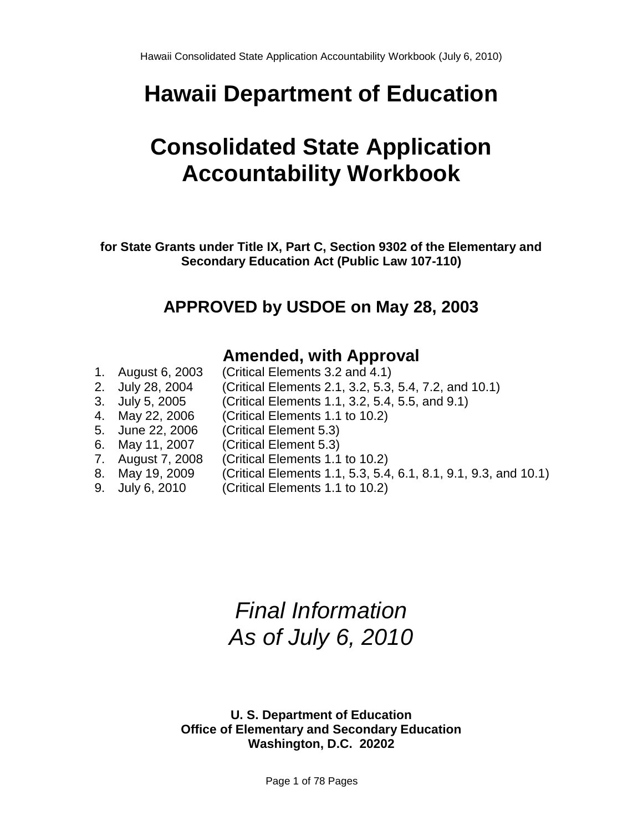# **Hawaii Department of Education**

# **Consolidated State Application Accountability Workbook**

**for State Grants under Title IX, Part C, Section 9302 of the Elementary and Secondary Education Act (Public Law 107-110)**

# **APPROVED by USDOE on May 28, 2003**

# **Amended, with Approval**

| 1. August 6, 2003 | (Critical Elements 3.2 and 4.1)                                 |
|-------------------|-----------------------------------------------------------------|
| 2. July 28, 2004  | (Critical Elements 2.1, 3.2, 5.3, 5.4, 7.2, and 10.1)           |
| 3. July 5, 2005   | (Critical Elements 1.1, 3.2, 5.4, 5.5, and 9.1)                 |
| 4. May 22, 2006   | (Critical Elements 1.1 to 10.2)                                 |
| 5. June 22, 2006  | (Critical Element 5.3)                                          |
| 6. May 11, 2007   | (Critical Element 5.3)                                          |
| 7. August 7, 2008 | (Critical Elements 1.1 to 10.2)                                 |
| 8. May 19, 2009   | (Critical Elements 1.1, 5.3, 5.4, 6.1, 8.1, 9.1, 9.3, and 10.1) |
| 9. July 6, 2010   | (Critical Elements 1.1 to 10.2)                                 |
|                   |                                                                 |

# *Final Information As of July 6, 2010*

**U. S. Department of Education Office of Elementary and Secondary Education Washington, D.C. 20202**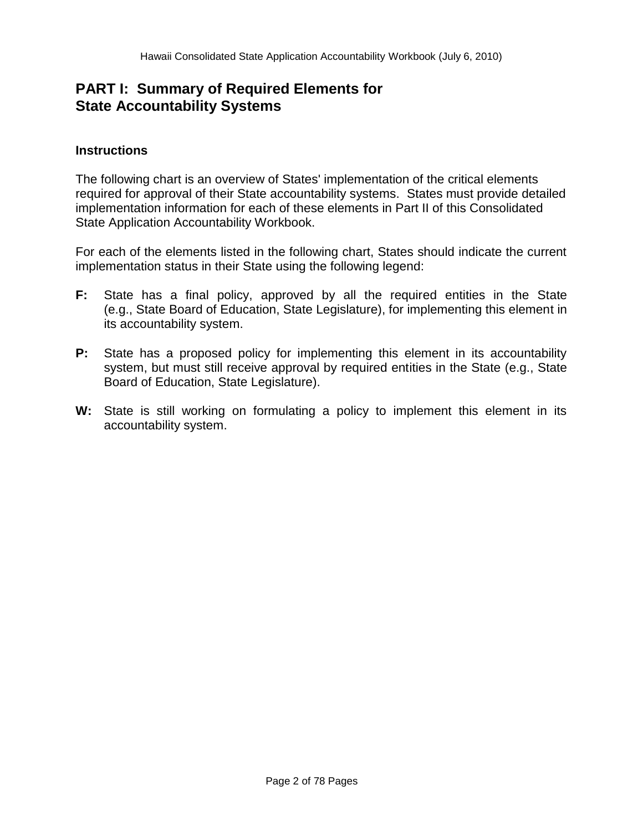# **PART I: Summary of Required Elements for State Accountability Systems**

## **Instructions**

The following chart is an overview of States' implementation of the critical elements required for approval of their State accountability systems. States must provide detailed implementation information for each of these elements in Part II of this Consolidated State Application Accountability Workbook.

For each of the elements listed in the following chart, States should indicate the current implementation status in their State using the following legend:

- **F:** State has a final policy, approved by all the required entities in the State (e.g., State Board of Education, State Legislature), for implementing this element in its accountability system.
- **P:** State has a proposed policy for implementing this element in its accountability system, but must still receive approval by required entities in the State (e.g., State Board of Education, State Legislature).
- **W:** State is still working on formulating a policy to implement this element in its accountability system.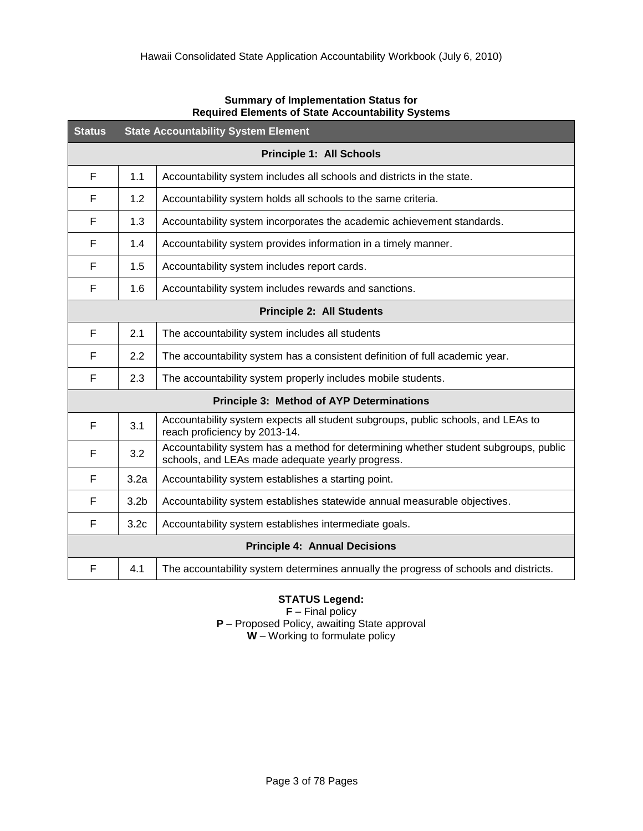| <b>Status</b>                        | <b>State Accountability System Element</b> |                                                                                                                                          |  |  |
|--------------------------------------|--------------------------------------------|------------------------------------------------------------------------------------------------------------------------------------------|--|--|
|                                      | <b>Principle 1: All Schools</b>            |                                                                                                                                          |  |  |
| F                                    | 1.1                                        | Accountability system includes all schools and districts in the state.                                                                   |  |  |
| F                                    | 1.2                                        | Accountability system holds all schools to the same criteria.                                                                            |  |  |
| F                                    | 1.3                                        | Accountability system incorporates the academic achievement standards.                                                                   |  |  |
| F                                    | 1.4                                        | Accountability system provides information in a timely manner.                                                                           |  |  |
| F                                    | 1.5                                        | Accountability system includes report cards.                                                                                             |  |  |
| F                                    | 1.6                                        | Accountability system includes rewards and sanctions.                                                                                    |  |  |
|                                      | <b>Principle 2: All Students</b>           |                                                                                                                                          |  |  |
| F                                    | 2.1                                        | The accountability system includes all students                                                                                          |  |  |
| F                                    | 2.2                                        | The accountability system has a consistent definition of full academic year.                                                             |  |  |
| F                                    | 2.3                                        | The accountability system properly includes mobile students.                                                                             |  |  |
|                                      |                                            | <b>Principle 3: Method of AYP Determinations</b>                                                                                         |  |  |
| F                                    | 3.1                                        | Accountability system expects all student subgroups, public schools, and LEAs to<br>reach proficiency by 2013-14.                        |  |  |
| F                                    | 3.2                                        | Accountability system has a method for determining whether student subgroups, public<br>schools, and LEAs made adequate yearly progress. |  |  |
| F                                    | 3.2a                                       | Accountability system establishes a starting point.                                                                                      |  |  |
| F                                    | 3.2 <sub>b</sub>                           | Accountability system establishes statewide annual measurable objectives.                                                                |  |  |
| F                                    | 3.2 <sub>c</sub>                           | Accountability system establishes intermediate goals.                                                                                    |  |  |
| <b>Principle 4: Annual Decisions</b> |                                            |                                                                                                                                          |  |  |
| F                                    | 4.1                                        | The accountability system determines annually the progress of schools and districts.                                                     |  |  |

#### **Summary of Implementation Status for Required Elements of State Accountability Systems**

#### **STATUS Legend:**

**F** – Final policy **P** – Proposed Policy, awaiting State approval **W** – Working to formulate policy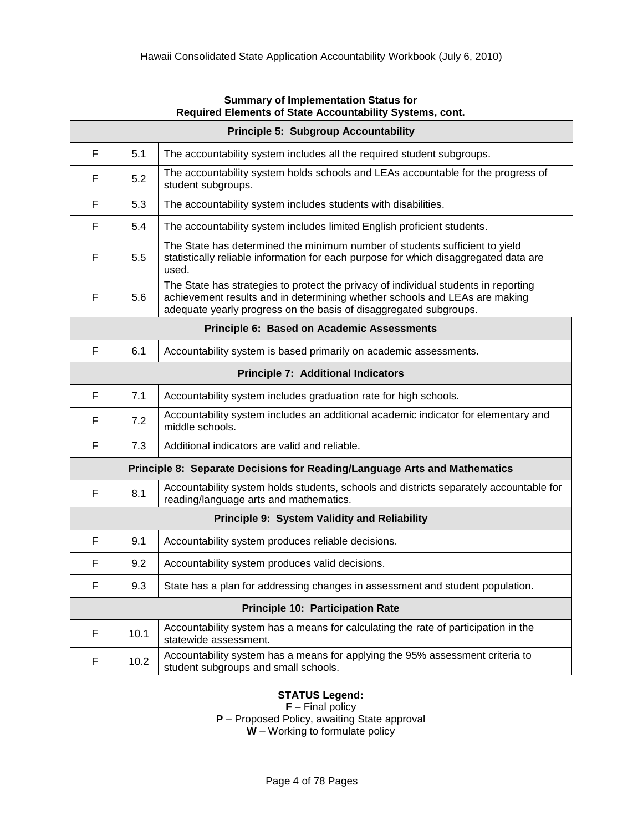| Required Elements of State Accountability Systems, cont. |                                             |                                                                                                                                                                                                                                        |  |  |
|----------------------------------------------------------|---------------------------------------------|----------------------------------------------------------------------------------------------------------------------------------------------------------------------------------------------------------------------------------------|--|--|
|                                                          | <b>Principle 5: Subgroup Accountability</b> |                                                                                                                                                                                                                                        |  |  |
| F                                                        | 5.1                                         | The accountability system includes all the required student subgroups.                                                                                                                                                                 |  |  |
| F                                                        | 5.2                                         | The accountability system holds schools and LEAs accountable for the progress of<br>student subgroups.                                                                                                                                 |  |  |
| F                                                        | 5.3                                         | The accountability system includes students with disabilities.                                                                                                                                                                         |  |  |
| F                                                        | 5.4                                         | The accountability system includes limited English proficient students.                                                                                                                                                                |  |  |
| F                                                        | 5.5                                         | The State has determined the minimum number of students sufficient to yield<br>statistically reliable information for each purpose for which disaggregated data are<br>used.                                                           |  |  |
| F                                                        | 5.6                                         | The State has strategies to protect the privacy of individual students in reporting<br>achievement results and in determining whether schools and LEAs are making<br>adequate yearly progress on the basis of disaggregated subgroups. |  |  |
|                                                          |                                             | Principle 6: Based on Academic Assessments                                                                                                                                                                                             |  |  |
| F                                                        | 6.1                                         | Accountability system is based primarily on academic assessments.                                                                                                                                                                      |  |  |
| <b>Principle 7: Additional Indicators</b>                |                                             |                                                                                                                                                                                                                                        |  |  |
| F                                                        | 7.1                                         | Accountability system includes graduation rate for high schools.                                                                                                                                                                       |  |  |
| F                                                        | 7.2                                         | Accountability system includes an additional academic indicator for elementary and<br>middle schools.                                                                                                                                  |  |  |
| F                                                        | 7.3                                         | Additional indicators are valid and reliable.                                                                                                                                                                                          |  |  |
|                                                          |                                             | Principle 8: Separate Decisions for Reading/Language Arts and Mathematics                                                                                                                                                              |  |  |
| F                                                        | 8.1                                         | Accountability system holds students, schools and districts separately accountable for<br>reading/language arts and mathematics.                                                                                                       |  |  |
|                                                          |                                             | Principle 9: System Validity and Reliability                                                                                                                                                                                           |  |  |
| F                                                        | 9.1                                         | Accountability system produces reliable decisions.                                                                                                                                                                                     |  |  |
| F                                                        | 9.2                                         | Accountability system produces valid decisions.                                                                                                                                                                                        |  |  |
| F                                                        | 9.3                                         | State has a plan for addressing changes in assessment and student population.                                                                                                                                                          |  |  |
|                                                          |                                             | <b>Principle 10: Participation Rate</b>                                                                                                                                                                                                |  |  |
| F                                                        | 10.1                                        | Accountability system has a means for calculating the rate of participation in the<br>statewide assessment.                                                                                                                            |  |  |
| F                                                        | 10.2                                        | Accountability system has a means for applying the 95% assessment criteria to<br>student subgroups and small schools.                                                                                                                  |  |  |

#### **Summary of Implementation Status for Required Elements of State Accountability Systems, cont.**

# **STATUS Legend:**

**F** – Final policy **P** – Proposed Policy, awaiting State approval **W** – Working to formulate policy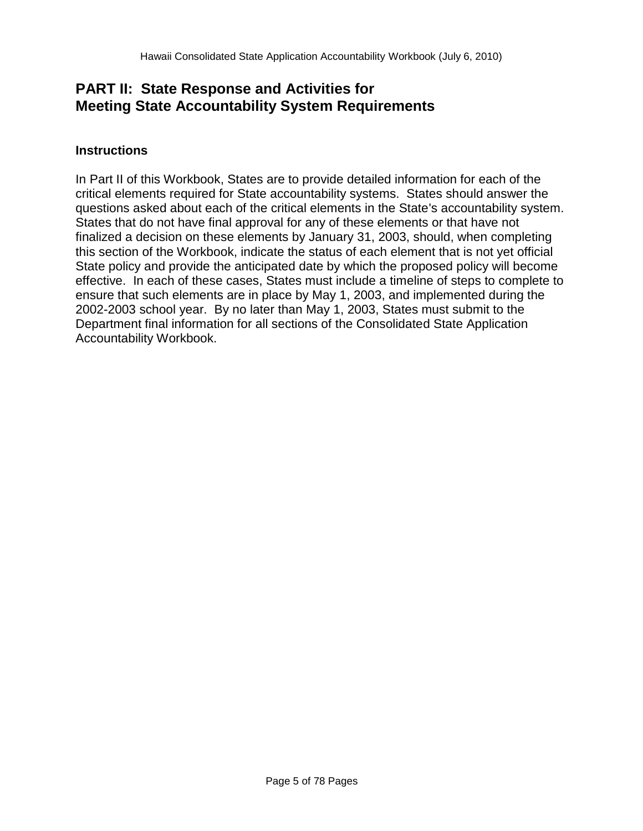# **PART II: State Response and Activities for Meeting State Accountability System Requirements**

# **Instructions**

In Part II of this Workbook, States are to provide detailed information for each of the critical elements required for State accountability systems. States should answer the questions asked about each of the critical elements in the State's accountability system. States that do not have final approval for any of these elements or that have not finalized a decision on these elements by January 31, 2003, should, when completing this section of the Workbook, indicate the status of each element that is not yet official State policy and provide the anticipated date by which the proposed policy will become effective. In each of these cases, States must include a timeline of steps to complete to ensure that such elements are in place by May 1, 2003, and implemented during the 2002-2003 school year. By no later than May 1, 2003, States must submit to the Department final information for all sections of the Consolidated State Application Accountability Workbook.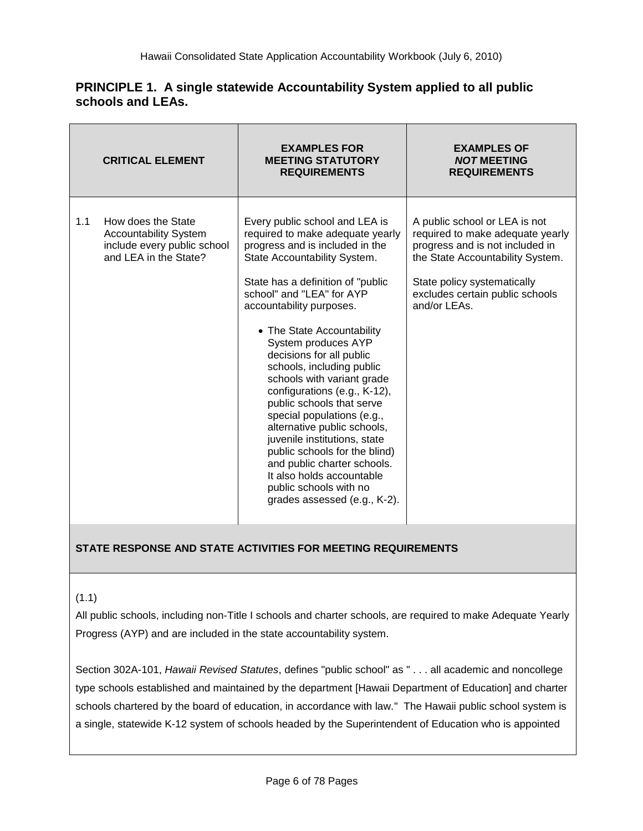# **PRINCIPLE 1. A single statewide Accountability System applied to all public schools and LEAs.**

|     | <b>CRITICAL ELEMENT</b>                                                                                    | <b>EXAMPLES FOR</b><br><b>MEETING STATUTORY</b><br><b>REQUIREMENTS</b>                                                                                                                                                                                                                                                                                                                                                                                                                                                                                                                                                                                                                            | <b>EXAMPLES OF</b><br><b>NOT MEETING</b><br><b>REQUIREMENTS</b>                                                                                                                                                            |
|-----|------------------------------------------------------------------------------------------------------------|---------------------------------------------------------------------------------------------------------------------------------------------------------------------------------------------------------------------------------------------------------------------------------------------------------------------------------------------------------------------------------------------------------------------------------------------------------------------------------------------------------------------------------------------------------------------------------------------------------------------------------------------------------------------------------------------------|----------------------------------------------------------------------------------------------------------------------------------------------------------------------------------------------------------------------------|
| 1.1 | How does the State<br><b>Accountability System</b><br>include every public school<br>and LEA in the State? | Every public school and LEA is<br>required to make adequate yearly<br>progress and is included in the<br>State Accountability System.<br>State has a definition of "public"<br>school" and "LEA" for AYP<br>accountability purposes.<br>• The State Accountability<br>System produces AYP<br>decisions for all public<br>schools, including public<br>schools with variant grade<br>configurations (e.g., K-12),<br>public schools that serve<br>special populations (e.g.,<br>alternative public schools,<br>juvenile institutions, state<br>public schools for the blind)<br>and public charter schools.<br>It also holds accountable<br>public schools with no<br>grades assessed (e.g., K-2). | A public school or LEA is not<br>required to make adequate yearly<br>progress and is not included in<br>the State Accountability System.<br>State policy systematically<br>excludes certain public schools<br>and/or LEAs. |

# **STATE RESPONSE AND STATE ACTIVITIES FOR MEETING REQUIREMENTS**

#### $(1.1)$

All public schools, including non-Title I schools and charter schools, are required to make Adequate Yearly Progress (AYP) and are included in the state accountability system.

Section 302A-101, *Hawaii Revised Statutes*, defines "public school" as " . . . all academic and noncollege type schools established and maintained by the department [Hawaii Department of Education] and charter schools chartered by the board of education, in accordance with law." The Hawaii public school system is a single, statewide K-12 system of schools headed by the Superintendent of Education who is appointed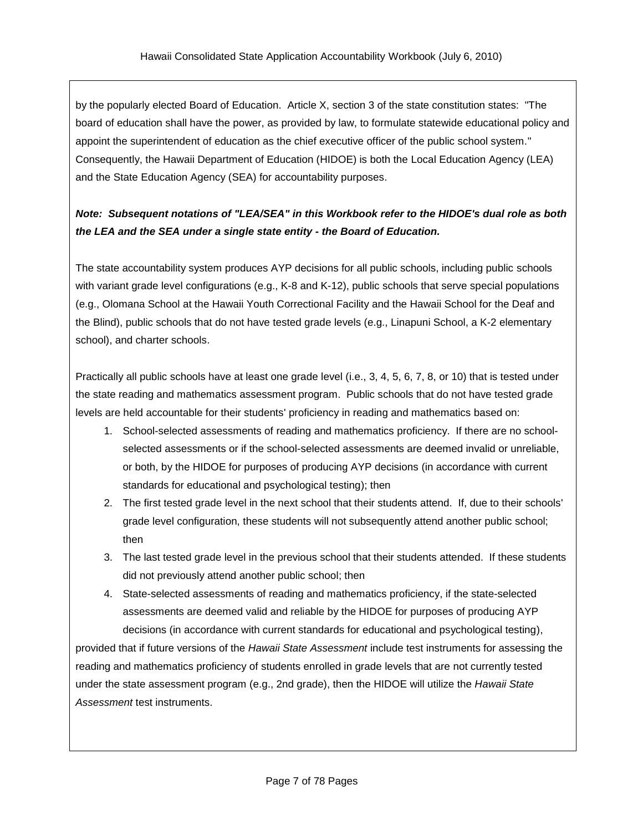by the popularly elected Board of Education. Article X, section 3 of the state constitution states: "The board of education shall have the power, as provided by law, to formulate statewide educational policy and appoint the superintendent of education as the chief executive officer of the public school system." Consequently, the Hawaii Department of Education (HIDOE) is both the Local Education Agency (LEA) and the State Education Agency (SEA) for accountability purposes.

# *Note: Subsequent notations of "LEA/SEA" in this Workbook refer to the HIDOE's dual role as both the LEA and the SEA under a single state entity - the Board of Education.*

The state accountability system produces AYP decisions for all public schools, including public schools with variant grade level configurations (e.g., K-8 and K-12), public schools that serve special populations (e.g., Olomana School at the Hawaii Youth Correctional Facility and the Hawaii School for the Deaf and the Blind), public schools that do not have tested grade levels (e.g., Linapuni School, a K-2 elementary school), and charter schools.

Practically all public schools have at least one grade level (i.e., 3, 4, 5, 6, 7, 8, or 10) that is tested under the state reading and mathematics assessment program. Public schools that do not have tested grade levels are held accountable for their students' proficiency in reading and mathematics based on:

- 1. School-selected assessments of reading and mathematics proficiency. If there are no schoolselected assessments or if the school-selected assessments are deemed invalid or unreliable, or both, by the HIDOE for purposes of producing AYP decisions (in accordance with current standards for educational and psychological testing); then
- 2. The first tested grade level in the next school that their students attend. If, due to their schools' grade level configuration, these students will not subsequently attend another public school; then
- 3. The last tested grade level in the previous school that their students attended. If these students did not previously attend another public school; then
- 4. State-selected assessments of reading and mathematics proficiency, if the state-selected assessments are deemed valid and reliable by the HIDOE for purposes of producing AYP decisions (in accordance with current standards for educational and psychological testing),

provided that if future versions of the *Hawaii State Assessment* include test instruments for assessing the reading and mathematics proficiency of students enrolled in grade levels that are not currently tested under the state assessment program (e.g., 2nd grade), then the HIDOE will utilize the *Hawaii State Assessment* test instruments.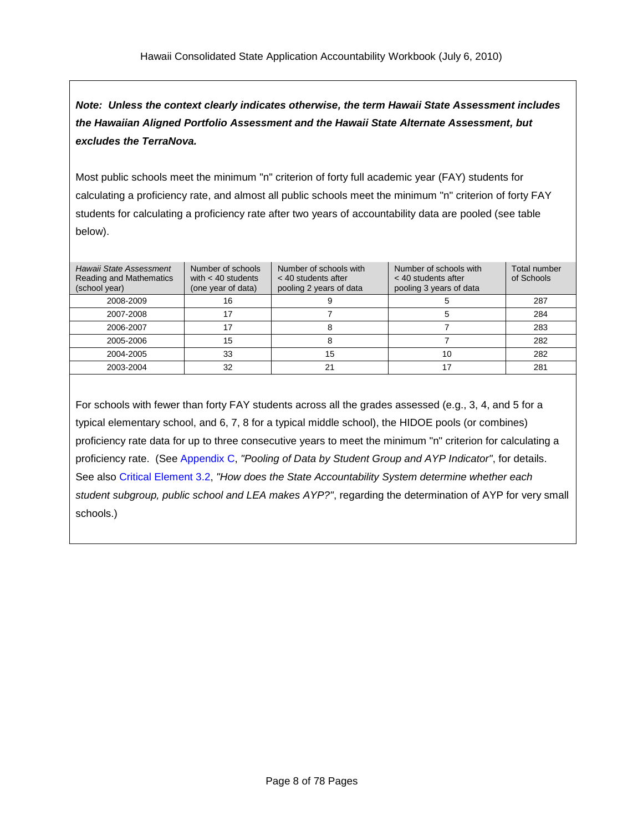*Note: Unless the context clearly indicates otherwise, the term Hawaii State Assessment includes the Hawaiian Aligned Portfolio Assessment and the Hawaii State Alternate Assessment, but excludes the TerraNova.*

Most public schools meet the minimum "n" criterion of forty full academic year (FAY) students for calculating a proficiency rate, and almost all public schools meet the minimum "n" criterion of forty FAY students for calculating a proficiency rate after two years of accountability data are pooled (see table below).

| Hawaii State Assessment<br><b>Reading and Mathematics</b><br>(school year) | Number of schools<br>with $<$ 40 students<br>(one year of data) | Number of schools with<br>$<$ 40 students after<br>pooling 2 years of data | Number of schools with<br>$<$ 40 students after<br>pooling 3 years of data | Total number<br>of Schools |
|----------------------------------------------------------------------------|-----------------------------------------------------------------|----------------------------------------------------------------------------|----------------------------------------------------------------------------|----------------------------|
| 2008-2009                                                                  | 16                                                              |                                                                            |                                                                            | 287                        |
| 2007-2008                                                                  |                                                                 |                                                                            |                                                                            | 284                        |
| 2006-2007                                                                  |                                                                 |                                                                            |                                                                            | 283                        |
| 2005-2006                                                                  | 15                                                              | 8                                                                          |                                                                            | 282                        |
| 2004-2005                                                                  | 33                                                              | 15                                                                         | 10                                                                         | 282                        |
| 2003-2004                                                                  | 32                                                              | 21                                                                         |                                                                            | 281                        |

For schools with fewer than forty FAY students across all the grades assessed (e.g., 3, 4, and 5 for a typical elementary school, and 6, 7, 8 for a typical middle school), the HIDOE pools (or combines) proficiency rate data for up to three consecutive years to meet the minimum "n" criterion for calculating a proficiency rate. (See [Appendix](#page-75-0) C, *"Pooling of Data by Student Group and AYP Indicator"*, for details. See also Critical [Element](#page-22-0) 3.2, *"How does the State Accountability System determine whether each student subgroup, public school and LEA makes AYP?"*, regarding the determination of AYP for very small schools.)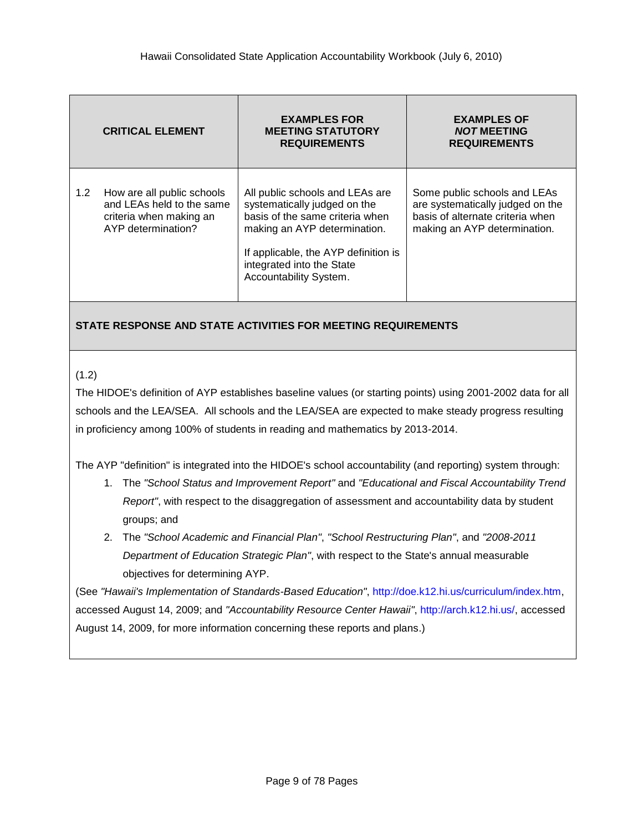|               | <b>CRITICAL ELEMENT</b>                                                                                  | <b>EXAMPLES FOR</b><br><b>MEETING STATUTORY</b><br><b>REQUIREMENTS</b>                                                                                                                                                            | <b>EXAMPLES OF</b><br><b>NOT MEETING</b><br><b>REQUIREMENTS</b>                                                                      |
|---------------|----------------------------------------------------------------------------------------------------------|-----------------------------------------------------------------------------------------------------------------------------------------------------------------------------------------------------------------------------------|--------------------------------------------------------------------------------------------------------------------------------------|
| $1.2^{\circ}$ | How are all public schools<br>and LEAs held to the same<br>criteria when making an<br>AYP determination? | All public schools and LEAs are<br>systematically judged on the<br>basis of the same criteria when<br>making an AYP determination.<br>If applicable, the AYP definition is<br>integrated into the State<br>Accountability System. | Some public schools and LEAs<br>are systematically judged on the<br>basis of alternate criteria when<br>making an AYP determination. |

## $(1.2)$

The HIDOE's definition of AYP establishes baseline values (or starting points) using 2001-2002 data for all schools and the LEA/SEA. All schools and the LEA/SEA are expected to make steady progress resulting in proficiency among 100% of students in reading and mathematics by 2013-2014.

The AYP "definition" is integrated into the HIDOE's school accountability (and reporting) system through:

- 1. The *"School Status and Improvement Report"* and *"Educational and Fiscal Accountability Trend Report"*, with respect to the disaggregation of assessment and accountability data by student groups; and
- 2. The *"School Academic and Financial Plan"*, *"School Restructuring Plan"*, and *"2008-2011 Department of Education Strategic Plan"*, with respect to the State's annual measurable objectives for determining AYP.

(See *"Hawaii's Implementation of Standards-Based Education"*, [http://doe.k12.hi.us/curriculum/index.htm,](http://doe.k12.hi.us/curriculum/index.htm) accessed August 14, 2009; and *"Accountability Resource Center Hawaii"*, [http://arch.k12.hi.us/,](http://arch.k12.hi.us/) accessed August 14, 2009, for more information concerning these reports and plans.)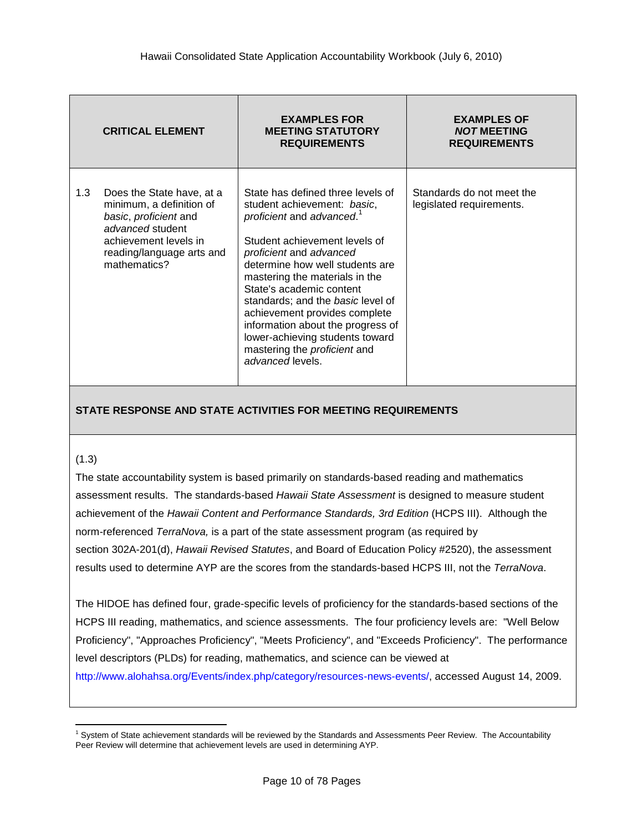|     | <b>CRITICAL ELEMENT</b>                                                                                                                                                  | <b>EXAMPLES FOR</b><br><b>MEETING STATUTORY</b><br><b>REQUIREMENTS</b>                                                                                                                                                                                                                                                                                                                                                                                                   | <b>EXAMPLES OF</b><br><b>NOT MEETING</b><br><b>REQUIREMENTS</b> |
|-----|--------------------------------------------------------------------------------------------------------------------------------------------------------------------------|--------------------------------------------------------------------------------------------------------------------------------------------------------------------------------------------------------------------------------------------------------------------------------------------------------------------------------------------------------------------------------------------------------------------------------------------------------------------------|-----------------------------------------------------------------|
| 1.3 | Does the State have, at a<br>minimum, a definition of<br>basic, proficient and<br>advanced student<br>achievement levels in<br>reading/language arts and<br>mathematics? | State has defined three levels of<br>student achievement: basic,<br>proficient and advanced. <sup>1</sup><br>Student achievement levels of<br>proficient and advanced<br>determine how well students are<br>mastering the materials in the<br>State's academic content<br>standards; and the basic level of<br>achievement provides complete<br>information about the progress of<br>lower-achieving students toward<br>mastering the proficient and<br>advanced levels. | Standards do not meet the<br>legislated requirements.           |

#### (1.3)

The state accountability system is based primarily on standards-based reading and mathematics assessment results. The standards-based *Hawaii State Assessment* is designed to measure student achievement of the *Hawaii Content and Performance Standards, 3rd Edition* (HCPS III). Although the norm-referenced *TerraNova,* is a part of the state assessment program (as required by section 302A-201(d), *Hawaii Revised Statutes*, and Board of Education Policy #2520), the assessment results used to determine AYP are the scores from the standards-based HCPS III, not the *TerraNova*.

The HIDOE has defined four, grade-specific levels of proficiency for the standards-based sections of the HCPS III reading, mathematics, and science assessments. The four proficiency levels are: "Well Below Proficiency", "Approaches Proficiency", "Meets Proficiency", and "Exceeds Proficiency". The performance level descriptors (PLDs) for reading, mathematics, and science can be viewed at

[http://www.alohahsa.org/Events/index.php/category/resources-news-events/,](http://www.alohahsa.org/Events/index.php/category/resources-news-events/) accessed August 14, 2009.

 $\overline{a}$  $1$  System of State achievement standards will be reviewed by the Standards and Assessments Peer Review. The Accountability Peer Review will determine that achievement levels are used in determining AYP.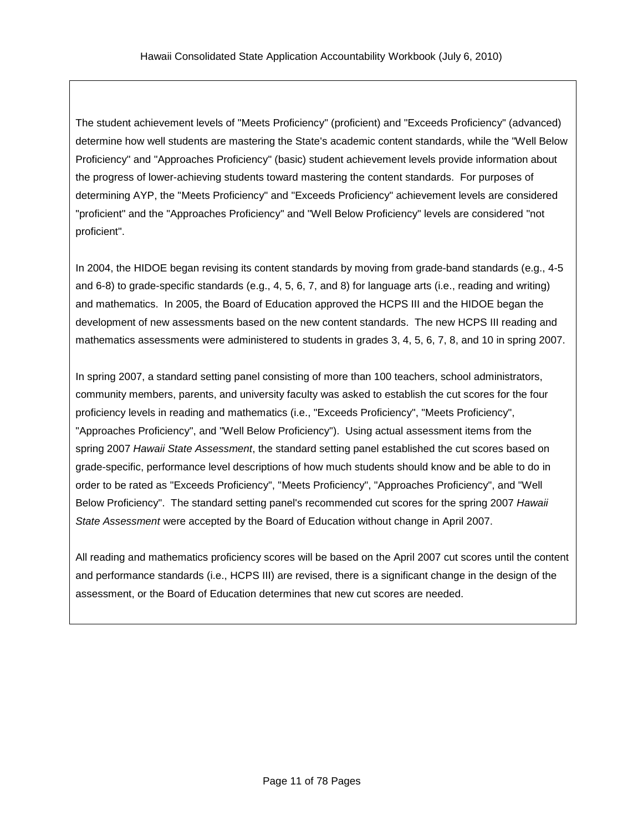The student achievement levels of "Meets Proficiency" (proficient) and "Exceeds Proficiency" (advanced) determine how well students are mastering the State's academic content standards, while the "Well Below Proficiency" and "Approaches Proficiency" (basic) student achievement levels provide information about the progress of lower-achieving students toward mastering the content standards. For purposes of determining AYP, the "Meets Proficiency" and "Exceeds Proficiency" achievement levels are considered "proficient" and the "Approaches Proficiency" and "Well Below Proficiency" levels are considered "not proficient".

In 2004, the HIDOE began revising its content standards by moving from grade-band standards (e.g., 4-5 and 6-8) to grade-specific standards (e.g., 4, 5, 6, 7, and 8) for language arts (i.e., reading and writing) and mathematics. In 2005, the Board of Education approved the HCPS III and the HIDOE began the development of new assessments based on the new content standards. The new HCPS III reading and mathematics assessments were administered to students in grades 3, 4, 5, 6, 7, 8, and 10 in spring 2007.

In spring 2007, a standard setting panel consisting of more than 100 teachers, school administrators, community members, parents, and university faculty was asked to establish the cut scores for the four proficiency levels in reading and mathematics (i.e., "Exceeds Proficiency", "Meets Proficiency", "Approaches Proficiency", and "Well Below Proficiency"). Using actual assessment items from the spring 2007 *Hawaii State Assessment*, the standard setting panel established the cut scores based on grade-specific, performance level descriptions of how much students should know and be able to do in order to be rated as "Exceeds Proficiency", "Meets Proficiency", "Approaches Proficiency", and "Well Below Proficiency". The standard setting panel's recommended cut scores for the spring 2007 *Hawaii State Assessment* were accepted by the Board of Education without change in April 2007.

All reading and mathematics proficiency scores will be based on the April 2007 cut scores until the content and performance standards (i.e., HCPS III) are revised, there is a significant change in the design of the assessment, or the Board of Education determines that new cut scores are needed.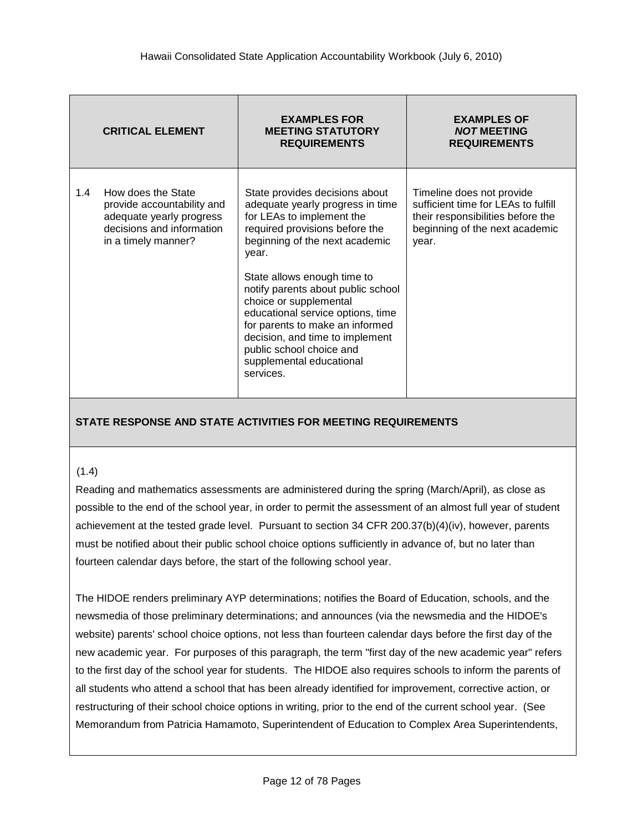|     | <b>CRITICAL ELEMENT</b>                                                                                                          | <b>EXAMPLES FOR</b><br><b>MEETING STATUTORY</b><br><b>REQUIREMENTS</b>                                                                                                                                                                                                                                                                                                                                                                                      | <b>EXAMPLES OF</b><br><b>NOT MEETING</b><br><b>REQUIREMENTS</b>                                                                                  |
|-----|----------------------------------------------------------------------------------------------------------------------------------|-------------------------------------------------------------------------------------------------------------------------------------------------------------------------------------------------------------------------------------------------------------------------------------------------------------------------------------------------------------------------------------------------------------------------------------------------------------|--------------------------------------------------------------------------------------------------------------------------------------------------|
| 1.4 | How does the State<br>provide accountability and<br>adequate yearly progress<br>decisions and information<br>in a timely manner? | State provides decisions about<br>adequate yearly progress in time<br>for LEAs to implement the<br>required provisions before the<br>beginning of the next academic<br>year.<br>State allows enough time to<br>notify parents about public school<br>choice or supplemental<br>educational service options, time<br>for parents to make an informed<br>decision, and time to implement<br>public school choice and<br>supplemental educational<br>services. | Timeline does not provide<br>sufficient time for LEAs to fulfill<br>their responsibilities before the<br>beginning of the next academic<br>year. |

#### (1.4)

Reading and mathematics assessments are administered during the spring (March/April), as close as possible to the end of the school year, in order to permit the assessment of an almost full year of student achievement at the tested grade level. Pursuant to section 34 CFR 200.37(b)(4)(iv), however, parents must be notified about their public school choice options sufficiently in advance of, but no later than fourteen calendar days before, the start of the following school year.

The HIDOE renders preliminary AYP determinations; notifies the Board of Education, schools, and the newsmedia of those preliminary determinations; and announces (via the newsmedia and the HIDOE's website) parents' school choice options, not less than fourteen calendar days before the first day of the new academic year. For purposes of this paragraph, the term "first day of the new academic year" refers to the first day of the school year for students. The HIDOE also requires schools to inform the parents of all students who attend a school that has been already identified for improvement, corrective action, or restructuring of their school choice options in writing, prior to the end of the current school year. (See Memorandum from Patricia Hamamoto, Superintendent of Education to Complex Area Superintendents,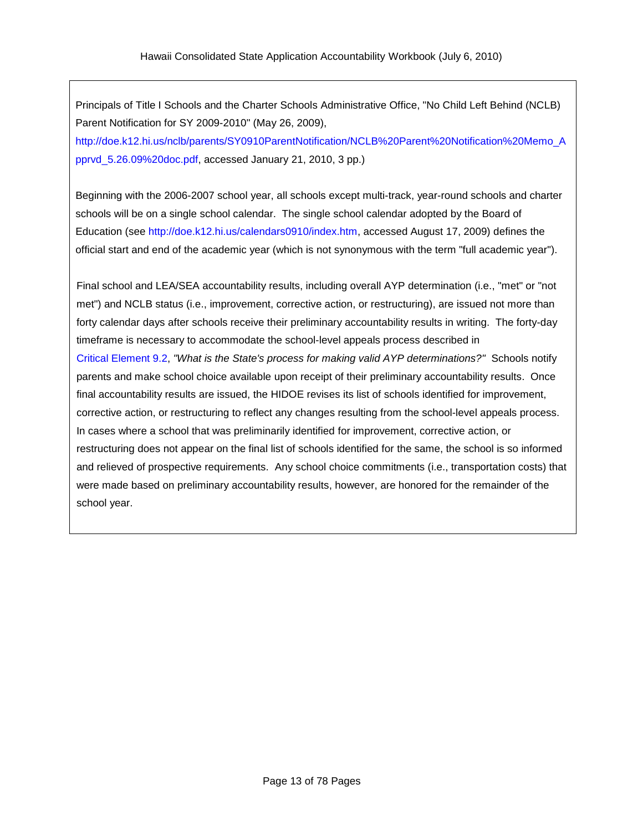Principals of Title I Schools and the Charter Schools Administrative Office, "No Child Left Behind (NCLB) Parent Notification for SY 2009-2010" (May 26, 2009), [http://doe.k12.hi.us/nclb/parents/SY0910ParentNotification/NCLB%20Parent%20Notification%20Memo\\_A](http://doe.k12.hi.us/nclb/parents/SY0910ParentNotification/NCLB%20Parent%20Notification%20Memo_Apprvd_5.26.09%20doc.pdf) [pprvd\\_5.26.09%20doc.pdf,](http://doe.k12.hi.us/nclb/parents/SY0910ParentNotification/NCLB%20Parent%20Notification%20Memo_Apprvd_5.26.09%20doc.pdf) accessed January 21, 2010, 3 pp.)

Beginning with the 2006-2007 school year, all schools except multi-track, year-round schools and charter schools will be on a single school calendar. The single school calendar adopted by the Board of Education (see [http://doe.k12.hi.us/calendars0910/index.htm,](http://doe.k12.hi.us/calendars0910/index.htm) accessed August 17, 2009) defines the official start and end of the academic year (which is not synonymous with the term "full academic year").

Final school and LEA/SEA accountability results, including overall AYP determination (i.e., "met" or "not met") and NCLB status (i.e., improvement, corrective action, or restructuring), are issued not more than forty calendar days after schools receive their preliminary accountability results in writing. The forty-day timeframe is necessary to accommodate the school-level appeals process described in Critical [Element](#page-65-0) 9.2, *"What is the State's process for making valid AYP determinations?"* Schools notify parents and make school choice available upon receipt of their preliminary accountability results. Once final accountability results are issued, the HIDOE revises its list of schools identified for improvement, corrective action, or restructuring to reflect any changes resulting from the school-level appeals process. In cases where a school that was preliminarily identified for improvement, corrective action, or restructuring does not appear on the final list of schools identified for the same, the school is so informed and relieved of prospective requirements. Any school choice commitments (i.e., transportation costs) that were made based on preliminary accountability results, however, are honored for the remainder of the school year.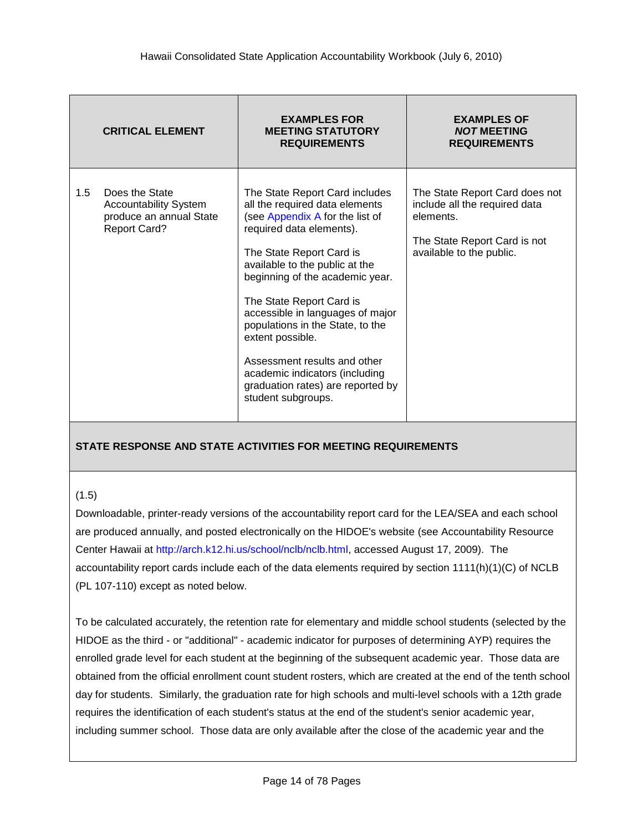|               | <b>CRITICAL ELEMENT</b>                                                                          | <b>EXAMPLES FOR</b><br><b>MEETING STATUTORY</b><br><b>REQUIREMENTS</b>                                                                                                                                                                                                                                                                                                                                                                                                                | <b>EXAMPLES OF</b><br><b>NOT MEETING</b><br><b>REQUIREMENTS</b>                                                                          |
|---------------|--------------------------------------------------------------------------------------------------|---------------------------------------------------------------------------------------------------------------------------------------------------------------------------------------------------------------------------------------------------------------------------------------------------------------------------------------------------------------------------------------------------------------------------------------------------------------------------------------|------------------------------------------------------------------------------------------------------------------------------------------|
| $1.5^{\circ}$ | Does the State<br><b>Accountability System</b><br>produce an annual State<br><b>Report Card?</b> | The State Report Card includes<br>all the required data elements<br>(see Appendix A for the list of<br>required data elements).<br>The State Report Card is<br>available to the public at the<br>beginning of the academic year.<br>The State Report Card is<br>accessible in languages of major<br>populations in the State, to the<br>extent possible.<br>Assessment results and other<br>academic indicators (including<br>graduation rates) are reported by<br>student subgroups. | The State Report Card does not<br>include all the required data<br>elements.<br>The State Report Card is not<br>available to the public. |

#### (1.5)

Downloadable, printer-ready versions of the accountability report card for the LEA/SEA and each school are produced annually, and posted electronically on the HIDOE's website (see Accountability Resource Center Hawaii at [http://arch.k12.hi.us/school/nclb/nclb.html,](http://arch.k12.hi.us/school/nclb/nclb.html) accessed August 17, 2009). The accountability report cards include each of the data elements required by section 1111(h)(1)(C) of NCLB (PL 107-110) except as noted below.

To be calculated accurately, the retention rate for elementary and middle school students (selected by the HIDOE as the third - or "additional" - academic indicator for purposes of determining AYP) requires the enrolled grade level for each student at the beginning of the subsequent academic year. Those data are obtained from the official enrollment count student rosters, which are created at the end of the tenth school day for students. Similarly, the graduation rate for high schools and multi-level schools with a 12th grade requires the identification of each student's status at the end of the student's senior academic year, including summer school. Those data are only available after the close of the academic year and the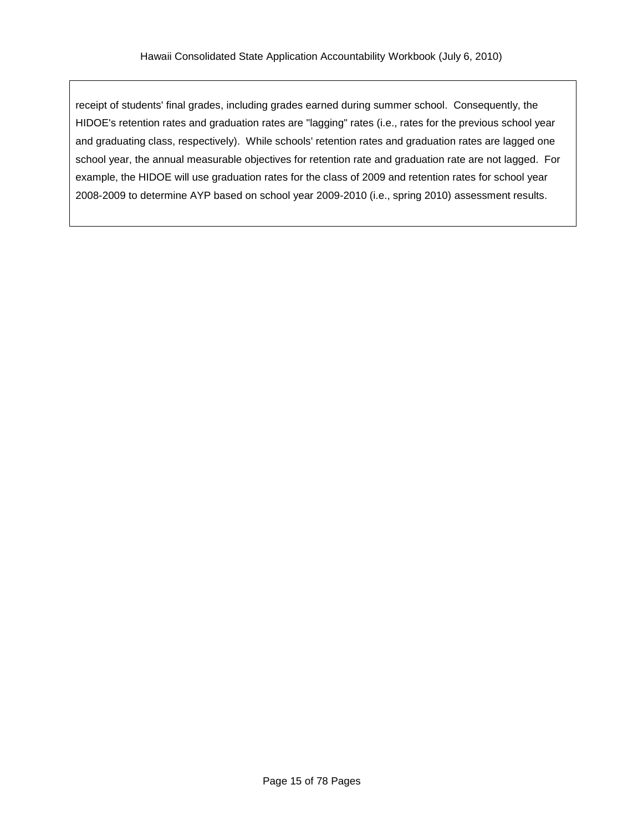receipt of students' final grades, including grades earned during summer school. Consequently, the HIDOE's retention rates and graduation rates are "lagging" rates (i.e., rates for the previous school year and graduating class, respectively). While schools' retention rates and graduation rates are lagged one school year, the annual measurable objectives for retention rate and graduation rate are not lagged. For example, the HIDOE will use graduation rates for the class of 2009 and retention rates for school year 2008-2009 to determine AYP based on school year 2009-2010 (i.e., spring 2010) assessment results.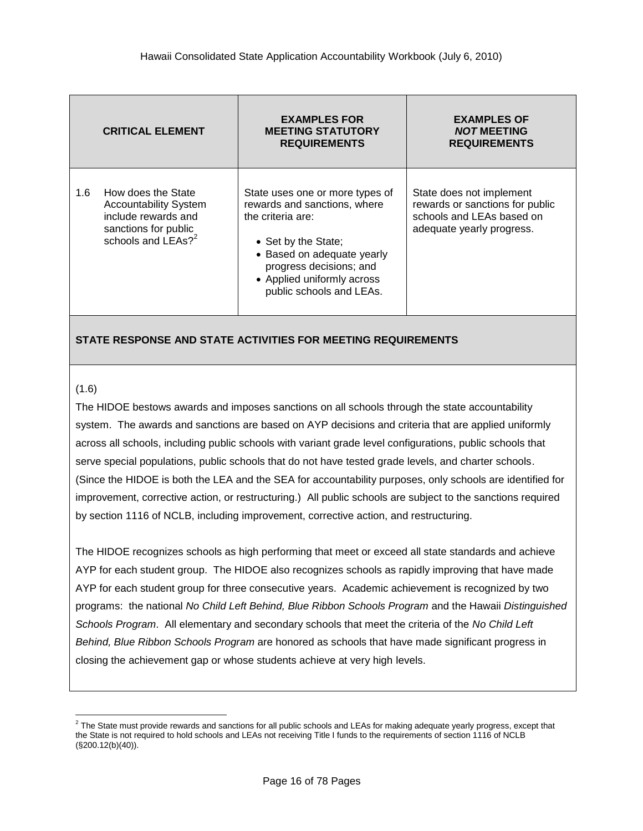|     | <b>CRITICAL ELEMENT</b>                                                                                                             | <b>EXAMPLES FOR</b><br><b>MEETING STATUTORY</b><br><b>REQUIREMENTS</b>                                                                                                                                                         | <b>EXAMPLES OF</b><br><b>NOT MEETING</b><br><b>REQUIREMENTS</b>                                                       |
|-----|-------------------------------------------------------------------------------------------------------------------------------------|--------------------------------------------------------------------------------------------------------------------------------------------------------------------------------------------------------------------------------|-----------------------------------------------------------------------------------------------------------------------|
| 1.6 | How does the State<br><b>Accountability System</b><br>include rewards and<br>sanctions for public<br>schools and LEAs? <sup>2</sup> | State uses one or more types of<br>rewards and sanctions, where<br>the criteria are:<br>• Set by the State;<br>• Based on adequate yearly<br>progress decisions; and<br>• Applied uniformly across<br>public schools and LEAs. | State does not implement<br>rewards or sanctions for public<br>schools and LEAs based on<br>adequate yearly progress. |

#### (1.6)

 $\overline{a}$ 

The HIDOE bestows awards and imposes sanctions on all schools through the state accountability system. The awards and sanctions are based on AYP decisions and criteria that are applied uniformly across all schools, including public schools with variant grade level configurations, public schools that serve special populations, public schools that do not have tested grade levels, and charter schools. (Since the HIDOE is both the LEA and the SEA for accountability purposes, only schools are identified for improvement, corrective action, or restructuring.) All public schools are subject to the sanctions required by section 1116 of NCLB, including improvement, corrective action, and restructuring.

The HIDOE recognizes schools as high performing that meet or exceed all state standards and achieve AYP for each student group. The HIDOE also recognizes schools as rapidly improving that have made AYP for each student group for three consecutive years. Academic achievement is recognized by two programs: the national *No Child Left Behind, Blue Ribbon Schools Program* and the Hawaii *Distinguished Schools Program*. All elementary and secondary schools that meet the criteria of the *No Child Left Behind, Blue Ribbon Schools Program* are honored as schools that have made significant progress in closing the achievement gap or whose students achieve at very high levels.

 $^2$  The State must provide rewards and sanctions for all public schools and LEAs for making adequate yearly progress, except that the State is not required to hold schools and LEAs not receiving Title I funds to the requirements of section 1116 of NCLB (§200.12(b)(40)).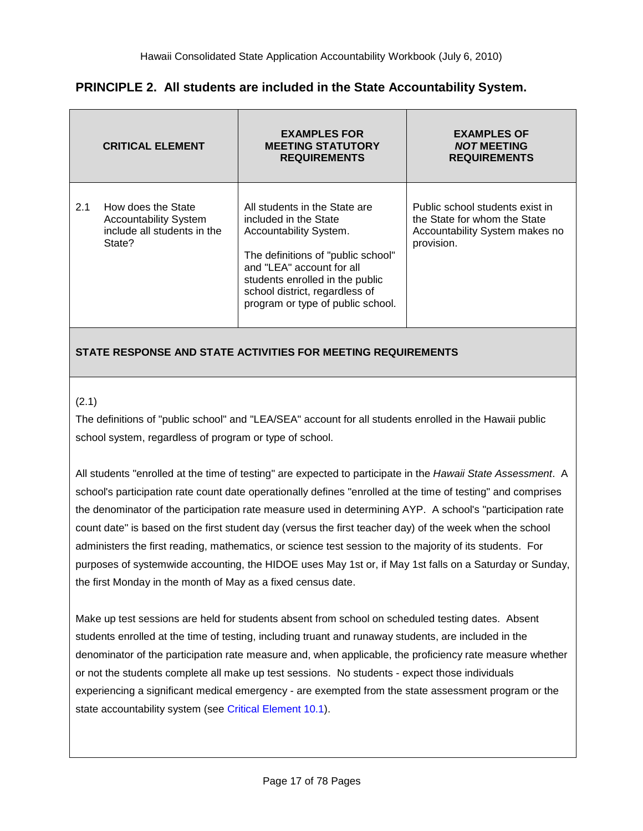|     | <b>CRITICAL ELEMENT</b>                                                                     | <b>EXAMPLES FOR</b><br><b>MEETING STATUTORY</b><br><b>REQUIREMENTS</b>                                                                                                                                                                                        | <b>EXAMPLES OF</b><br><b>NOT MEETING</b><br><b>REQUIREMENTS</b>                                                 |
|-----|---------------------------------------------------------------------------------------------|---------------------------------------------------------------------------------------------------------------------------------------------------------------------------------------------------------------------------------------------------------------|-----------------------------------------------------------------------------------------------------------------|
| 2.1 | How does the State<br><b>Accountability System</b><br>include all students in the<br>State? | All students in the State are<br>included in the State<br>Accountability System.<br>The definitions of "public school"<br>and "LEA" account for all<br>students enrolled in the public<br>school district, regardless of<br>program or type of public school. | Public school students exist in<br>the State for whom the State<br>Accountability System makes no<br>provision. |

# **PRINCIPLE 2. All students are included in the State Accountability System.**

## **STATE RESPONSE AND STATE ACTIVITIES FOR MEETING REQUIREMENTS**

#### <span id="page-16-0"></span>(2.1)

The definitions of "public school" and "LEA/SEA" account for all students enrolled in the Hawaii public school system, regardless of program or type of school.

All students "enrolled at the time of testing" are expected to participate in the *Hawaii State Assessment*. A school's participation rate count date operationally defines "enrolled at the time of testing" and comprises the denominator of the participation rate measure used in determining AYP. A school's "participation rate count date" is based on the first student day (versus the first teacher day) of the week when the school administers the first reading, mathematics, or science test session to the majority of its students. For purposes of systemwide accounting, the HIDOE uses May 1st or, if May 1st falls on a Saturday or Sunday, the first Monday in the month of May as a fixed census date.

Make up test sessions are held for students absent from school on scheduled testing dates. Absent students enrolled at the time of testing, including truant and runaway students, are included in the denominator of the participation rate measure and, when applicable, the proficiency rate measure whether or not the students complete all make up test sessions. No students - expect those individuals experiencing a significant medical emergency - are exempted from the state assessment program or the state accountability system (see Critical [Element](#page-69-0) 10.1).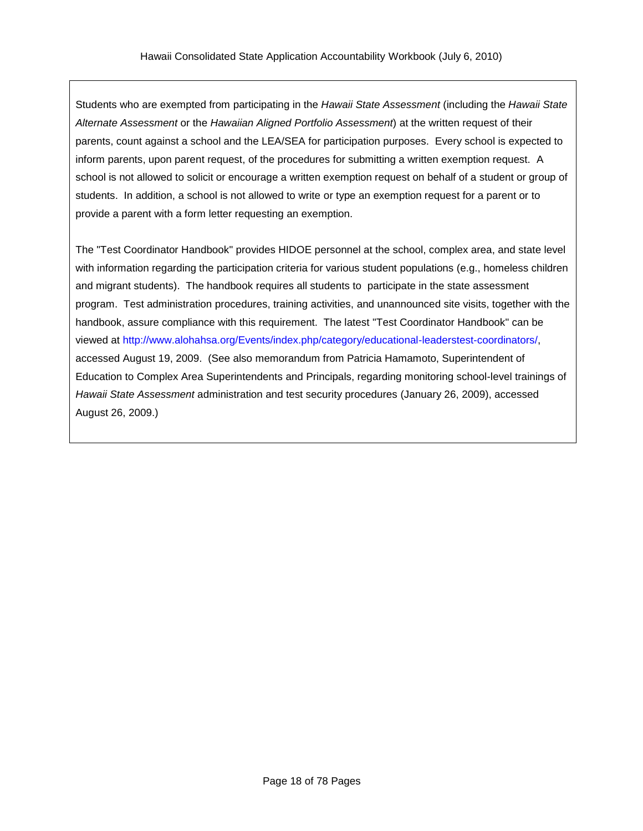Students who are exempted from participating in the *Hawaii State Assessment* (including the *Hawaii State Alternate Assessment* or the *Hawaiian Aligned Portfolio Assessment*) at the written request of their parents, count against a school and the LEA/SEA for participation purposes. Every school is expected to inform parents, upon parent request, of the procedures for submitting a written exemption request. A school is not allowed to solicit or encourage a written exemption request on behalf of a student or group of students. In addition, a school is not allowed to write or type an exemption request for a parent or to provide a parent with a form letter requesting an exemption.

The "Test Coordinator Handbook" provides HIDOE personnel at the school, complex area, and state level with information regarding the participation criteria for various student populations (e.g., homeless children and migrant students). The handbook requires all students to participate in the state assessment program. Test administration procedures, training activities, and unannounced site visits, together with the handbook, assure compliance with this requirement. The latest "Test Coordinator Handbook" can be viewed at [http://www.alohahsa.org/Events/index.php/category/educational-leaderstest-coordinators/,](http://www.alohahsa.org/Events/index.php/category/educational-leaderstest-coordinators/) accessed August 19, 2009. (See also memorandum from Patricia Hamamoto, Superintendent of Education to Complex Area Superintendents and Principals, regarding monitoring school-level trainings of *Hawaii State Assessment* administration and test security procedures (January 26, 2009), accessed August 26, 2009.)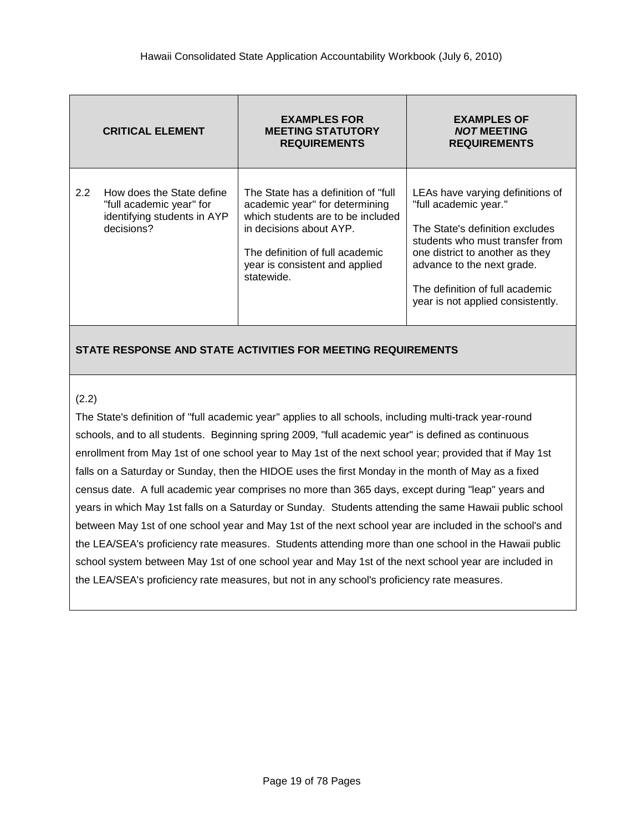|               | <b>CRITICAL ELEMENT</b>                                                                            | <b>EXAMPLES FOR</b><br><b>MEETING STATUTORY</b><br><b>REQUIREMENTS</b>                                                                                                                                                    | <b>EXAMPLES OF</b><br><b>NOT MEETING</b><br><b>REQUIREMENTS</b>                                                                                                                                                                                                          |
|---------------|----------------------------------------------------------------------------------------------------|---------------------------------------------------------------------------------------------------------------------------------------------------------------------------------------------------------------------------|--------------------------------------------------------------------------------------------------------------------------------------------------------------------------------------------------------------------------------------------------------------------------|
| $2.2^{\circ}$ | How does the State define<br>"full academic year" for<br>identifying students in AYP<br>decisions? | The State has a definition of "full"<br>academic year" for determining<br>which students are to be included<br>in decisions about AYP.<br>The definition of full academic<br>year is consistent and applied<br>statewide. | LEAs have varying definitions of<br>"full academic year."<br>The State's definition excludes<br>students who must transfer from<br>one district to another as they<br>advance to the next grade.<br>The definition of full academic<br>year is not applied consistently. |

#### (2.2)

The State's definition of "full academic year" applies to all schools, including multi-track year-round schools, and to all students. Beginning spring 2009, "full academic year" is defined as continuous enrollment from May 1st of one school year to May 1st of the next school year; provided that if May 1st falls on a Saturday or Sunday, then the HIDOE uses the first Monday in the month of May as a fixed census date. A full academic year comprises no more than 365 days, except during "leap" years and years in which May 1st falls on a Saturday or Sunday. Students attending the same Hawaii public school between May 1st of one school year and May 1st of the next school year are included in the school's and the LEA/SEA's proficiency rate measures. Students attending more than one school in the Hawaii public school system between May 1st of one school year and May 1st of the next school year are included in the LEA/SEA's proficiency rate measures, but not in any school's proficiency rate measures.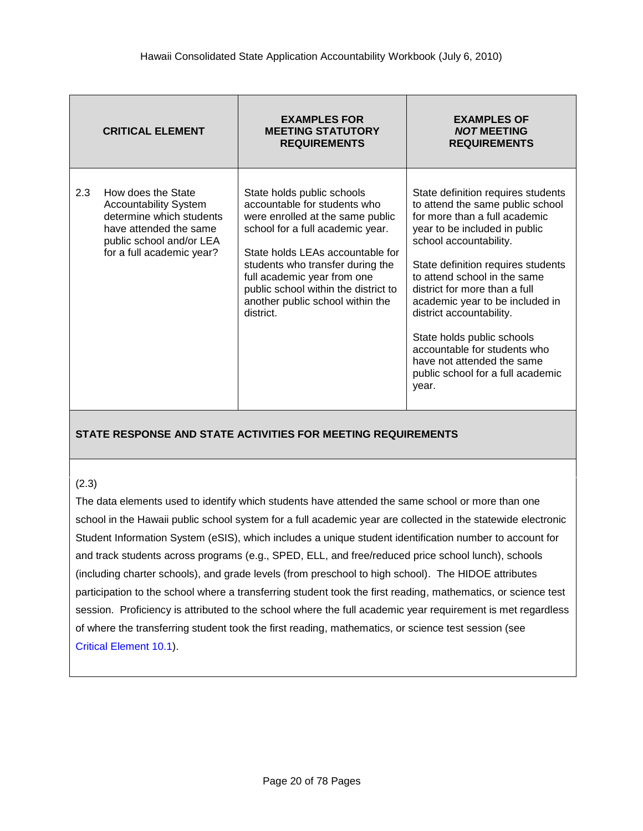|     | <b>CRITICAL ELEMENT</b>                                                                                                                                           | <b>EXAMPLES FOR</b><br><b>MEETING STATUTORY</b><br><b>REQUIREMENTS</b>                                                                                                                                                                                                                                                             | <b>EXAMPLES OF</b><br><b>NOT MEETING</b><br><b>REQUIREMENTS</b>                                                                                                                                                                                                                                                                                                                                                                                                                    |
|-----|-------------------------------------------------------------------------------------------------------------------------------------------------------------------|------------------------------------------------------------------------------------------------------------------------------------------------------------------------------------------------------------------------------------------------------------------------------------------------------------------------------------|------------------------------------------------------------------------------------------------------------------------------------------------------------------------------------------------------------------------------------------------------------------------------------------------------------------------------------------------------------------------------------------------------------------------------------------------------------------------------------|
| 2.3 | How does the State<br><b>Accountability System</b><br>determine which students<br>have attended the same<br>public school and/or LEA<br>for a full academic year? | State holds public schools<br>accountable for students who<br>were enrolled at the same public<br>school for a full academic year.<br>State holds LEAs accountable for<br>students who transfer during the<br>full academic year from one<br>public school within the district to<br>another public school within the<br>district. | State definition requires students<br>to attend the same public school<br>for more than a full academic<br>year to be included in public<br>school accountability.<br>State definition requires students<br>to attend school in the same<br>district for more than a full<br>academic year to be included in<br>district accountability.<br>State holds public schools<br>accountable for students who<br>have not attended the same<br>public school for a full academic<br>year. |

#### (2.3)

The data elements used to identify which students have attended the same school or more than one school in the Hawaii public school system for a full academic year are collected in the statewide electronic Student Information System (eSIS), which includes a unique student identification number to account for and track students across programs (e.g., SPED, ELL, and free/reduced price school lunch), schools (including charter schools), and grade levels (from preschool to high school). The HIDOE attributes participation to the school where a transferring student took the first reading, mathematics, or science test session. Proficiency is attributed to the school where the full academic year requirement is met regardless of where the transferring student took the first reading, mathematics, or science test session (see Critical [Element](#page-69-0) 10.1).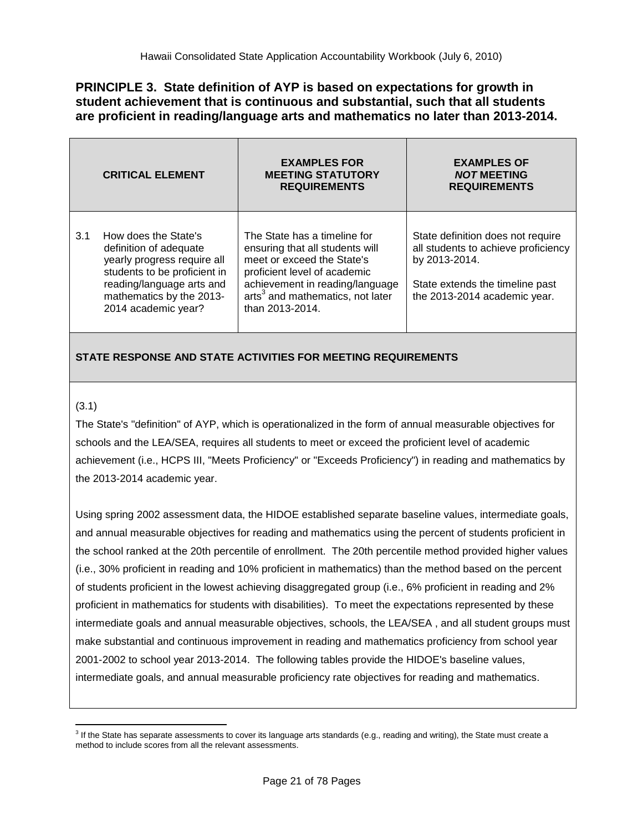## **PRINCIPLE 3. State definition of AYP is based on expectations for growth in student achievement that is continuous and substantial, such that all students are proficient in reading/language arts and mathematics no later than 2013-2014.**

|     | <b>CRITICAL ELEMENT</b>                                                                                                                                                                       | <b>EXAMPLES FOR</b><br><b>MEETING STATUTORY</b><br><b>REQUIREMENTS</b>                                                                                                                                                              | <b>EXAMPLES OF</b><br><b>NOT MEETING</b><br><b>REQUIREMENTS</b>                                                                                              |
|-----|-----------------------------------------------------------------------------------------------------------------------------------------------------------------------------------------------|-------------------------------------------------------------------------------------------------------------------------------------------------------------------------------------------------------------------------------------|--------------------------------------------------------------------------------------------------------------------------------------------------------------|
| 3.1 | How does the State's<br>definition of adequate<br>yearly progress require all<br>students to be proficient in<br>reading/language arts and<br>mathematics by the 2013-<br>2014 academic year? | The State has a timeline for<br>ensuring that all students will<br>meet or exceed the State's<br>proficient level of academic<br>achievement in reading/language<br>arts <sup>3</sup> and mathematics, not later<br>than 2013-2014. | State definition does not require<br>all students to achieve proficiency<br>by 2013-2014.<br>State extends the timeline past<br>the 2013-2014 academic year. |

## **STATE RESPONSE AND STATE ACTIVITIES FOR MEETING REQUIREMENTS**

#### <span id="page-20-0"></span>(3.1)

The State's "definition" of AYP, which is operationalized in the form of annual measurable objectives for schools and the LEA/SEA, requires all students to meet or exceed the proficient level of academic achievement (i.e., HCPS III, "Meets Proficiency" or "Exceeds Proficiency") in reading and mathematics by the 2013-2014 academic year.

Using spring 2002 assessment data, the HIDOE established separate baseline values, intermediate goals, and annual measurable objectives for reading and mathematics using the percent of students proficient in the school ranked at the 20th percentile of enrollment. The 20th percentile method provided higher values (i.e., 30% proficient in reading and 10% proficient in mathematics) than the method based on the percent of students proficient in the lowest achieving disaggregated group (i.e., 6% proficient in reading and 2% proficient in mathematics for students with disabilities). To meet the expectations represented by these intermediate goals and annual measurable objectives, schools, the LEA/SEA , and all student groups must make substantial and continuous improvement in reading and mathematics proficiency from school year 2001-2002 to school year 2013-2014. The following tables provide the HIDOE's baseline values, intermediate goals, and annual measurable proficiency rate objectives for reading and mathematics.

 $\overline{a}$ <sup>3</sup> If the State has separate assessments to cover its language arts standards (e.g., reading and writing), the State must create a method to include scores from all the relevant assessments.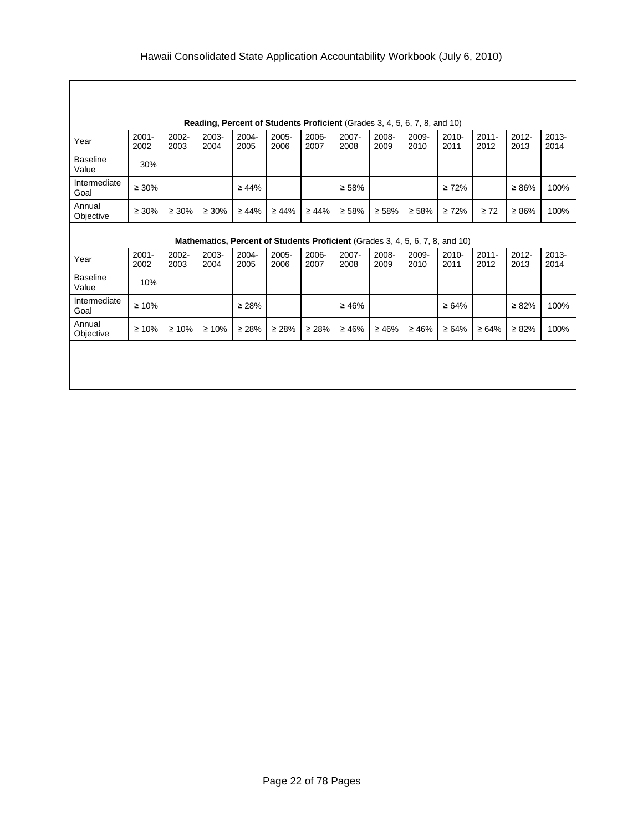Г

|                          | Reading, Percent of Students Proficient (Grades 3, 4, 5, 6, 7, 8, and 10) |               |               |                  |               |               |               |                                                                               |               |                  |                  |                  |                  |
|--------------------------|---------------------------------------------------------------------------|---------------|---------------|------------------|---------------|---------------|---------------|-------------------------------------------------------------------------------|---------------|------------------|------------------|------------------|------------------|
| Year                     | $2001 -$<br>2002                                                          | 2002-<br>2003 | 2003-<br>2004 | 2004-<br>2005    | 2005-<br>2006 | 2006-<br>2007 | 2007-<br>2008 | 2008-<br>2009                                                                 | 2009-<br>2010 | $2010 -$<br>2011 | $2011 -$<br>2012 | $2012 -$<br>2013 | $2013 -$<br>2014 |
| <b>Baseline</b><br>Value | 30%                                                                       |               |               |                  |               |               |               |                                                                               |               |                  |                  |                  |                  |
| Intermediate<br>Goal     | $\geq 30\%$                                                               |               |               | $\geq 44\%$      |               |               | $\geq 58\%$   |                                                                               |               | $\geq 72\%$      |                  | $\geq 86\%$      | 100%             |
| Annual<br>Objective      | $\geq 30\%$                                                               | $\geq 30\%$   | $\geq 30\%$   | $\geq 44\%$      | $\geq 44\%$   | $\geq 44\%$   | $\geq 58\%$   | $\geq 58\%$                                                                   | $\geq 58\%$   | $\geq 72\%$      | $\geq 72$        | $\geq 86\%$      | 100%             |
|                          |                                                                           |               |               |                  |               |               |               | Mathematics, Percent of Students Proficient (Grades 3, 4, 5, 6, 7, 8, and 10) |               |                  |                  |                  |                  |
| Year                     | $2001 -$<br>2002                                                          | 2002-<br>2003 | 2003-<br>2004 | $2004 -$<br>2005 | 2005-<br>2006 | 2006-<br>2007 | 2007-<br>2008 | 2008-<br>2009                                                                 | 2009-<br>2010 | $2010 -$<br>2011 | $2011 -$<br>2012 | $2012 -$<br>2013 | $2013 -$<br>2014 |
| <b>Baseline</b><br>Value | 10%                                                                       |               |               |                  |               |               |               |                                                                               |               |                  |                  |                  |                  |
| Intermediate<br>Goal     | $\geq 10\%$                                                               |               |               | $\geq 28\%$      |               |               | $\geq 46\%$   |                                                                               |               | $\geq 64\%$      |                  | $\geq 82\%$      | 100%             |
| Annual<br>Objective      | $\geq 10\%$                                                               | $\geq 10\%$   | $\geq 10\%$   | $\geq 28\%$      | $\geq 28\%$   | $\geq 28\%$   | $\geq 46\%$   | $\geq 46\%$                                                                   | $\geq 46\%$   | $\geq 64\%$      | $\geq 64\%$      | $\geq 82\%$      | 100%             |
|                          |                                                                           |               |               |                  |               |               |               |                                                                               |               |                  |                  |                  |                  |
|                          |                                                                           |               |               |                  |               |               |               |                                                                               |               |                  |                  |                  |                  |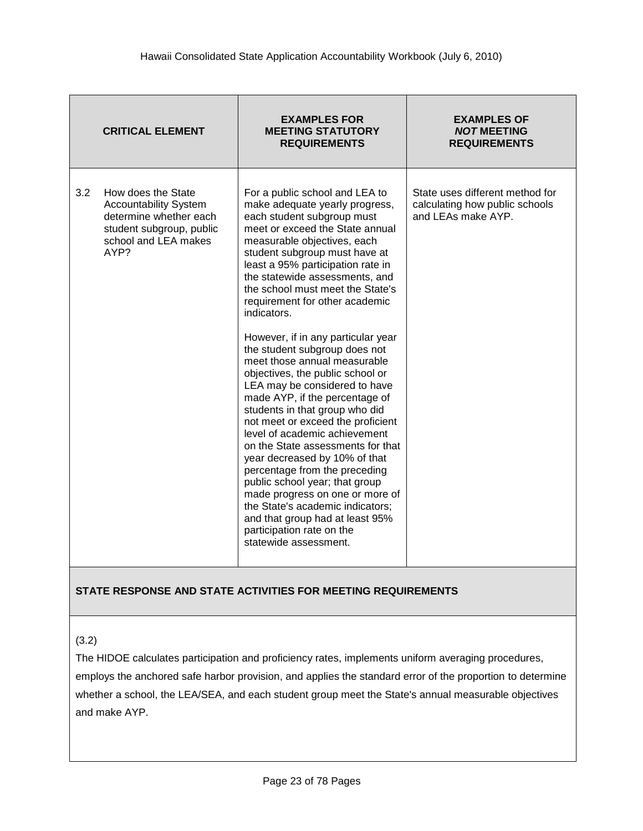|     | <b>CRITICAL ELEMENT</b>                                                                                                                  | <b>EXAMPLES FOR</b><br><b>MEETING STATUTORY</b><br><b>REQUIREMENTS</b>                                                                                                                                                                                                                                                                                                                                                                                                                                                                                                                                                                                                                                                                                                                                                                                                                                                                                                                       | <b>EXAMPLES OF</b><br><b>NOT MEETING</b><br><b>REQUIREMENTS</b>                         |
|-----|------------------------------------------------------------------------------------------------------------------------------------------|----------------------------------------------------------------------------------------------------------------------------------------------------------------------------------------------------------------------------------------------------------------------------------------------------------------------------------------------------------------------------------------------------------------------------------------------------------------------------------------------------------------------------------------------------------------------------------------------------------------------------------------------------------------------------------------------------------------------------------------------------------------------------------------------------------------------------------------------------------------------------------------------------------------------------------------------------------------------------------------------|-----------------------------------------------------------------------------------------|
| 3.2 | How does the State<br><b>Accountability System</b><br>determine whether each<br>student subgroup, public<br>school and LEA makes<br>AYP? | For a public school and LEA to<br>make adequate yearly progress,<br>each student subgroup must<br>meet or exceed the State annual<br>measurable objectives, each<br>student subgroup must have at<br>least a 95% participation rate in<br>the statewide assessments, and<br>the school must meet the State's<br>requirement for other academic<br>indicators.<br>However, if in any particular year<br>the student subgroup does not<br>meet those annual measurable<br>objectives, the public school or<br>LEA may be considered to have<br>made AYP, if the percentage of<br>students in that group who did<br>not meet or exceed the proficient<br>level of academic achievement<br>on the State assessments for that<br>year decreased by 10% of that<br>percentage from the preceding<br>public school year; that group<br>made progress on one or more of<br>the State's academic indicators;<br>and that group had at least 95%<br>participation rate on the<br>statewide assessment. | State uses different method for<br>calculating how public schools<br>and LEAs make AYP. |

<span id="page-22-0"></span>(3.2)

The HIDOE calculates participation and proficiency rates, implements uniform averaging procedures, employs the anchored safe harbor provision, and applies the standard error of the proportion to determine whether a school, the LEA/SEA, and each student group meet the State's annual measurable objectives and make AYP.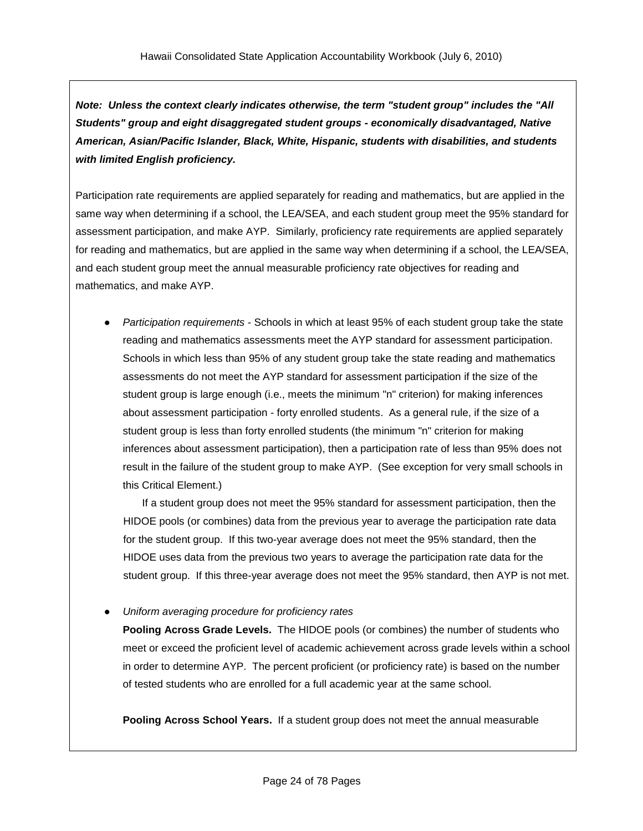*Note: Unless the context clearly indicates otherwise, the term "student group" includes the "All Students" group and eight disaggregated student groups - economically disadvantaged, Native American, Asian/Pacific Islander, Black, White, Hispanic, students with disabilities, and students with limited English proficiency.*

Participation rate requirements are applied separately for reading and mathematics, but are applied in the same way when determining if a school, the LEA/SEA, and each student group meet the 95% standard for assessment participation, and make AYP. Similarly, proficiency rate requirements are applied separately for reading and mathematics, but are applied in the same way when determining if a school, the LEA/SEA, and each student group meet the annual measurable proficiency rate objectives for reading and mathematics, and make AYP.

**Participation requirements - Schools in which at least 95% of each student group take the state** reading and mathematics assessments meet the AYP standard for assessment participation. Schools in which less than 95% of any student group take the state reading and mathematics assessments do not meet the AYP standard for assessment participation if the size of the student group is large enough (i.e., meets the minimum "n" criterion) for making inferences about assessment participation - forty enrolled students. As a general rule, if the size of a student group is less than forty enrolled students (the minimum "n" criterion for making inferences about assessment participation), then a participation rate of less than 95% does not result in the failure of the student group to make AYP. (See exception for very small schools in this Critical Element.)

If a student group does not meet the 95% standard for assessment participation, then the HIDOE pools (or combines) data from the previous year to average the participation rate data for the student group. If this two-year average does not meet the 95% standard, then the HIDOE uses data from the previous two years to average the participation rate data for the student group. If this three-year average does not meet the 95% standard, then AYP is not met.

● *Uniform averaging procedure for proficiency rates*

**Pooling Across Grade Levels.** The HIDOE pools (or combines) the number of students who meet or exceed the proficient level of academic achievement across grade levels within a school in order to determine AYP. The percent proficient (or proficiency rate) is based on the number of tested students who are enrolled for a full academic year at the same school.

**Pooling Across School Years.** If a student group does not meet the annual measurable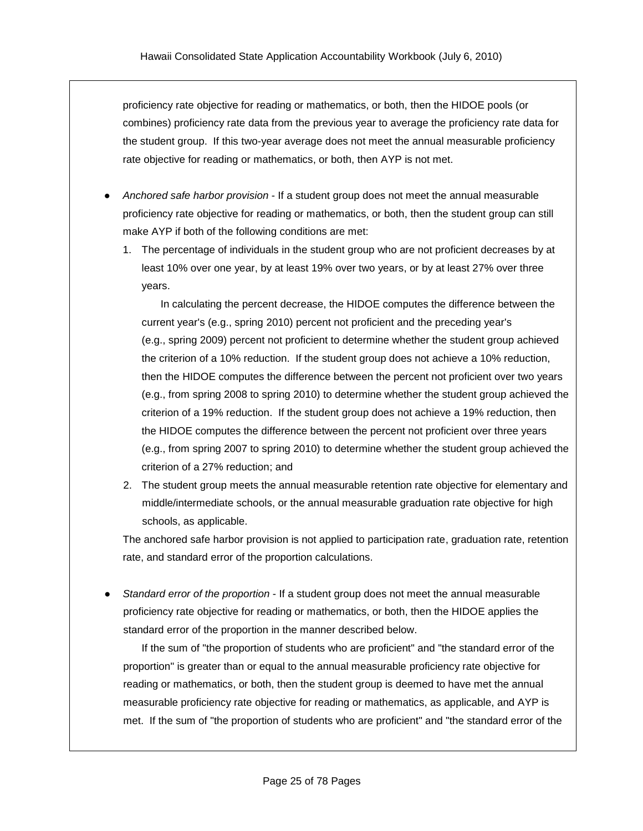proficiency rate objective for reading or mathematics, or both, then the HIDOE pools (or combines) proficiency rate data from the previous year to average the proficiency rate data for the student group. If this two-year average does not meet the annual measurable proficiency rate objective for reading or mathematics, or both, then AYP is not met.

- *Anchored safe harbor provision* If a student group does not meet the annual measurable proficiency rate objective for reading or mathematics, or both, then the student group can still make AYP if both of the following conditions are met:
	- 1. The percentage of individuals in the student group who are not proficient decreases by at least 10% over one year, by at least 19% over two years, or by at least 27% over three years.

In calculating the percent decrease, the HIDOE computes the difference between the current year's (e.g., spring 2010) percent not proficient and the preceding year's (e.g., spring 2009) percent not proficient to determine whether the student group achieved the criterion of a 10% reduction. If the student group does not achieve a 10% reduction, then the HIDOE computes the difference between the percent not proficient over two years (e.g., from spring 2008 to spring 2010) to determine whether the student group achieved the criterion of a 19% reduction. If the student group does not achieve a 19% reduction, then the HIDOE computes the difference between the percent not proficient over three years (e.g., from spring 2007 to spring 2010) to determine whether the student group achieved the criterion of a 27% reduction; and

2. The student group meets the annual measurable retention rate objective for elementary and middle/intermediate schools, or the annual measurable graduation rate objective for high schools, as applicable.

The anchored safe harbor provision is not applied to participation rate, graduation rate, retention rate, and standard error of the proportion calculations.

Standard error of the proportion - If a student group does not meet the annual measurable proficiency rate objective for reading or mathematics, or both, then the HIDOE applies the standard error of the proportion in the manner described below.

If the sum of "the proportion of students who are proficient" and "the standard error of the proportion" is greater than or equal to the annual measurable proficiency rate objective for reading or mathematics, or both, then the student group is deemed to have met the annual measurable proficiency rate objective for reading or mathematics, as applicable, and AYP is met. If the sum of "the proportion of students who are proficient" and "the standard error of the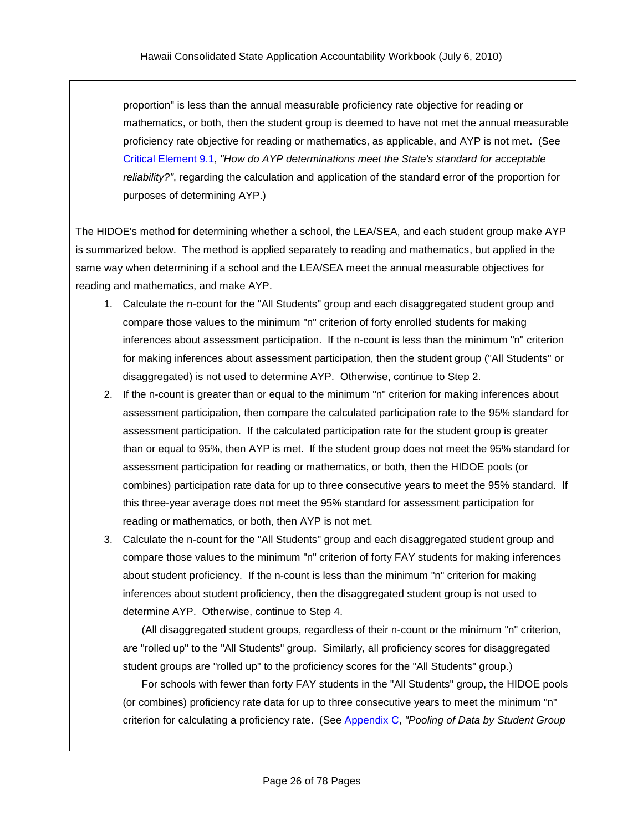proportion" is less than the annual measurable proficiency rate objective for reading or mathematics, or both, then the student group is deemed to have not met the annual measurable proficiency rate objective for reading or mathematics, as applicable, and AYP is not met. (See Critical [Element](#page-62-0) 9.1, *"How do AYP determinations meet the State's standard for acceptable reliability?"*, regarding the calculation and application of the standard error of the proportion for purposes of determining AYP.)

The HIDOE's method for determining whether a school, the LEA/SEA, and each student group make AYP is summarized below. The method is applied separately to reading and mathematics, but applied in the same way when determining if a school and the LEA/SEA meet the annual measurable objectives for reading and mathematics, and make AYP.

- 1. Calculate the n-count for the "All Students" group and each disaggregated student group and compare those values to the minimum "n" criterion of forty enrolled students for making inferences about assessment participation. If the n-count is less than the minimum "n" criterion for making inferences about assessment participation, then the student group ("All Students" or disaggregated) is not used to determine AYP. Otherwise, continue to Step 2.
- 2. If the n-count is greater than or equal to the minimum "n" criterion for making inferences about assessment participation, then compare the calculated participation rate to the 95% standard for assessment participation. If the calculated participation rate for the student group is greater than or equal to 95%, then AYP is met. If the student group does not meet the 95% standard for assessment participation for reading or mathematics, or both, then the HIDOE pools (or combines) participation rate data for up to three consecutive years to meet the 95% standard. If this three-year average does not meet the 95% standard for assessment participation for reading or mathematics, or both, then AYP is not met.
- 3. Calculate the n-count for the "All Students" group and each disaggregated student group and compare those values to the minimum "n" criterion of forty FAY students for making inferences about student proficiency. If the n-count is less than the minimum "n" criterion for making inferences about student proficiency, then the disaggregated student group is not used to determine AYP. Otherwise, continue to Step 4.

(All disaggregated student groups, regardless of their n-count or the minimum "n" criterion, are "rolled up" to the "All Students" group. Similarly, all proficiency scores for disaggregated student groups are "rolled up" to the proficiency scores for the "All Students" group.)

For schools with fewer than forty FAY students in the "All Students" group, the HIDOE pools (or combines) proficiency rate data for up to three consecutive years to meet the minimum "n" criterion for calculating a proficiency rate. (See Appendix C, *"Pooling of Data by Student Group*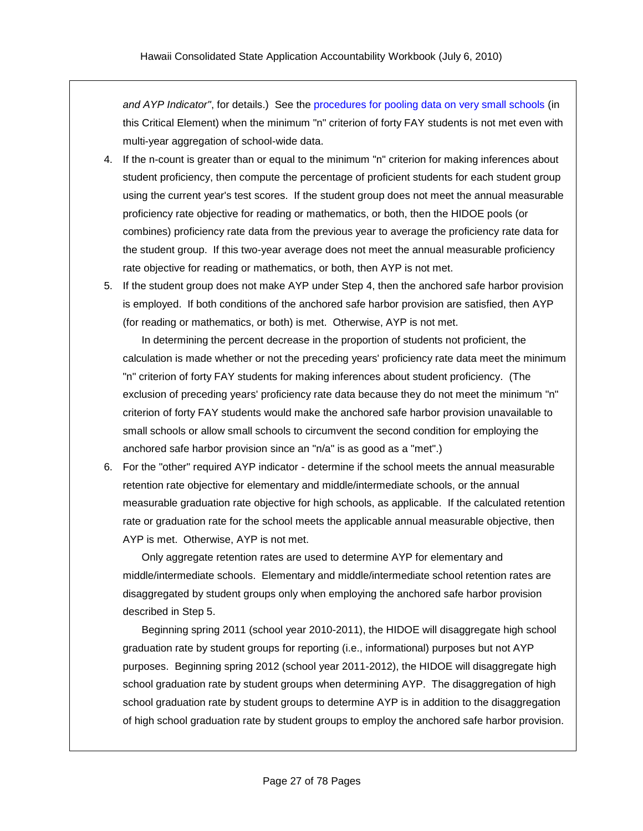*and AYP Indicator"*, for details.) See the [procedures for pooling data on very small schools](#page-27-0) (in this Critical Element) when the minimum "n" criterion of forty FAY students is not met even with multi-year aggregation of school-wide data.

- 4. If the n-count is greater than or equal to the minimum "n" criterion for making inferences about student proficiency, then compute the percentage of proficient students for each student group using the current year's test scores. If the student group does not meet the annual measurable proficiency rate objective for reading or mathematics, or both, then the HIDOE pools (or combines) proficiency rate data from the previous year to average the proficiency rate data for the student group. If this two-year average does not meet the annual measurable proficiency rate objective for reading or mathematics, or both, then AYP is not met.
- 5. If the student group does not make AYP under Step 4, then the anchored safe harbor provision is employed. If both conditions of the anchored safe harbor provision are satisfied, then AYP (for reading or mathematics, or both) is met. Otherwise, AYP is not met.

In determining the percent decrease in the proportion of students not proficient, the calculation is made whether or not the preceding years' proficiency rate data meet the minimum "n" criterion of forty FAY students for making inferences about student proficiency. (The exclusion of preceding years' proficiency rate data because they do not meet the minimum "n" criterion of forty FAY students would make the anchored safe harbor provision unavailable to small schools or allow small schools to circumvent the second condition for employing the anchored safe harbor provision since an "n/a" is as good as a "met".)

6. For the "other" required AYP indicator - determine if the school meets the annual measurable retention rate objective for elementary and middle/intermediate schools, or the annual measurable graduation rate objective for high schools, as applicable. If the calculated retention rate or graduation rate for the school meets the applicable annual measurable objective, then AYP is met. Otherwise, AYP is not met.

Only aggregate retention rates are used to determine AYP for elementary and middle/intermediate schools. Elementary and middle/intermediate school retention rates are disaggregated by student groups only when employing the anchored safe harbor provision described in Step 5.

Beginning spring 2011 (school year 2010-2011), the HIDOE will disaggregate high school graduation rate by student groups for reporting (i.e., informational) purposes but not AYP purposes. Beginning spring 2012 (school year 2011-2012), the HIDOE will disaggregate high school graduation rate by student groups when determining AYP. The disaggregation of high school graduation rate by student groups to determine AYP is in addition to the disaggregation of high school graduation rate by student groups to employ the anchored safe harbor provision.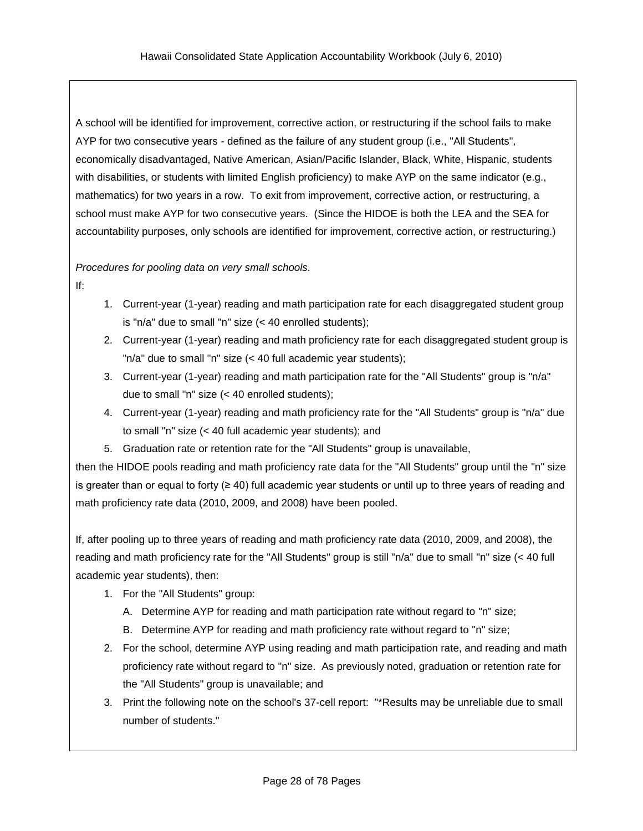A school will be identified for improvement, corrective action, or restructuring if the school fails to make AYP for two consecutive years - defined as the failure of any student group (i.e., "All Students", economically disadvantaged, Native American, Asian/Pacific Islander, Black, White, Hispanic, students with disabilities, or students with limited English proficiency) to make AYP on the same indicator (e.g., mathematics) for two years in a row. To exit from improvement, corrective action, or restructuring, a school must make AYP for two consecutive years. (Since the HIDOE is both the LEA and the SEA for accountability purposes, only schools are identified for improvement, corrective action, or restructuring.)

#### <span id="page-27-0"></span>*Procedures for pooling data on very small schools.*

If:

- 1. Current-year (1-year) reading and math participation rate for each disaggregated student group is "n/a" due to small "n" size (< 40 enrolled students);
- 2. Current-year (1-year) reading and math proficiency rate for each disaggregated student group is "n/a" due to small "n" size (< 40 full academic year students);
- 3. Current-year (1-year) reading and math participation rate for the "All Students" group is "n/a" due to small "n" size (< 40 enrolled students);
- 4. Current-year (1-year) reading and math proficiency rate for the "All Students" group is "n/a" due to small "n" size (< 40 full academic year students); and
- 5. Graduation rate or retention rate for the "All Students" group is unavailable,

then the HIDOE pools reading and math proficiency rate data for the "All Students" group until the "n" size is greater than or equal to forty (≥ 40) full academic year students or until up to three years of reading and math proficiency rate data (2010, 2009, and 2008) have been pooled.

If, after pooling up to three years of reading and math proficiency rate data (2010, 2009, and 2008), the reading and math proficiency rate for the "All Students" group is still "n/a" due to small "n" size (< 40 full academic year students), then:

- 1. For the "All Students" group:
	- A. Determine AYP for reading and math participation rate without regard to "n" size;
	- B. Determine AYP for reading and math proficiency rate without regard to "n" size;
- 2. For the school, determine AYP using reading and math participation rate, and reading and math proficiency rate without regard to "n" size. As previously noted, graduation or retention rate for the "All Students" group is unavailable; and
- 3. Print the following note on the school's 37-cell report: "\*Results may be unreliable due to small number of students."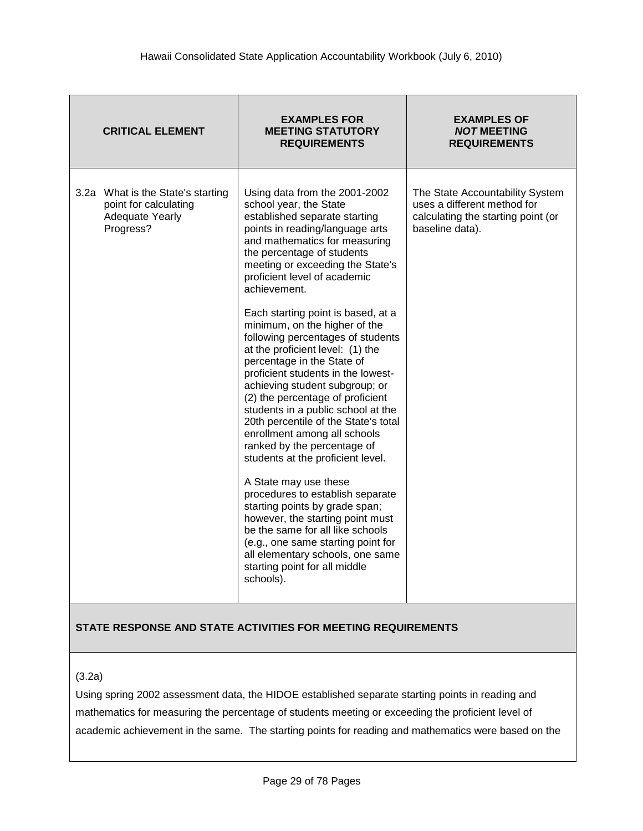| <b>CRITICAL ELEMENT</b>                                                                           | <b>EXAMPLES FOR</b><br><b>MEETING STATUTORY</b><br><b>REQUIREMENTS</b>                                                                                                                                                                                                                                                                                                                                                                                                                                                                                                                                                                                                                                                                                                                                                                                                                                                                                                                                                                                    | <b>EXAMPLES OF</b><br><b>NOT MEETING</b><br><b>REQUIREMENTS</b>                                                         |
|---------------------------------------------------------------------------------------------------|-----------------------------------------------------------------------------------------------------------------------------------------------------------------------------------------------------------------------------------------------------------------------------------------------------------------------------------------------------------------------------------------------------------------------------------------------------------------------------------------------------------------------------------------------------------------------------------------------------------------------------------------------------------------------------------------------------------------------------------------------------------------------------------------------------------------------------------------------------------------------------------------------------------------------------------------------------------------------------------------------------------------------------------------------------------|-------------------------------------------------------------------------------------------------------------------------|
| 3.2a What is the State's starting<br>point for calculating<br><b>Adequate Yearly</b><br>Progress? | Using data from the 2001-2002<br>school year, the State<br>established separate starting<br>points in reading/language arts<br>and mathematics for measuring<br>the percentage of students<br>meeting or exceeding the State's<br>proficient level of academic<br>achievement.<br>Each starting point is based, at a<br>minimum, on the higher of the<br>following percentages of students<br>at the proficient level: (1) the<br>percentage in the State of<br>proficient students in the lowest-<br>achieving student subgroup; or<br>(2) the percentage of proficient<br>students in a public school at the<br>20th percentile of the State's total<br>enrollment among all schools<br>ranked by the percentage of<br>students at the proficient level.<br>A State may use these<br>procedures to establish separate<br>starting points by grade span;<br>however, the starting point must<br>be the same for all like schools<br>(e.g., one same starting point for<br>all elementary schools, one same<br>starting point for all middle<br>schools). | The State Accountability System<br>uses a different method for<br>calculating the starting point (or<br>baseline data). |

(3.2a)

Using spring 2002 assessment data, the HIDOE established separate starting points in reading and mathematics for measuring the percentage of students meeting or exceeding the proficient level of academic achievement in the same. The starting points for reading and mathematics were based on the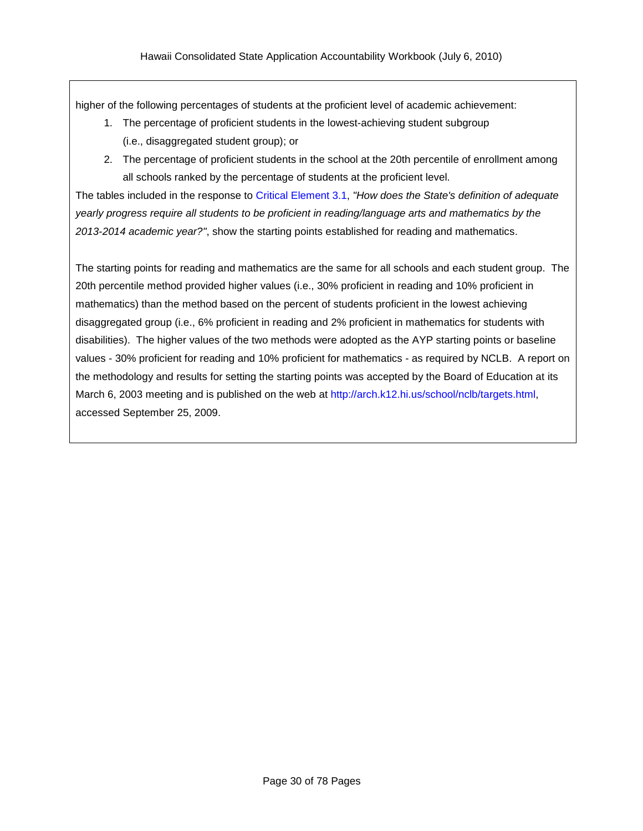higher of the following percentages of students at the proficient level of academic achievement:

- 1. The percentage of proficient students in the lowest-achieving student subgroup (i.e., disaggregated student group); or
- 2. The percentage of proficient students in the school at the 20th percentile of enrollment among all schools ranked by the percentage of students at the proficient level.

The tables included in the response to Critical [Element](#page-20-0) 3.1, *"How does the State's definition of adequate yearly progress require all students to be proficient in reading/language arts and mathematics by the 2013-2014 academic year?"*, show the starting points established for reading and mathematics.

The starting points for reading and mathematics are the same for all schools and each student group. The 20th percentile method provided higher values (i.e., 30% proficient in reading and 10% proficient in mathematics) than the method based on the percent of students proficient in the lowest achieving disaggregated group (i.e., 6% proficient in reading and 2% proficient in mathematics for students with disabilities). The higher values of the two methods were adopted as the AYP starting points or baseline values - 30% proficient for reading and 10% proficient for mathematics - as required by NCLB. A report on the methodology and results for setting the starting points was accepted by the Board of Education at its March 6, 2003 meeting and is published on the web at [http://arch.k12.hi.us/school/nclb/targets.html,](http://arch.k12.hi.us/school/nclb/targets.html) accessed September 25, 2009.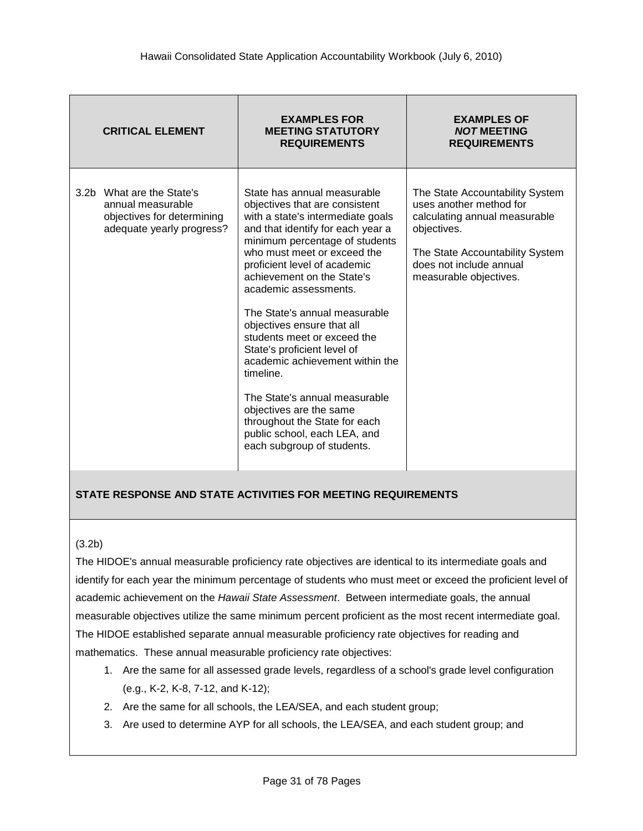| <b>CRITICAL ELEMENT</b>                                                                                   | <b>EXAMPLES FOR</b><br><b>MEETING STATUTORY</b><br><b>REQUIREMENTS</b>                                                                                                                                                                                                                                                                                                                                                                                                                                                                                                                                                                  | <b>EXAMPLES OF</b><br><b>NOT MEETING</b><br><b>REQUIREMENTS</b>                                                                                                                                    |
|-----------------------------------------------------------------------------------------------------------|-----------------------------------------------------------------------------------------------------------------------------------------------------------------------------------------------------------------------------------------------------------------------------------------------------------------------------------------------------------------------------------------------------------------------------------------------------------------------------------------------------------------------------------------------------------------------------------------------------------------------------------------|----------------------------------------------------------------------------------------------------------------------------------------------------------------------------------------------------|
| 3.2b What are the State's<br>annual measurable<br>objectives for determining<br>adequate yearly progress? | State has annual measurable<br>objectives that are consistent<br>with a state's intermediate goals<br>and that identify for each year a<br>minimum percentage of students<br>who must meet or exceed the<br>proficient level of academic<br>achievement on the State's<br>academic assessments.<br>The State's annual measurable<br>objectives ensure that all<br>students meet or exceed the<br>State's proficient level of<br>academic achievement within the<br>timeline.<br>The State's annual measurable<br>objectives are the same<br>throughout the State for each<br>public school, each LEA, and<br>each subgroup of students. | The State Accountability System<br>uses another method for<br>calculating annual measurable<br>objectives.<br>The State Accountability System<br>does not include annual<br>measurable objectives. |

#### (3.2b)

The HIDOE's annual measurable proficiency rate objectives are identical to its intermediate goals and identify for each year the minimum percentage of students who must meet or exceed the proficient level of academic achievement on the *Hawaii State Assessment*. Between intermediate goals, the annual measurable objectives utilize the same minimum percent proficient as the most recent intermediate goal. The HIDOE established separate annual measurable proficiency rate objectives for reading and mathematics. These annual measurable proficiency rate objectives:

- 1. Are the same for all assessed grade levels, regardless of a school's grade level configuration (e.g., K-2, K-8, 7-12, and K-12);
- 2. Are the same for all schools, the LEA/SEA, and each student group;
- 3. Are used to determine AYP for all schools, the LEA/SEA, and each student group; and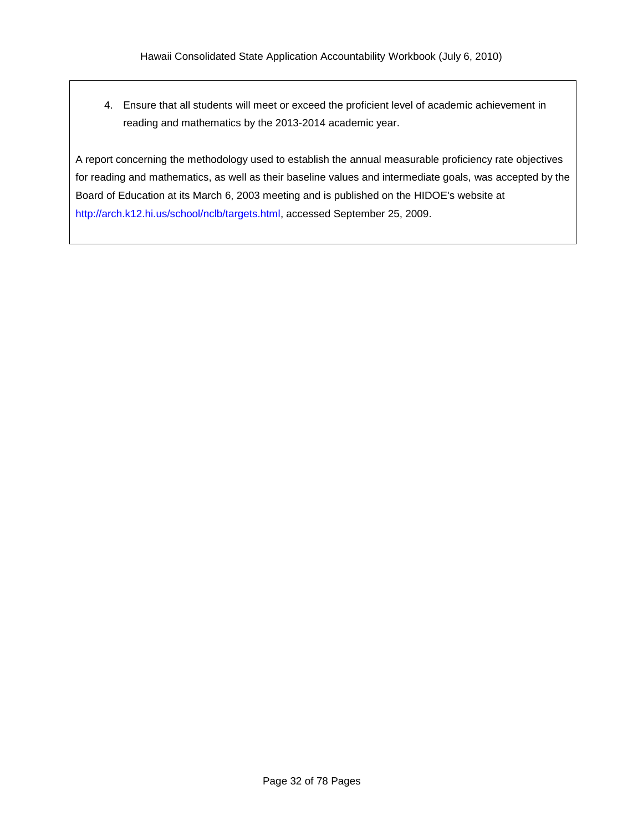4. Ensure that all students will meet or exceed the proficient level of academic achievement in reading and mathematics by the 2013-2014 academic year.

A report concerning the methodology used to establish the annual measurable proficiency rate objectives for reading and mathematics, as well as their baseline values and intermediate goals, was accepted by the Board of Education at its March 6, 2003 meeting and is published on the HIDOE's website at [http://arch.k12.hi.us/school/nclb/targets.html,](http://arch.k12.hi.us/school/nclb/targets.html) accessed September 25, 2009.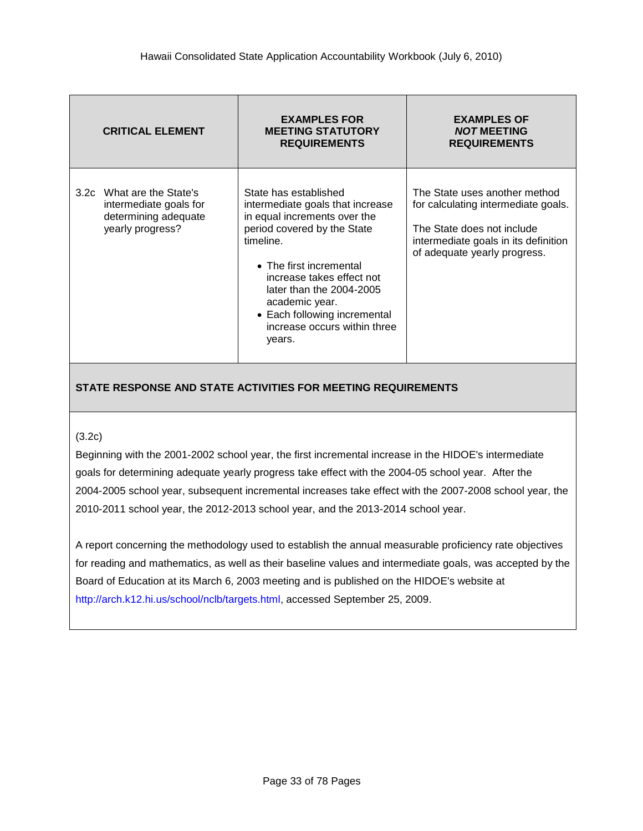| <b>CRITICAL ELEMENT</b>                                                                         | <b>EXAMPLES FOR</b><br><b>MEETING STATUTORY</b><br><b>REQUIREMENTS</b>                                                                                                                                                                                                                                                | <b>EXAMPLES OF</b><br><b>NOT MEETING</b><br><b>REQUIREMENTS</b>                                                                                                            |
|-------------------------------------------------------------------------------------------------|-----------------------------------------------------------------------------------------------------------------------------------------------------------------------------------------------------------------------------------------------------------------------------------------------------------------------|----------------------------------------------------------------------------------------------------------------------------------------------------------------------------|
| 3.2c What are the State's<br>intermediate goals for<br>determining adequate<br>yearly progress? | State has established<br>intermediate goals that increase<br>in equal increments over the<br>period covered by the State<br>timeline.<br>• The first incremental<br>increase takes effect not<br>later than the 2004-2005<br>academic year.<br>• Each following incremental<br>increase occurs within three<br>years. | The State uses another method<br>for calculating intermediate goals.<br>The State does not include<br>intermediate goals in its definition<br>of adequate yearly progress. |

#### (3.2c)

Beginning with the 2001-2002 school year, the first incremental increase in the HIDOE's intermediate goals for determining adequate yearly progress take effect with the 2004-05 school year. After the 2004-2005 school year, subsequent incremental increases take effect with the 2007-2008 school year, the 2010-2011 school year, the 2012-2013 school year, and the 2013-2014 school year.

A report concerning the methodology used to establish the annual measurable proficiency rate objectives for reading and mathematics, as well as their baseline values and intermediate goals, was accepted by the Board of Education at its March 6, 2003 meeting and is published on the HIDOE's website at [http://arch.k12.hi.us/school/nclb/targets.html,](http://arch.k12.hi.us/school/nclb/targets.html) accessed September 25, 2009.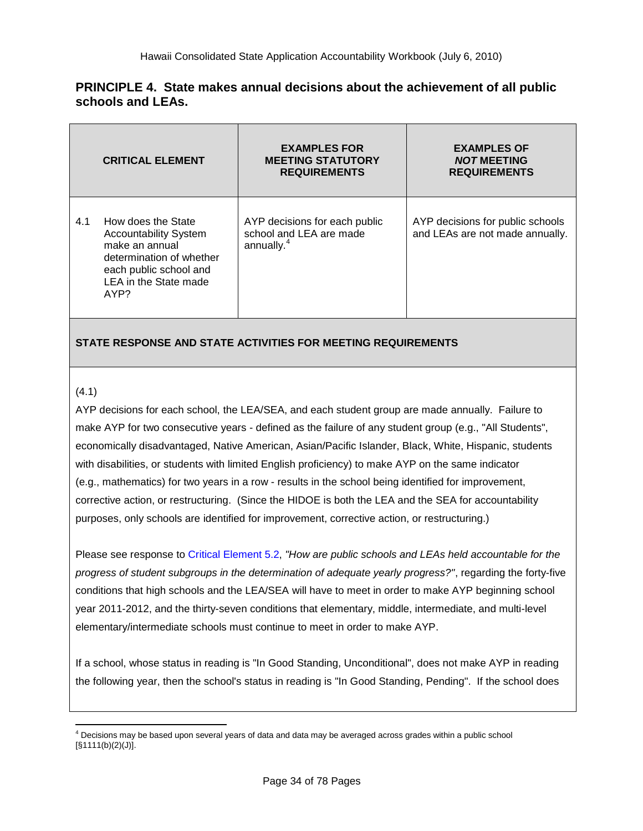#### **PRINCIPLE 4. State makes annual decisions about the achievement of all public schools and LEAs.**

|     | <b>CRITICAL ELEMENT</b>                                                                                                                                     | <b>EXAMPLES FOR</b><br><b>MEETING STATUTORY</b><br><b>REQUIREMENTS</b>             | <b>EXAMPLES OF</b><br><b>NOT MEETING</b><br><b>REQUIREMENTS</b>     |
|-----|-------------------------------------------------------------------------------------------------------------------------------------------------------------|------------------------------------------------------------------------------------|---------------------------------------------------------------------|
| 4.1 | How does the State<br><b>Accountability System</b><br>make an annual<br>determination of whether<br>each public school and<br>LEA in the State made<br>AYP? | AYP decisions for each public<br>school and LEA are made<br>annually. <sup>4</sup> | AYP decisions for public schools<br>and LEAs are not made annually. |

## **STATE RESPONSE AND STATE ACTIVITIES FOR MEETING REQUIREMENTS**

#### (4.1)

 $\overline{a}$ 

AYP decisions for each school, the LEA/SEA, and each student group are made annually. Failure to make AYP for two consecutive years - defined as the failure of any student group (e.g., "All Students", economically disadvantaged, Native American, Asian/Pacific Islander, Black, White, Hispanic, students with disabilities, or students with limited English proficiency) to make AYP on the same indicator (e.g., mathematics) for two years in a row - results in the school being identified for improvement, corrective action, or restructuring. (Since the HIDOE is both the LEA and the SEA for accountability purposes, only schools are identified for improvement, corrective action, or restructuring.)

Please see response to Critical [Element](#page-38-0) 5.2, *"How are public schools and LEAs held accountable for the progress of student subgroups in the determination of adequate yearly progress?"*, regarding the forty-five conditions that high schools and the LEA/SEA will have to meet in order to make AYP beginning school year 2011-2012, and the thirty-seven conditions that elementary, middle, intermediate, and multi-level elementary/intermediate schools must continue to meet in order to make AYP.

If a school, whose status in reading is "In Good Standing, Unconditional", does not make AYP in reading the following year, then the school's status in reading is "In Good Standing, Pending". If the school does

 $<sup>4</sup>$  Decisions may be based upon several years of data and data may be averaged across grades within a public school</sup> [§1111(b)(2)(J)].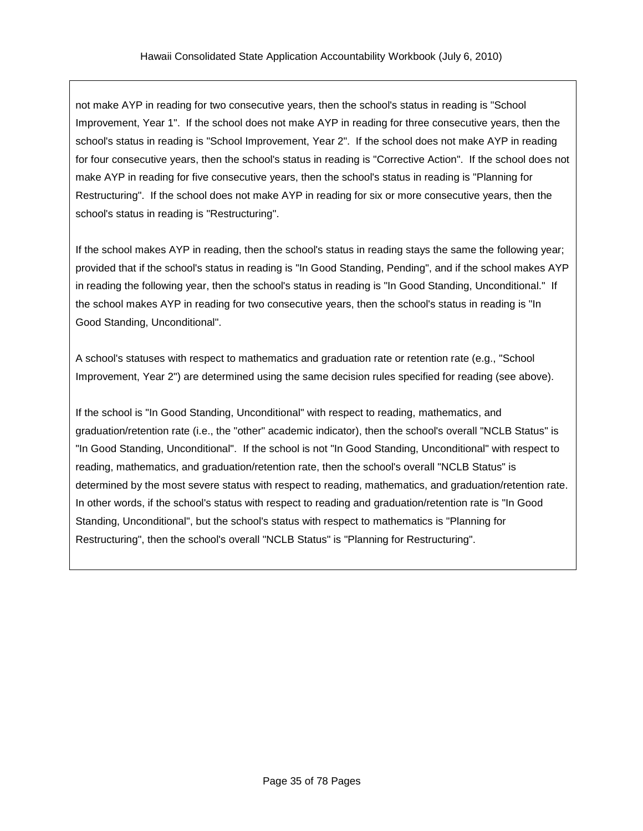not make AYP in reading for two consecutive years, then the school's status in reading is "School Improvement, Year 1". If the school does not make AYP in reading for three consecutive years, then the school's status in reading is "School Improvement, Year 2". If the school does not make AYP in reading for four consecutive years, then the school's status in reading is "Corrective Action". If the school does not make AYP in reading for five consecutive years, then the school's status in reading is "Planning for Restructuring". If the school does not make AYP in reading for six or more consecutive years, then the school's status in reading is "Restructuring".

If the school makes AYP in reading, then the school's status in reading stays the same the following year; provided that if the school's status in reading is "In Good Standing, Pending", and if the school makes AYP in reading the following year, then the school's status in reading is "In Good Standing, Unconditional." If the school makes AYP in reading for two consecutive years, then the school's status in reading is "In Good Standing, Unconditional".

A school's statuses with respect to mathematics and graduation rate or retention rate (e.g., "School Improvement, Year 2") are determined using the same decision rules specified for reading (see above).

If the school is "In Good Standing, Unconditional" with respect to reading, mathematics, and graduation/retention rate (i.e., the "other" academic indicator), then the school's overall "NCLB Status" is "In Good Standing, Unconditional". If the school is not "In Good Standing, Unconditional" with respect to reading, mathematics, and graduation/retention rate, then the school's overall "NCLB Status" is determined by the most severe status with respect to reading, mathematics, and graduation/retention rate. In other words, if the school's status with respect to reading and graduation/retention rate is "In Good Standing, Unconditional", but the school's status with respect to mathematics is "Planning for Restructuring", then the school's overall "NCLB Status" is "Planning for Restructuring".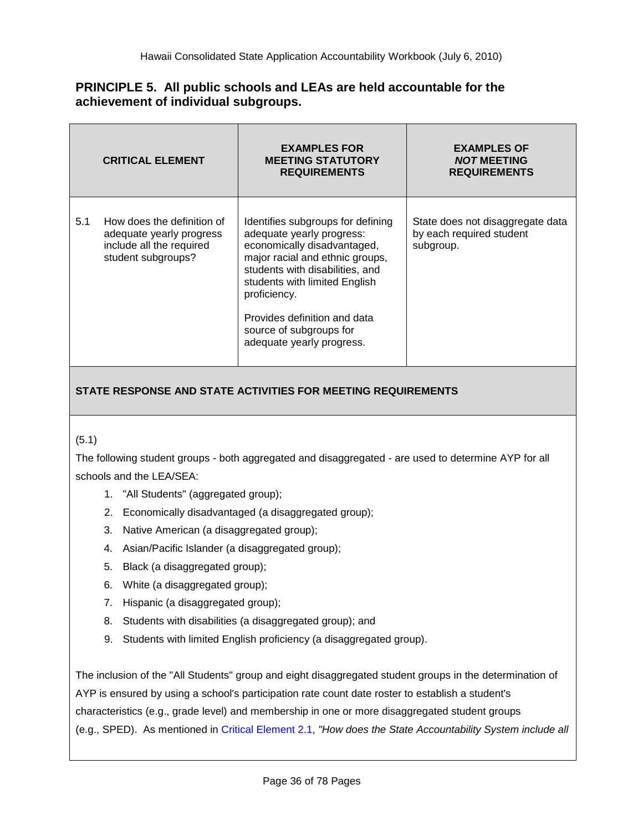## **PRINCIPLE 5. All public schools and LEAs are held accountable for the achievement of individual subgroups.**

|     | <b>CRITICAL ELEMENT</b>                                                                                  | <b>EXAMPLES FOR</b><br><b>MEETING STATUTORY</b><br><b>REQUIREMENTS</b>                                                                                                                                                                                                                                       | <b>EXAMPLES OF</b><br><b>NOT MEETING</b><br><b>REQUIREMENTS</b>           |
|-----|----------------------------------------------------------------------------------------------------------|--------------------------------------------------------------------------------------------------------------------------------------------------------------------------------------------------------------------------------------------------------------------------------------------------------------|---------------------------------------------------------------------------|
| 5.1 | How does the definition of<br>adequate yearly progress<br>include all the required<br>student subgroups? | Identifies subgroups for defining<br>adequate yearly progress:<br>economically disadvantaged,<br>major racial and ethnic groups,<br>students with disabilities, and<br>students with limited English<br>proficiency.<br>Provides definition and data<br>source of subgroups for<br>adequate yearly progress. | State does not disaggregate data<br>by each required student<br>subgroup. |

# **STATE RESPONSE AND STATE ACTIVITIES FOR MEETING REQUIREMENTS**

#### (5.1)

The following student groups - both aggregated and disaggregated - are used to determine AYP for all schools and the LEA/SEA:

- 1. "All Students" (aggregated group);
- 2. Economically disadvantaged (a disaggregated group);
- 3. Native American (a disaggregated group);
- 4. Asian/Pacific Islander (a disaggregated group);
- 5. Black (a disaggregated group);
- 6. White (a disaggregated group);
- 7. Hispanic (a disaggregated group);
- 8. Students with disabilities (a disaggregated group); and
- 9. Students with limited English proficiency (a disaggregated group).

The inclusion of the "All Students" group and eight disaggregated student groups in the determination of AYP is ensured by using a school's participation rate count date roster to establish a student's characteristics (e.g., grade level) and membership in one or more disaggregated student groups (e.g., SPED). As mentioned in Critical [Element](#page-16-0) 2.1, *"How does the State Accountability System include all*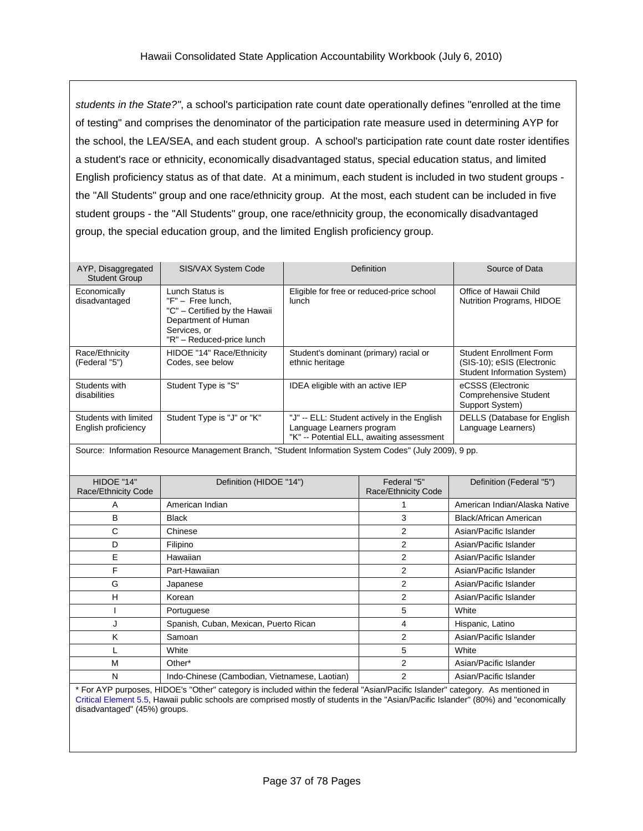*students in the State?"*, a school's participation rate count date operationally defines "enrolled at the time of testing" and comprises the denominator of the participation rate measure used in determining AYP for the school, the LEA/SEA, and each student group. A school's participation rate count date roster identifies a student's race or ethnicity, economically disadvantaged status, special education status, and limited English proficiency status as of that date. At a minimum, each student is included in two student groups the "All Students" group and one race/ethnicity group. At the most, each student can be included in five student groups - the "All Students" group, one race/ethnicity group, the economically disadvantaged group, the special education group, and the limited English proficiency group.

| AYP, Disaggregated<br><b>Student Group</b>                                                            | SIS/VAX System Code                                                                                                                         | Definition                                                                                                            | Source of Data                                                                              |  |  |
|-------------------------------------------------------------------------------------------------------|---------------------------------------------------------------------------------------------------------------------------------------------|-----------------------------------------------------------------------------------------------------------------------|---------------------------------------------------------------------------------------------|--|--|
| Economically<br>disadvantaged                                                                         | Lunch Status is<br>$"F" - Free lunch.$<br>"C" - Certified by the Hawaii<br>Department of Human<br>Services, or<br>"R" - Reduced-price lunch | Eligible for free or reduced-price school<br>lunch                                                                    | Office of Hawaii Child<br><b>Nutrition Programs, HIDOE</b>                                  |  |  |
| Race/Ethnicity<br>(Federal "5")                                                                       | HIDOE "14" Race/Ethnicity<br>Codes, see below                                                                                               | Student's dominant (primary) racial or<br>ethnic heritage                                                             | <b>Student Enrollment Form</b><br>(SIS-10); eSIS (Electronic<br>Student Information System) |  |  |
| Students with<br>disabilities                                                                         | Student Type is "S"                                                                                                                         | <b>IDEA</b> eligible with an active IEP                                                                               | eCSSS (Electronic<br><b>Comprehensive Student</b><br>Support System)                        |  |  |
| Students with limited<br>English proficiency                                                          | Student Type is "J" or "K"                                                                                                                  | "J" -- ELL: Student actively in the English<br>Language Learners program<br>"K" -- Potential ELL, awaiting assessment | DELLS (Database for English<br>Language Learners)                                           |  |  |
| Source: Information Resource Management Branch, "Student Information System Codes" (July 2009), 9 pp. |                                                                                                                                             |                                                                                                                       |                                                                                             |  |  |

| HIDOE "14"<br>Race/Ethnicity Code | Definition (HIDOE "14")                       | Federal "5"<br>Race/Ethnicity Code | Definition (Federal "5")      |
|-----------------------------------|-----------------------------------------------|------------------------------------|-------------------------------|
| A                                 | American Indian                               |                                    | American Indian/Alaska Native |
| B                                 | Black                                         | 3                                  | Black/African American        |
| C                                 | Chinese                                       | 2                                  | Asian/Pacific Islander        |
| D                                 | Filipino                                      | 2                                  | Asian/Pacific Islander        |
| Е                                 | Hawaiian                                      | 2                                  | Asian/Pacific Islander        |
| F                                 | Part-Hawaiian                                 | 2                                  | Asian/Pacific Islander        |
| G                                 | Japanese                                      | 2                                  | Asian/Pacific Islander        |
| н                                 | Korean                                        | 2                                  | Asian/Pacific Islander        |
|                                   | Portuguese                                    | 5                                  | White                         |
| J                                 | Spanish, Cuban, Mexican, Puerto Rican         | 4                                  | Hispanic, Latino              |
| K                                 | Samoan                                        | 2                                  | Asian/Pacific Islander        |
|                                   | White                                         | 5                                  | White                         |
| M                                 | Other*                                        | 2                                  | Asian/Pacific Islander        |
| N                                 | Indo-Chinese (Cambodian, Vietnamese, Laotian) | 2                                  | Asian/Pacific Islander        |

\* For AYP purposes, HIDOE's "Other" category is included within the federal "Asian/Pacific Islander" category. As mentioned in Critical [Element](#page-46-0) 5.5, Hawaii public schools are comprised mostly of students in the "Asian/Pacific Islander" (80%) and "economically disadvantaged" (45%) groups.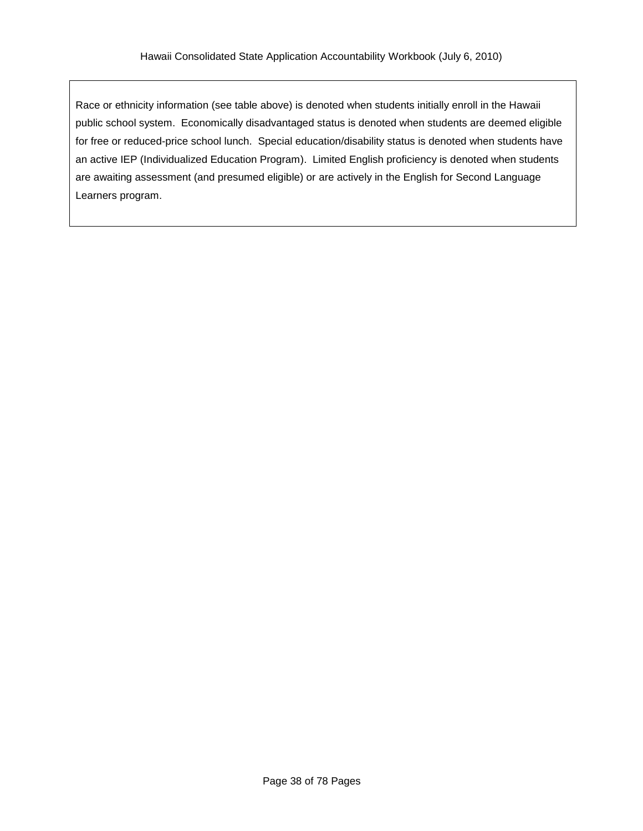Race or ethnicity information (see table above) is denoted when students initially enroll in the Hawaii public school system. Economically disadvantaged status is denoted when students are deemed eligible for free or reduced-price school lunch. Special education/disability status is denoted when students have an active IEP (Individualized Education Program). Limited English proficiency is denoted when students are awaiting assessment (and presumed eligible) or are actively in the English for Second Language Learners program.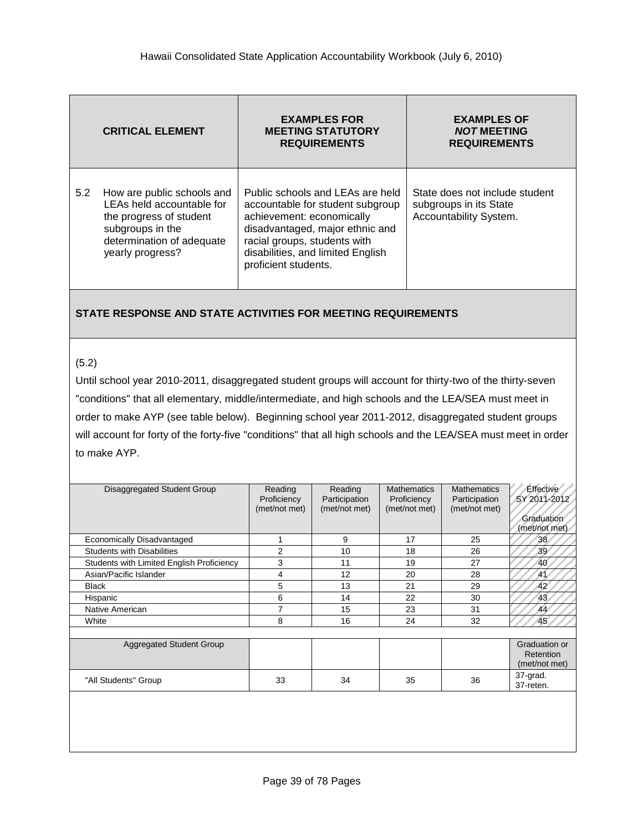|     | <b>CRITICAL ELEMENT</b>                                                                                                                                 | <b>EXAMPLES FOR</b><br><b>MEETING STATUTORY</b><br><b>REQUIREMENTS</b>                                                                                                                                                            | <b>EXAMPLES OF</b><br><b>NOT MEETING</b><br><b>REQUIREMENTS</b>                    |
|-----|---------------------------------------------------------------------------------------------------------------------------------------------------------|-----------------------------------------------------------------------------------------------------------------------------------------------------------------------------------------------------------------------------------|------------------------------------------------------------------------------------|
| 5.2 | How are public schools and<br>LEAs held accountable for<br>the progress of student<br>subgroups in the<br>determination of adequate<br>yearly progress? | Public schools and LEAs are held<br>accountable for student subgroup<br>achievement: economically<br>disadvantaged, major ethnic and<br>racial groups, students with<br>disabilities, and limited English<br>proficient students. | State does not include student<br>subgroups in its State<br>Accountability System. |

### (5.2)

Until school year 2010-2011, disaggregated student groups will account for thirty-two of the thirty-seven "conditions" that all elementary, middle/intermediate, and high schools and the LEA/SEA must meet in order to make AYP (see table below). Beginning school year 2011-2012, disaggregated student groups will account for forty of the forty-five "conditions" that all high schools and the LEA/SEA must meet in order to make AYP.

| Disaggregated Student Group               | Reading<br>Proficiency<br>(met/not met) | Reading<br>Participation<br>(met/not met) | <b>Mathematics</b><br>Proficiency<br>(met/not met) | <b>Mathematics</b><br>Participation<br>(met/not met) | Effective<br>SY 2011-2012<br>Graduation<br>(met/not met) |
|-------------------------------------------|-----------------------------------------|-------------------------------------------|----------------------------------------------------|------------------------------------------------------|----------------------------------------------------------|
| Economically Disadvantaged                | 1                                       | 9                                         | 17                                                 | 25                                                   | 38                                                       |
| <b>Students with Disabilities</b>         | $\overline{2}$                          | 10                                        | 18                                                 | 26                                                   | -39                                                      |
| Students with Limited English Proficiency | 3                                       | 11                                        | 19                                                 | 27                                                   | 40                                                       |
| Asian/Pacific Islander                    | 4                                       | 12                                        | 20                                                 | 28                                                   | 41                                                       |
| <b>Black</b>                              | 5                                       | 13                                        | 21                                                 | 29                                                   | 42                                                       |
| Hispanic                                  | 6                                       | 14                                        | 22                                                 | 30                                                   | 43                                                       |
| Native American                           | 7                                       | 15                                        | 23                                                 | 31                                                   | 44                                                       |
| White                                     | 8                                       | 16                                        | 24                                                 | 32                                                   | 45                                                       |
| Aggregated Student Group                  |                                         |                                           |                                                    |                                                      | Graduation or<br>Retention<br>(met/not met)              |
| "All Students" Group                      | 33                                      | 34                                        | 35                                                 | 36                                                   | 37-grad.<br>37-reten.                                    |
|                                           |                                         |                                           |                                                    |                                                      |                                                          |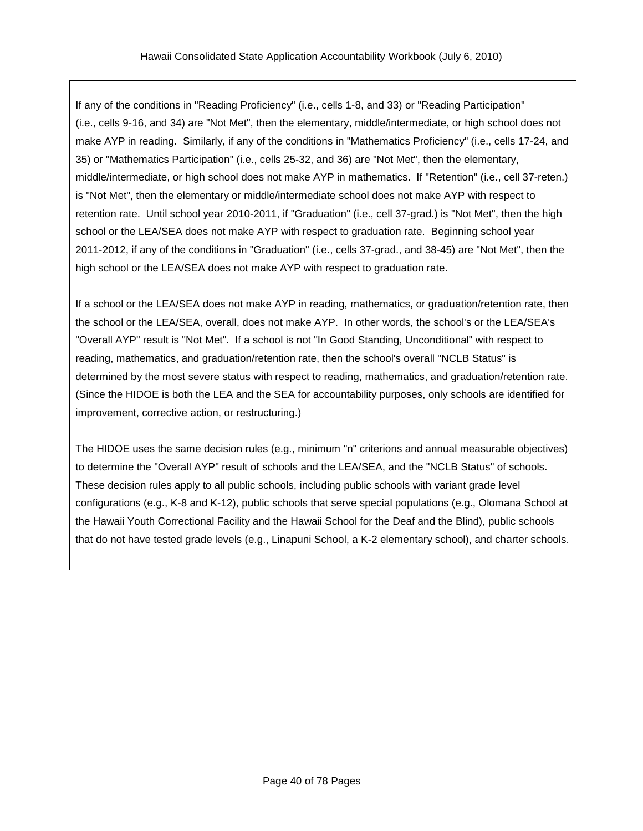If any of the conditions in "Reading Proficiency" (i.e., cells 1-8, and 33) or "Reading Participation" (i.e., cells 9-16, and 34) are "Not Met", then the elementary, middle/intermediate, or high school does not make AYP in reading. Similarly, if any of the conditions in "Mathematics Proficiency" (i.e., cells 17-24, and 35) or "Mathematics Participation" (i.e., cells 25-32, and 36) are "Not Met", then the elementary, middle/intermediate, or high school does not make AYP in mathematics. If "Retention" (i.e., cell 37-reten.) is "Not Met", then the elementary or middle/intermediate school does not make AYP with respect to retention rate. Until school year 2010-2011, if "Graduation" (i.e., cell 37-grad.) is "Not Met", then the high school or the LEA/SEA does not make AYP with respect to graduation rate. Beginning school year 2011-2012, if any of the conditions in "Graduation" (i.e., cells 37-grad., and 38-45) are "Not Met", then the high school or the LEA/SEA does not make AYP with respect to graduation rate.

If a school or the LEA/SEA does not make AYP in reading, mathematics, or graduation/retention rate, then the school or the LEA/SEA, overall, does not make AYP. In other words, the school's or the LEA/SEA's "Overall AYP" result is "Not Met". If a school is not "In Good Standing, Unconditional" with respect to reading, mathematics, and graduation/retention rate, then the school's overall "NCLB Status" is determined by the most severe status with respect to reading, mathematics, and graduation/retention rate. (Since the HIDOE is both the LEA and the SEA for accountability purposes, only schools are identified for improvement, corrective action, or restructuring.)

The HIDOE uses the same decision rules (e.g., minimum "n" criterions and annual measurable objectives) to determine the "Overall AYP" result of schools and the LEA/SEA, and the "NCLB Status" of schools. These decision rules apply to all public schools, including public schools with variant grade level configurations (e.g., K-8 and K-12), public schools that serve special populations (e.g., Olomana School at the Hawaii Youth Correctional Facility and the Hawaii School for the Deaf and the Blind), public schools that do not have tested grade levels (e.g., Linapuni School, a K-2 elementary school), and charter schools.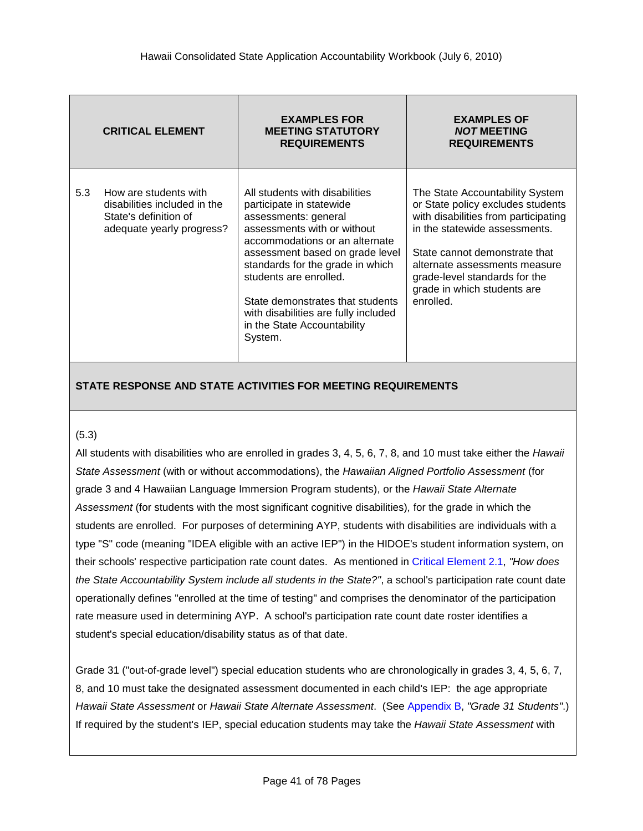|     | <b>CRITICAL ELEMENT</b>                                                                                     | <b>EXAMPLES FOR</b><br><b>MEETING STATUTORY</b><br><b>REQUIREMENTS</b>                                                                                                                                                                                                                                                                                                     | <b>EXAMPLES OF</b><br><b>NOT MEETING</b><br><b>REQUIREMENTS</b>                                                                                                                                                                                                                              |
|-----|-------------------------------------------------------------------------------------------------------------|----------------------------------------------------------------------------------------------------------------------------------------------------------------------------------------------------------------------------------------------------------------------------------------------------------------------------------------------------------------------------|----------------------------------------------------------------------------------------------------------------------------------------------------------------------------------------------------------------------------------------------------------------------------------------------|
| 5.3 | How are students with<br>disabilities included in the<br>State's definition of<br>adequate yearly progress? | All students with disabilities<br>participate in statewide<br>assessments: general<br>assessments with or without<br>accommodations or an alternate<br>assessment based on grade level<br>standards for the grade in which<br>students are enrolled.<br>State demonstrates that students<br>with disabilities are fully included<br>in the State Accountability<br>System. | The State Accountability System<br>or State policy excludes students<br>with disabilities from participating<br>in the statewide assessments.<br>State cannot demonstrate that<br>alternate assessments measure<br>grade-level standards for the<br>grade in which students are<br>enrolled. |

### (5.3)

All students with disabilities who are enrolled in grades 3, 4, 5, 6, 7, 8, and 10 must take either the *Hawaii State Assessment* (with or without accommodations), the *Hawaiian Aligned Portfolio Assessment* (for grade 3 and 4 Hawaiian Language Immersion Program students), or the *Hawaii State Alternate Assessment* (for students with the most significant cognitive disabilities)*,* for the grade in which the students are enrolled. For purposes of determining AYP, students with disabilities are individuals with a type "S" code (meaning "IDEA eligible with an active IEP") in the HIDOE's student information system, on their schools' respective participation rate count dates. As mentioned in Critical [Element](#page-16-0) 2.1, *"How does the State Accountability System include all students in the State?"*, a school's participation rate count date operationally defines "enrolled at the time of testing" and comprises the denominator of the participation rate measure used in determining AYP. A school's participation rate count date roster identifies a student's special education/disability status as of that date.

Grade 31 ("out-of-grade level") special education students who are chronologically in grades 3, 4, 5, 6, 7, 8, and 10 must take the designated assessment documented in each child's IEP: the age appropriate *Hawaii State Assessment* or *Hawaii State Alternate Assessment*. (See [Appendix](#page-74-0) B, *"Grade 31 Students"*.) If required by the student's IEP, special education students may take the *Hawaii State Assessment* with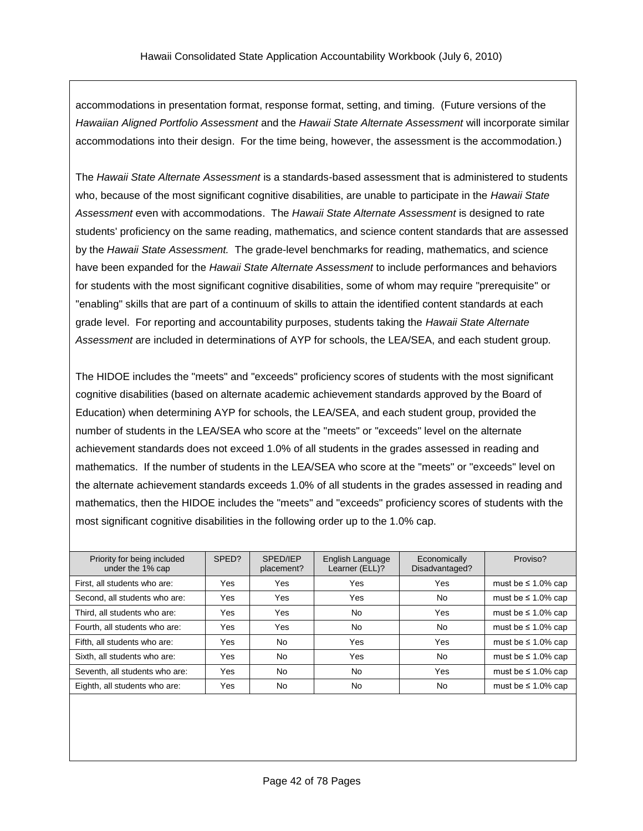accommodations in presentation format, response format, setting, and timing. (Future versions of the *Hawaiian Aligned Portfolio Assessment* and the *Hawaii State Alternate Assessment* will incorporate similar accommodations into their design. For the time being, however, the assessment is the accommodation.)

The *Hawaii State Alternate Assessment* is a standards-based assessment that is administered to students who, because of the most significant cognitive disabilities, are unable to participate in the *Hawaii State Assessment* even with accommodations. The *Hawaii State Alternate Assessment* is designed to rate students' proficiency on the same reading, mathematics, and science content standards that are assessed by the *Hawaii State Assessment.* The grade-level benchmarks for reading, mathematics, and science have been expanded for the *Hawaii State Alternate Assessment* to include performances and behaviors for students with the most significant cognitive disabilities, some of whom may require "prerequisite" or "enabling" skills that are part of a continuum of skills to attain the identified content standards at each grade level. For reporting and accountability purposes, students taking the *Hawaii State Alternate Assessment* are included in determinations of AYP for schools, the LEA/SEA, and each student group.

The HIDOE includes the "meets" and "exceeds" proficiency scores of students with the most significant cognitive disabilities (based on alternate academic achievement standards approved by the Board of Education) when determining AYP for schools, the LEA/SEA, and each student group, provided the number of students in the LEA/SEA who score at the "meets" or "exceeds" level on the alternate achievement standards does not exceed 1.0% of all students in the grades assessed in reading and mathematics. If the number of students in the LEA/SEA who score at the "meets" or "exceeds" level on the alternate achievement standards exceeds 1.0% of all students in the grades assessed in reading and mathematics, then the HIDOE includes the "meets" and "exceeds" proficiency scores of students with the most significant cognitive disabilities in the following order up to the 1.0% cap.

| Priority for being included<br>under the 1% cap | SPED? | SPED/IEP<br>placement? | English Language<br>Learner (ELL)? | Economically<br>Disadvantaged? | Proviso?                 |
|-------------------------------------------------|-------|------------------------|------------------------------------|--------------------------------|--------------------------|
| First, all students who are:                    | Yes   | Yes                    | Yes                                | Yes                            | must be $\leq 1.0\%$ cap |
| Second, all students who are:                   | Yes   | Yes                    | Yes                                | No                             | must be $\leq 1.0\%$ cap |
| Third, all students who are:                    | Yes   | Yes                    | No                                 | Yes                            | must be $\leq 1.0\%$ cap |
| Fourth, all students who are:                   | Yes   | Yes                    | No                                 | <b>No</b>                      | must be $\leq 1.0\%$ cap |
| Fifth, all students who are:                    | Yes   | <b>No</b>              | Yes                                | Yes                            | must be $\leq 1.0\%$ cap |
| Sixth, all students who are:                    | Yes   | No.                    | Yes                                | <b>No</b>                      | must be $\leq 1.0\%$ cap |
| Seventh, all students who are:                  | Yes   | No                     | No                                 | Yes                            | must be $\leq 1.0\%$ cap |
| Eighth, all students who are:                   | Yes   | <b>No</b>              | No                                 | No                             | must be $\leq 1.0\%$ cap |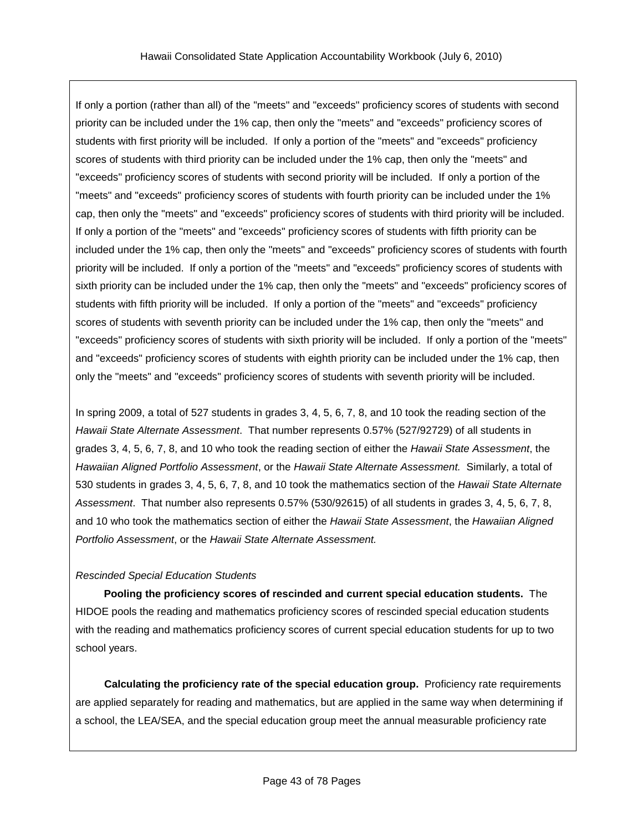If only a portion (rather than all) of the "meets" and "exceeds" proficiency scores of students with second priority can be included under the 1% cap, then only the "meets" and "exceeds" proficiency scores of students with first priority will be included. If only a portion of the "meets" and "exceeds" proficiency scores of students with third priority can be included under the 1% cap, then only the "meets" and "exceeds" proficiency scores of students with second priority will be included. If only a portion of the "meets" and "exceeds" proficiency scores of students with fourth priority can be included under the 1% cap, then only the "meets" and "exceeds" proficiency scores of students with third priority will be included. If only a portion of the "meets" and "exceeds" proficiency scores of students with fifth priority can be included under the 1% cap, then only the "meets" and "exceeds" proficiency scores of students with fourth priority will be included. If only a portion of the "meets" and "exceeds" proficiency scores of students with sixth priority can be included under the 1% cap, then only the "meets" and "exceeds" proficiency scores of students with fifth priority will be included. If only a portion of the "meets" and "exceeds" proficiency scores of students with seventh priority can be included under the 1% cap, then only the "meets" and "exceeds" proficiency scores of students with sixth priority will be included. If only a portion of the "meets" and "exceeds" proficiency scores of students with eighth priority can be included under the 1% cap, then only the "meets" and "exceeds" proficiency scores of students with seventh priority will be included.

In spring 2009, a total of 527 students in grades 3, 4, 5, 6, 7, 8, and 10 took the reading section of the *Hawaii State Alternate Assessment*. That number represents 0.57% (527/92729) of all students in grades 3, 4, 5, 6, 7, 8, and 10 who took the reading section of either the *Hawaii State Assessment*, the *Hawaiian Aligned Portfolio Assessment*, or the *Hawaii State Alternate Assessment.* Similarly, a total of 530 students in grades 3, 4, 5, 6, 7, 8, and 10 took the mathematics section of the *Hawaii State Alternate Assessment*. That number also represents 0.57% (530/92615) of all students in grades 3, 4, 5, 6, 7, 8, and 10 who took the mathematics section of either the *Hawaii State Assessment*, the *Hawaiian Aligned Portfolio Assessment*, or the *Hawaii State Alternate Assessment.*

## *Rescinded Special Education Students*

**Pooling the proficiency scores of rescinded and current special education students.** The HIDOE pools the reading and mathematics proficiency scores of rescinded special education students with the reading and mathematics proficiency scores of current special education students for up to two school years.

**Calculating the proficiency rate of the special education group.** Proficiency rate requirements are applied separately for reading and mathematics, but are applied in the same way when determining if a school, the LEA/SEA, and the special education group meet the annual measurable proficiency rate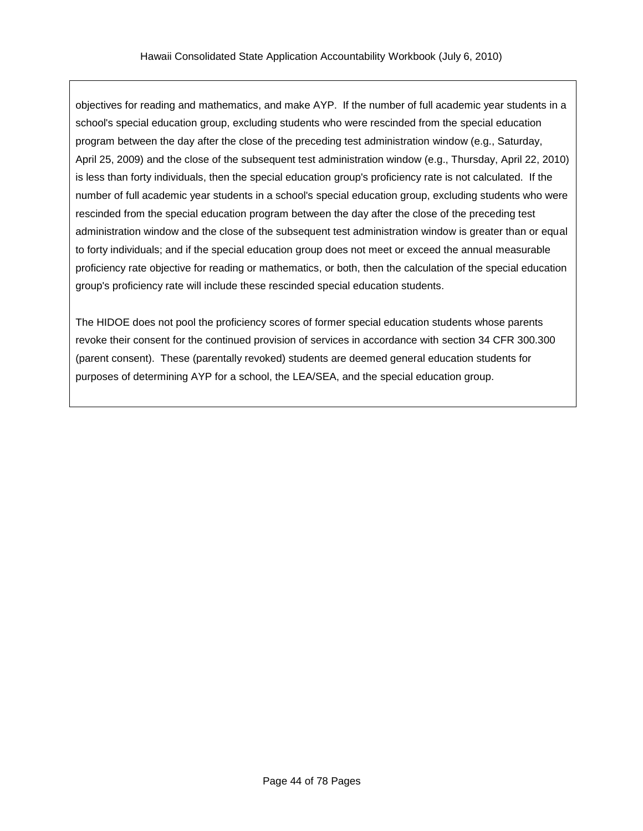objectives for reading and mathematics, and make AYP. If the number of full academic year students in a school's special education group, excluding students who were rescinded from the special education program between the day after the close of the preceding test administration window (e.g., Saturday, April 25, 2009) and the close of the subsequent test administration window (e.g., Thursday, April 22, 2010) is less than forty individuals, then the special education group's proficiency rate is not calculated. If the number of full academic year students in a school's special education group, excluding students who were rescinded from the special education program between the day after the close of the preceding test administration window and the close of the subsequent test administration window is greater than or equal to forty individuals; and if the special education group does not meet or exceed the annual measurable proficiency rate objective for reading or mathematics, or both, then the calculation of the special education group's proficiency rate will include these rescinded special education students.

The HIDOE does not pool the proficiency scores of former special education students whose parents revoke their consent for the continued provision of services in accordance with section 34 CFR 300.300 (parent consent). These (parentally revoked) students are deemed general education students for purposes of determining AYP for a school, the LEA/SEA, and the special education group.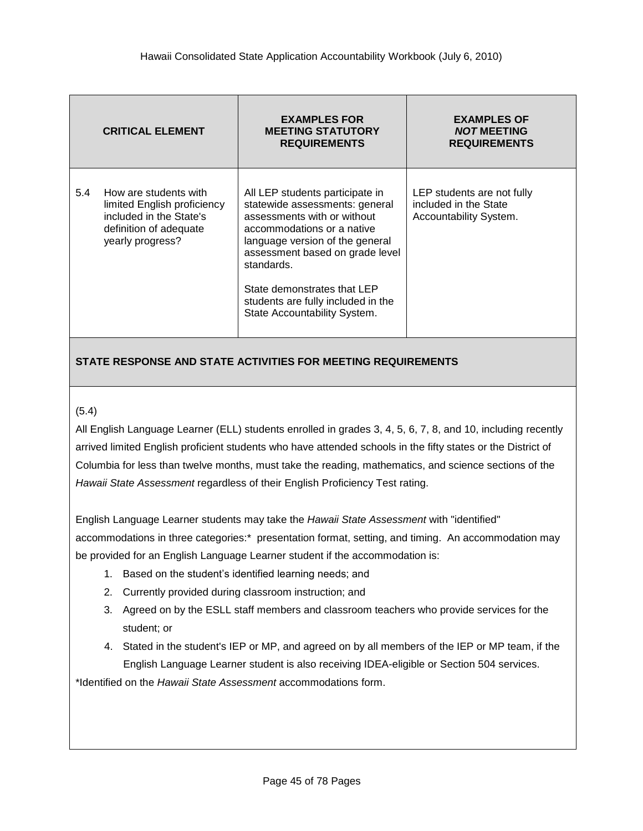|     | <b>CRITICAL ELEMENT</b>                                                                                                       | <b>EXAMPLES FOR</b><br><b>MEETING STATUTORY</b><br><b>REQUIREMENTS</b>                                                                                                                                                                                                                                                  | <b>EXAMPLES OF</b><br><b>NOT MEETING</b><br><b>REQUIREMENTS</b>               |
|-----|-------------------------------------------------------------------------------------------------------------------------------|-------------------------------------------------------------------------------------------------------------------------------------------------------------------------------------------------------------------------------------------------------------------------------------------------------------------------|-------------------------------------------------------------------------------|
| 5.4 | How are students with<br>limited English proficiency<br>included in the State's<br>definition of adequate<br>yearly progress? | All LEP students participate in<br>statewide assessments: general<br>assessments with or without<br>accommodations or a native<br>language version of the general<br>assessment based on grade level<br>standards.<br>State demonstrates that LEP<br>students are fully included in the<br>State Accountability System. | LEP students are not fully<br>included in the State<br>Accountability System. |

### (5.4)

All English Language Learner (ELL) students enrolled in grades 3, 4, 5, 6, 7, 8, and 10, including recently arrived limited English proficient students who have attended schools in the fifty states or the District of Columbia for less than twelve months, must take the reading, mathematics, and science sections of the *Hawaii State Assessment* regardless of their English Proficiency Test rating.

English Language Learner students may take the *Hawaii State Assessment* with "identified" accommodations in three categories:\* presentation format, setting, and timing. An accommodation may be provided for an English Language Learner student if the accommodation is:

- 1. Based on the student's identified learning needs; and
- 2. Currently provided during classroom instruction; and
- 3. Agreed on by the ESLL staff members and classroom teachers who provide services for the student; or
- 4. Stated in the student's IEP or MP, and agreed on by all members of the IEP or MP team, if the English Language Learner student is also receiving IDEA-eligible or Section 504 services.

\*Identified on the *Hawaii State Assessment* accommodations form.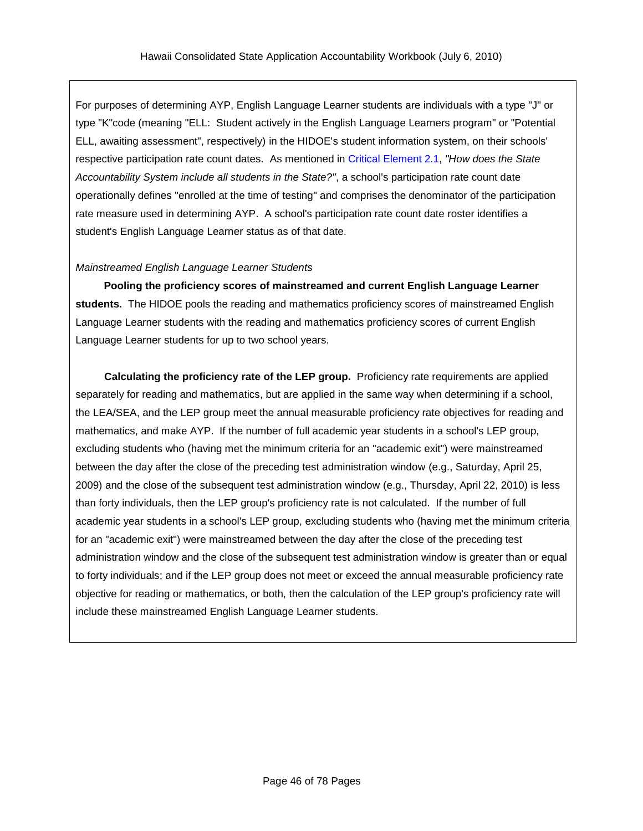For purposes of determining AYP, English Language Learner students are individuals with a type "J" or type "K"code (meaning "ELL: Student actively in the English Language Learners program" or "Potential ELL, awaiting assessment", respectively) in the HIDOE's student information system, on their schools' respective participation rate count dates. As mentioned in Critical [Element](#page-16-0) 2.1, *"How does the State Accountability System include all students in the State?"*, a school's participation rate count date operationally defines "enrolled at the time of testing" and comprises the denominator of the participation rate measure used in determining AYP. A school's participation rate count date roster identifies a student's English Language Learner status as of that date.

### *Mainstreamed English Language Learner Students*

**Pooling the proficiency scores of mainstreamed and current English Language Learner students.** The HIDOE pools the reading and mathematics proficiency scores of mainstreamed English Language Learner students with the reading and mathematics proficiency scores of current English Language Learner students for up to two school years.

**Calculating the proficiency rate of the LEP group.** Proficiency rate requirements are applied separately for reading and mathematics, but are applied in the same way when determining if a school, the LEA/SEA, and the LEP group meet the annual measurable proficiency rate objectives for reading and mathematics, and make AYP. If the number of full academic year students in a school's LEP group, excluding students who (having met the minimum criteria for an "academic exit") were mainstreamed between the day after the close of the preceding test administration window (e.g., Saturday, April 25, 2009) and the close of the subsequent test administration window (e.g., Thursday, April 22, 2010) is less than forty individuals, then the LEP group's proficiency rate is not calculated. If the number of full academic year students in a school's LEP group, excluding students who (having met the minimum criteria for an "academic exit") were mainstreamed between the day after the close of the preceding test administration window and the close of the subsequent test administration window is greater than or equal to forty individuals; and if the LEP group does not meet or exceed the annual measurable proficiency rate objective for reading or mathematics, or both, then the calculation of the LEP group's proficiency rate will include these mainstreamed English Language Learner students.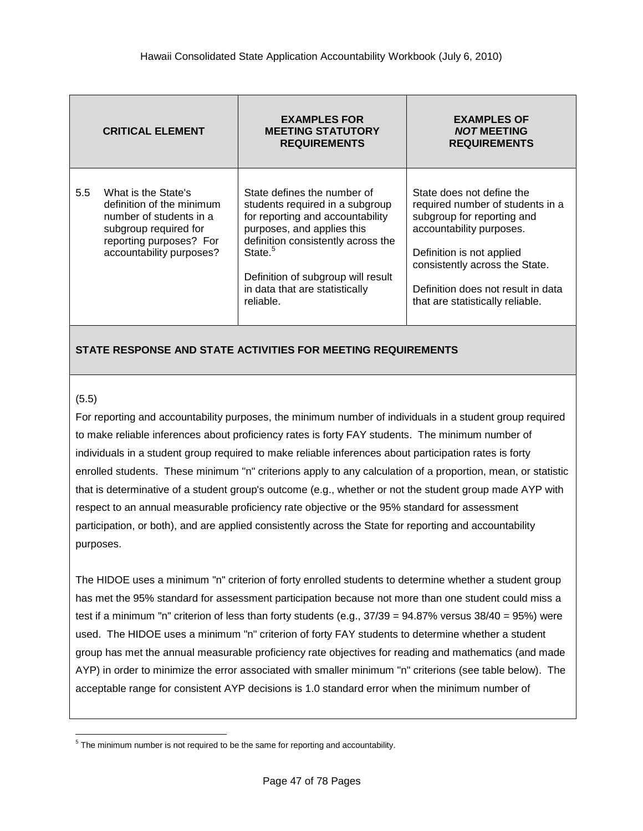|               | <b>CRITICAL ELEMENT</b>                                                                                                                                     | <b>EXAMPLES FOR</b><br><b>MEETING STATUTORY</b><br><b>REQUIREMENTS</b>                                                                                                                                                                                                             | <b>EXAMPLES OF</b><br><b>NOT MEETING</b><br><b>REQUIREMENTS</b>                                                                                                                                                                                                  |
|---------------|-------------------------------------------------------------------------------------------------------------------------------------------------------------|------------------------------------------------------------------------------------------------------------------------------------------------------------------------------------------------------------------------------------------------------------------------------------|------------------------------------------------------------------------------------------------------------------------------------------------------------------------------------------------------------------------------------------------------------------|
| $5.5^{\circ}$ | What is the State's<br>definition of the minimum<br>number of students in a<br>subgroup required for<br>reporting purposes? For<br>accountability purposes? | State defines the number of<br>students required in a subgroup<br>for reporting and accountability<br>purposes, and applies this<br>definition consistently across the<br>State. <sup>5</sup><br>Definition of subgroup will result<br>in data that are statistically<br>reliable. | State does not define the<br>required number of students in a<br>subgroup for reporting and<br>accountability purposes.<br>Definition is not applied<br>consistently across the State.<br>Definition does not result in data<br>that are statistically reliable. |

## <span id="page-46-0"></span>(5.5)

For reporting and accountability purposes, the minimum number of individuals in a student group required to make reliable inferences about proficiency rates is forty FAY students. The minimum number of individuals in a student group required to make reliable inferences about participation rates is forty enrolled students. These minimum "n" criterions apply to any calculation of a proportion, mean, or statistic that is determinative of a student group's outcome (e.g., whether or not the student group made AYP with respect to an annual measurable proficiency rate objective or the 95% standard for assessment participation, or both), and are applied consistently across the State for reporting and accountability purposes.

The HIDOE uses a minimum "n" criterion of forty enrolled students to determine whether a student group has met the 95% standard for assessment participation because not more than one student could miss a test if a minimum "n" criterion of less than forty students (e.g., 37/39 = 94.87% versus 38/40 = 95%) were used. The HIDOE uses a minimum "n" criterion of forty FAY students to determine whether a student group has met the annual measurable proficiency rate objectives for reading and mathematics (and made AYP) in order to minimize the error associated with smaller minimum "n" criterions (see table below). The acceptable range for consistent AYP decisions is 1.0 standard error when the minimum number of

 5 The minimum number is not required to be the same for reporting and accountability.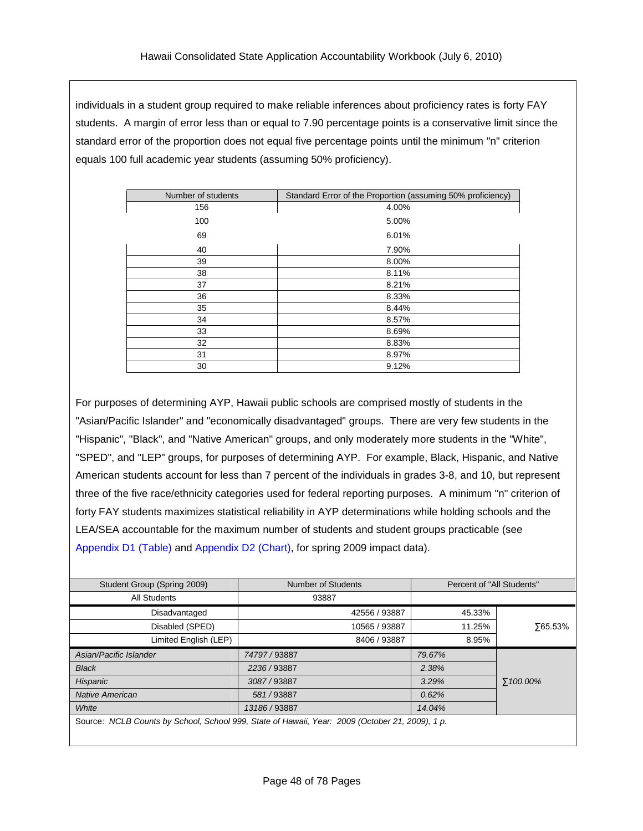individuals in a student group required to make reliable inferences about proficiency rates is forty FAY students. A margin of error less than or equal to 7.90 percentage points is a conservative limit since the standard error of the proportion does not equal five percentage points until the minimum "n" criterion equals 100 full academic year students (assuming 50% proficiency).

| Number of students | Standard Error of the Proportion (assuming 50% proficiency) |  |
|--------------------|-------------------------------------------------------------|--|
| 156                | 4.00%                                                       |  |
| 100                | 5.00%                                                       |  |
| 69                 | 6.01%                                                       |  |
| 40                 | 7.90%                                                       |  |
| 39                 | 8.00%                                                       |  |
| 38                 | 8.11%                                                       |  |
| 37                 | 8.21%                                                       |  |
| 36                 | 8.33%                                                       |  |
| 35                 | 8.44%                                                       |  |
| 34                 | 8.57%                                                       |  |
| 33                 | 8.69%                                                       |  |
| 32                 | 8.83%                                                       |  |
| 31                 | 8.97%                                                       |  |
| 30                 | 9.12%                                                       |  |

For purposes of determining AYP, Hawaii public schools are comprised mostly of students in the "Asian/Pacific Islander" and "economically disadvantaged" groups. There are very few students in the "Hispanic", "Black", and "Native American" groups, and only moderately more students in the "White", "SPED", and "LEP" groups, for purposes of determining AYP. For example, Black, Hispanic, and Native American students account for less than 7 percent of the individuals in grades 3-8, and 10, but represent three of the five race/ethnicity categories used for federal reporting purposes. A minimum "n" criterion of forty FAY students maximizes statistical reliability in AYP determinations while holding schools and the LEA/SEA accountable for the maximum number of students and student groups practicable (see [Appendix](#page-76-0) D1 (Table) and [Appendix](#page-77-0) D2 (Chart), for spring 2009 impact data).

| Student Group (Spring 2009)                                                                     | <b>Number of Students</b> | Percent of "All Students" |                |
|-------------------------------------------------------------------------------------------------|---------------------------|---------------------------|----------------|
| All Students                                                                                    | 93887                     |                           |                |
| Disadvantaged                                                                                   | 42556 / 93887             | 45.33%                    |                |
| Disabled (SPED)                                                                                 | 10565 / 93887             | 11.25%                    | <b>765.53%</b> |
| Limited English (LEP)                                                                           | 8406 / 93887              | 8.95%                     |                |
| Asian/Pacific Islander                                                                          | 74797 / 93887             | 79.67%                    |                |
| <b>Black</b>                                                                                    | 2236/93887                | 2.38%                     |                |
| Hispanic                                                                                        | 3087/93887                | 3.29%                     | ∑100.00%       |
| Native American                                                                                 | 581/93887                 | 0.62%                     |                |
| White                                                                                           | 13186 / 93887             | 14.04%                    |                |
| Source: NCLB Counts by School, School 999, State of Hawaii, Year: 2009 (October 21, 2009), 1 p. |                           |                           |                |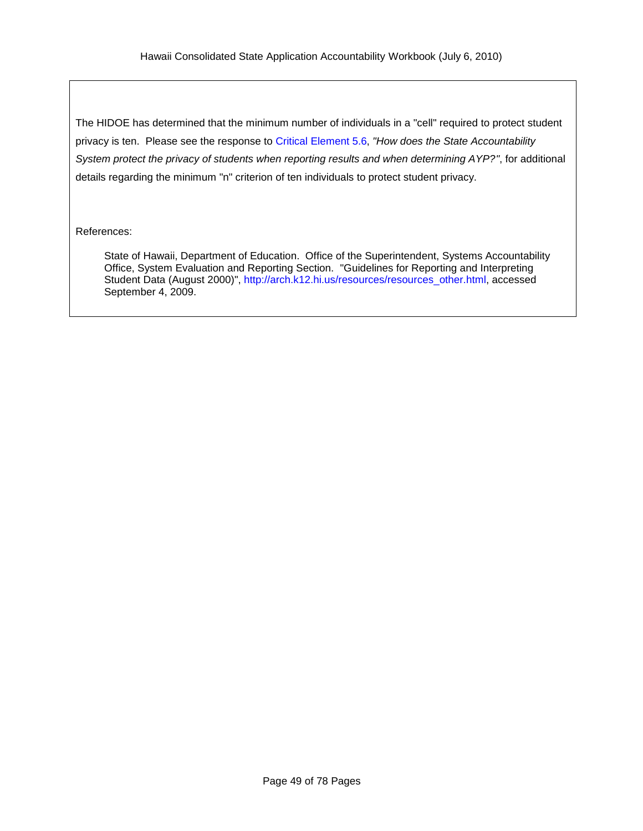The HIDOE has determined that the minimum number of individuals in a "cell" required to protect student privacy is ten. Please see the response to Critical [Element](#page-49-0) 5.6, *"How does the State Accountability System protect the privacy of students when reporting results and when determining AYP?"*, for additional details regarding the minimum "n" criterion of ten individuals to protect student privacy.

### References:

State of Hawaii, Department of Education. Office of the Superintendent, Systems Accountability Office, System Evaluation and Reporting Section. "Guidelines for Reporting and Interpreting Student Data (August 2000)", [http://arch.k12.hi.us/resources/resources\\_other.html,](http://arch.k12.hi.us/resources/resources_other.html) accessed September 4, 2009.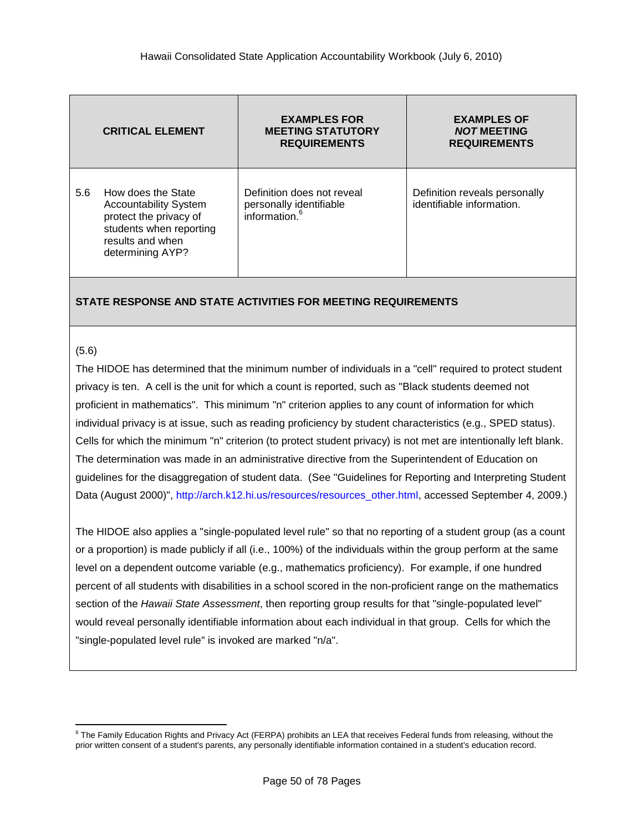|     | <b>CRITICAL ELEMENT</b>                                                                                                                         | <b>EXAMPLES FOR</b><br><b>MEETING STATUTORY</b><br><b>REQUIREMENTS</b>    | <b>EXAMPLES OF</b><br><b>NOT MEETING</b><br><b>REQUIREMENTS</b> |
|-----|-------------------------------------------------------------------------------------------------------------------------------------------------|---------------------------------------------------------------------------|-----------------------------------------------------------------|
| 5.6 | How does the State<br><b>Accountability System</b><br>protect the privacy of<br>students when reporting<br>results and when<br>determining AYP? | Definition does not reveal<br>personally identifiable<br>information. $6$ | Definition reveals personally<br>identifiable information.      |

#### <span id="page-49-0"></span>(5.6)

 $\overline{a}$ 

The HIDOE has determined that the minimum number of individuals in a "cell" required to protect student privacy is ten. A cell is the unit for which a count is reported, such as "Black students deemed not proficient in mathematics". This minimum "n" criterion applies to any count of information for which individual privacy is at issue, such as reading proficiency by student characteristics (e.g., SPED status). Cells for which the minimum "n" criterion (to protect student privacy) is not met are intentionally left blank. The determination was made in an administrative directive from the Superintendent of Education on guidelines for the disaggregation of student data. (See "Guidelines for Reporting and Interpreting Student Data (August 2000)", [http://arch.k12.hi.us/resources/resources\\_other.html,](http://arch.k12.hi.us/resources/resources_other.html) accessed September 4, 2009.)

The HIDOE also applies a "single-populated level rule" so that no reporting of a student group (as a count or a proportion) is made publicly if all (i.e., 100%) of the individuals within the group perform at the same level on a dependent outcome variable (e.g., mathematics proficiency). For example, if one hundred percent of all students with disabilities in a school scored in the non-proficient range on the mathematics section of the *Hawaii State Assessment*, then reporting group results for that "single-populated level" would reveal personally identifiable information about each individual in that group. Cells for which the "single-populated level rule" is invoked are marked "n/a".

<sup>&</sup>lt;sup>6</sup> The Family Education Rights and Privacy Act (FERPA) prohibits an LEA that receives Federal funds from releasing, without the prior written consent of a student's parents, any personally identifiable information contained in a student's education record.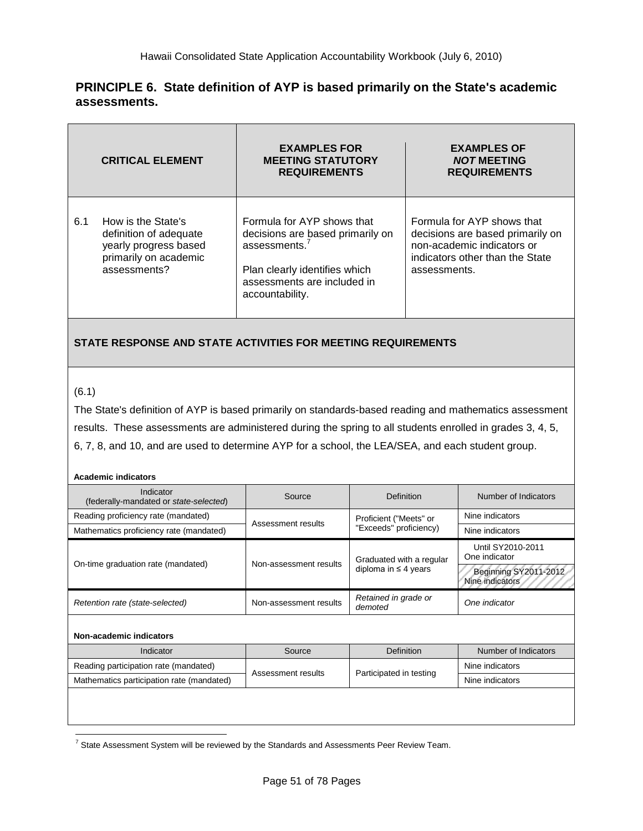## **PRINCIPLE 6. State definition of AYP is based primarily on the State's academic assessments.**

|     | <b>CRITICAL ELEMENT</b>                                                                                        | <b>EXAMPLES FOR</b><br><b>MEETING STATUTORY</b><br><b>REQUIREMENTS</b>                                                                                                | <b>EXAMPLES OF</b><br><b>NOT MEETING</b><br><b>REQUIREMENTS</b>                                                                                 |
|-----|----------------------------------------------------------------------------------------------------------------|-----------------------------------------------------------------------------------------------------------------------------------------------------------------------|-------------------------------------------------------------------------------------------------------------------------------------------------|
| 6.1 | How is the State's<br>definition of adequate<br>yearly progress based<br>primarily on academic<br>assessments? | Formula for AYP shows that<br>decisions are based primarily on<br>assessments. $7$<br>Plan clearly identifies which<br>assessments are included in<br>accountability. | Formula for AYP shows that<br>decisions are based primarily on<br>non-academic indicators or<br>indicators other than the State<br>assessments. |

## **STATE RESPONSE AND STATE ACTIVITIES FOR MEETING REQUIREMENTS**

### (6.1)

 $\overline{a}$ 

The State's definition of AYP is based primarily on standards-based reading and mathematics assessment results. These assessments are administered during the spring to all students enrolled in grades 3, 4, 5, 6, 7, 8, and 10, and are used to determine AYP for a school, the LEA/SEA, and each student group.

#### **Academic indicators**

| Indicator<br>(federally-mandated or state-selected) | Source                 | Definition                      | Number of Indicators                     |
|-----------------------------------------------------|------------------------|---------------------------------|------------------------------------------|
| Reading proficiency rate (mandated)                 | Assessment results     | Proficient ("Meets" or          | Nine indicators                          |
| Mathematics proficiency rate (mandated)             |                        | "Exceeds" proficiency)          | Nine indicators                          |
|                                                     | Non-assessment results | Graduated with a regular        | Until SY2010-2011<br>One indicator       |
| On-time graduation rate (mandated)                  |                        | diploma in $\leq$ 4 years       | Beginning SY2011-2012<br>Nine indicators |
| Retention rate (state-selected)                     | Non-assessment results | Retained in grade or<br>demoted | One indicator                            |
|                                                     |                        |                                 |                                          |
| Non-academic indicators                             |                        |                                 |                                          |

| Indicator                                 | Source             | <b>Definition</b>       | Number of Indicators |
|-------------------------------------------|--------------------|-------------------------|----------------------|
| Reading participation rate (mandated)     | Assessment results | Participated in testing | Nine indicators      |
| Mathematics participation rate (mandated) |                    |                         | Nine indicators      |
|                                           |                    |                         |                      |
|                                           |                    |                         |                      |
|                                           |                    |                         |                      |

 $^7$  State Assessment System will be reviewed by the Standards and Assessments Peer Review Team.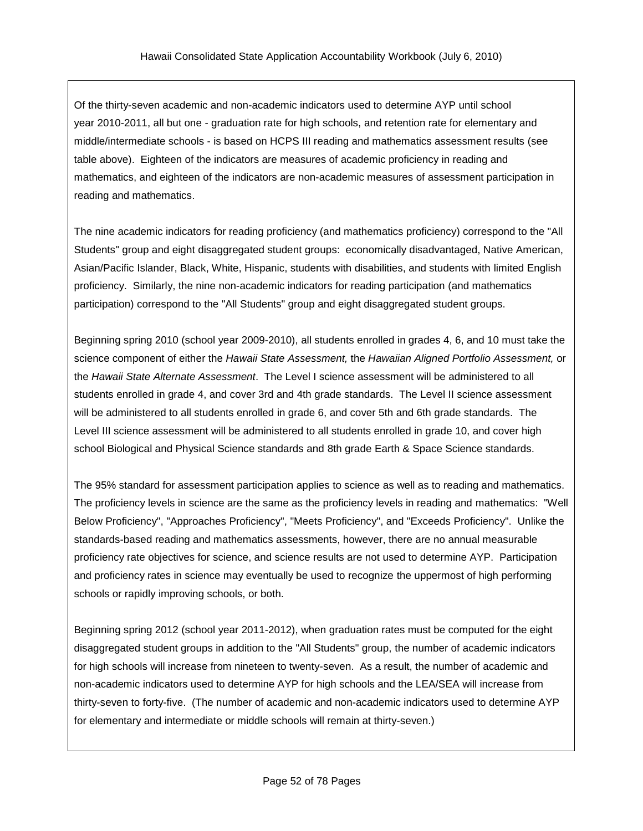Of the thirty-seven academic and non-academic indicators used to determine AYP until school year 2010-2011, all but one - graduation rate for high schools, and retention rate for elementary and middle/intermediate schools - is based on HCPS III reading and mathematics assessment results (see table above). Eighteen of the indicators are measures of academic proficiency in reading and mathematics, and eighteen of the indicators are non-academic measures of assessment participation in reading and mathematics.

The nine academic indicators for reading proficiency (and mathematics proficiency) correspond to the "All Students" group and eight disaggregated student groups: economically disadvantaged, Native American, Asian/Pacific Islander, Black, White, Hispanic, students with disabilities, and students with limited English proficiency. Similarly, the nine non-academic indicators for reading participation (and mathematics participation) correspond to the "All Students" group and eight disaggregated student groups.

Beginning spring 2010 (school year 2009-2010), all students enrolled in grades 4, 6, and 10 must take the science component of either the *Hawaii State Assessment,* the *Hawaiian Aligned Portfolio Assessment,* or the *Hawaii State Alternate Assessment*. The Level I science assessment will be administered to all students enrolled in grade 4, and cover 3rd and 4th grade standards. The Level II science assessment will be administered to all students enrolled in grade 6, and cover 5th and 6th grade standards. The Level III science assessment will be administered to all students enrolled in grade 10, and cover high school Biological and Physical Science standards and 8th grade Earth & Space Science standards.

The 95% standard for assessment participation applies to science as well as to reading and mathematics. The proficiency levels in science are the same as the proficiency levels in reading and mathematics: "Well Below Proficiency", "Approaches Proficiency", "Meets Proficiency", and "Exceeds Proficiency". Unlike the standards-based reading and mathematics assessments, however, there are no annual measurable proficiency rate objectives for science, and science results are not used to determine AYP. Participation and proficiency rates in science may eventually be used to recognize the uppermost of high performing schools or rapidly improving schools, or both.

Beginning spring 2012 (school year 2011-2012), when graduation rates must be computed for the eight disaggregated student groups in addition to the "All Students" group, the number of academic indicators for high schools will increase from nineteen to twenty-seven. As a result, the number of academic and non-academic indicators used to determine AYP for high schools and the LEA/SEA will increase from thirty-seven to forty-five. (The number of academic and non-academic indicators used to determine AYP for elementary and intermediate or middle schools will remain at thirty-seven.)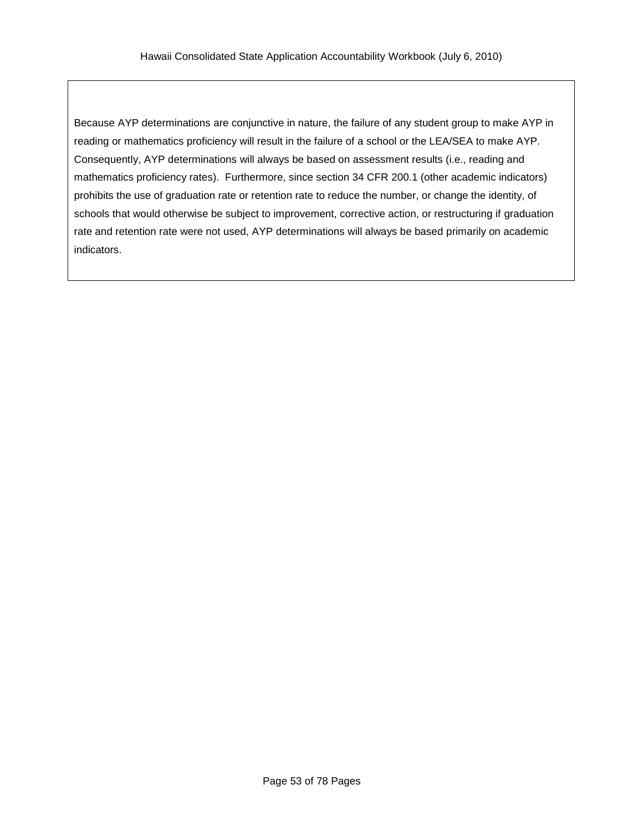Because AYP determinations are conjunctive in nature, the failure of any student group to make AYP in reading or mathematics proficiency will result in the failure of a school or the LEA/SEA to make AYP. Consequently, AYP determinations will always be based on assessment results (i.e., reading and mathematics proficiency rates). Furthermore, since section 34 CFR 200.1 (other academic indicators) prohibits the use of graduation rate or retention rate to reduce the number, or change the identity, of schools that would otherwise be subject to improvement, corrective action, or restructuring if graduation rate and retention rate were not used, AYP determinations will always be based primarily on academic indicators.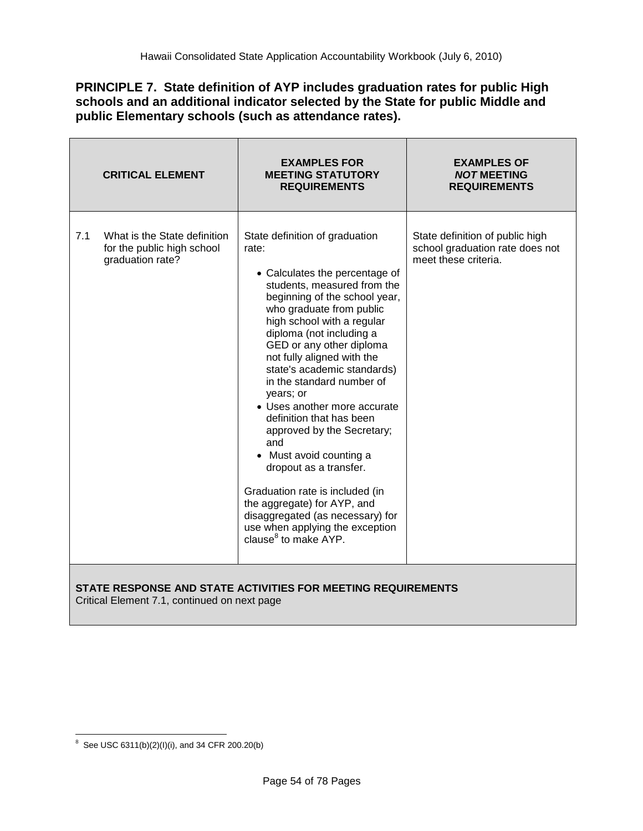## **PRINCIPLE 7. State definition of AYP includes graduation rates for public High schools and an additional indicator selected by the State for public Middle and public Elementary schools (such as attendance rates).**

|     | <b>CRITICAL ELEMENT</b>                                                        | <b>EXAMPLES FOR</b><br><b>MEETING STATUTORY</b><br><b>REQUIREMENTS</b>                                                                                                                                                                                                                                                                                                                                                                                                                                                                                                                                                                                                                                | <b>EXAMPLES OF</b><br><b>NOT MEETING</b><br><b>REQUIREMENTS</b>                            |
|-----|--------------------------------------------------------------------------------|-------------------------------------------------------------------------------------------------------------------------------------------------------------------------------------------------------------------------------------------------------------------------------------------------------------------------------------------------------------------------------------------------------------------------------------------------------------------------------------------------------------------------------------------------------------------------------------------------------------------------------------------------------------------------------------------------------|--------------------------------------------------------------------------------------------|
| 7.1 | What is the State definition<br>for the public high school<br>graduation rate? | State definition of graduation<br>rate:<br>• Calculates the percentage of<br>students, measured from the<br>beginning of the school year,<br>who graduate from public<br>high school with a regular<br>diploma (not including a<br>GED or any other diploma<br>not fully aligned with the<br>state's academic standards)<br>in the standard number of<br>years; or<br>• Uses another more accurate<br>definition that has been<br>approved by the Secretary;<br>and<br>• Must avoid counting a<br>dropout as a transfer.<br>Graduation rate is included (in<br>the aggregate) for AYP, and<br>disaggregated (as necessary) for<br>use when applying the exception<br>clause <sup>8</sup> to make AYP. | State definition of public high<br>school graduation rate does not<br>meet these criteria. |

**STATE RESPONSE AND STATE ACTIVITIES FOR MEETING REQUIREMENTS**

Critical Element 7.1, continued on next page

 8 See USC 6311(b)(2)(I)(i), and 34 CFR 200.20(b)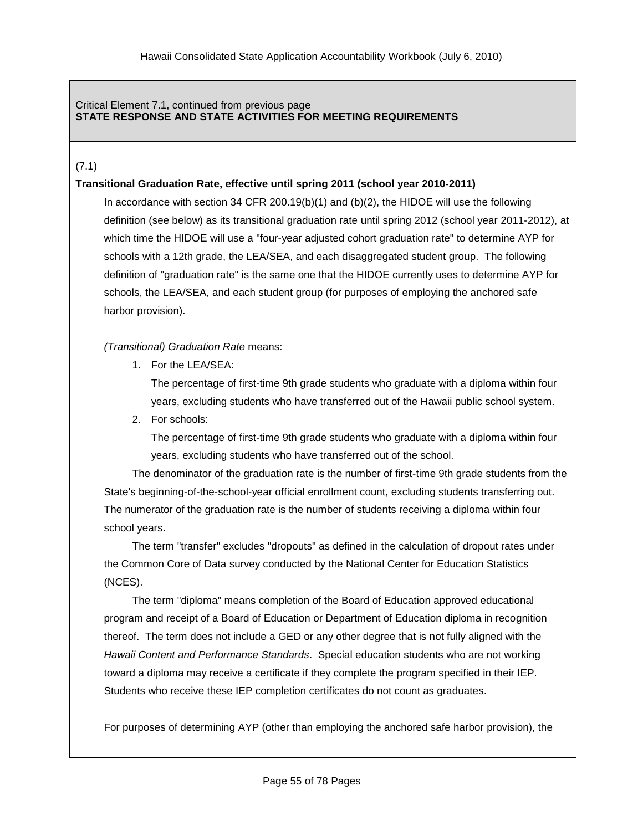### Critical Element 7.1, continued from previous page **STATE RESPONSE AND STATE ACTIVITIES FOR MEETING REQUIREMENTS**

## (7.1)

### **Transitional Graduation Rate, effective until spring 2011 (school year 2010-2011)**

In accordance with section 34 CFR 200.19(b)(1) and (b)(2), the HIDOE will use the following definition (see below) as its transitional graduation rate until spring 2012 (school year 2011-2012), at which time the HIDOE will use a "four-year adjusted cohort graduation rate" to determine AYP for schools with a 12th grade, the LEA/SEA, and each disaggregated student group. The following definition of "graduation rate" is the same one that the HIDOE currently uses to determine AYP for schools, the LEA/SEA, and each student group (for purposes of employing the anchored safe harbor provision).

*(Transitional) Graduation Rate* means:

1. For the LEA/SEA:

The percentage of first-time 9th grade students who graduate with a diploma within four years, excluding students who have transferred out of the Hawaii public school system.

2. For schools:

The percentage of first-time 9th grade students who graduate with a diploma within four years, excluding students who have transferred out of the school.

The denominator of the graduation rate is the number of first-time 9th grade students from the State's beginning-of-the-school-year official enrollment count, excluding students transferring out. The numerator of the graduation rate is the number of students receiving a diploma within four school years.

The term "transfer" excludes "dropouts" as defined in the calculation of dropout rates under the Common Core of Data survey conducted by the National Center for Education Statistics (NCES).

The term "diploma" means completion of the Board of Education approved educational program and receipt of a Board of Education or Department of Education diploma in recognition thereof. The term does not include a GED or any other degree that is not fully aligned with the *Hawaii Content and Performance Standards*. Special education students who are not working toward a diploma may receive a certificate if they complete the program specified in their IEP. Students who receive these IEP completion certificates do not count as graduates.

For purposes of determining AYP (other than employing the anchored safe harbor provision), the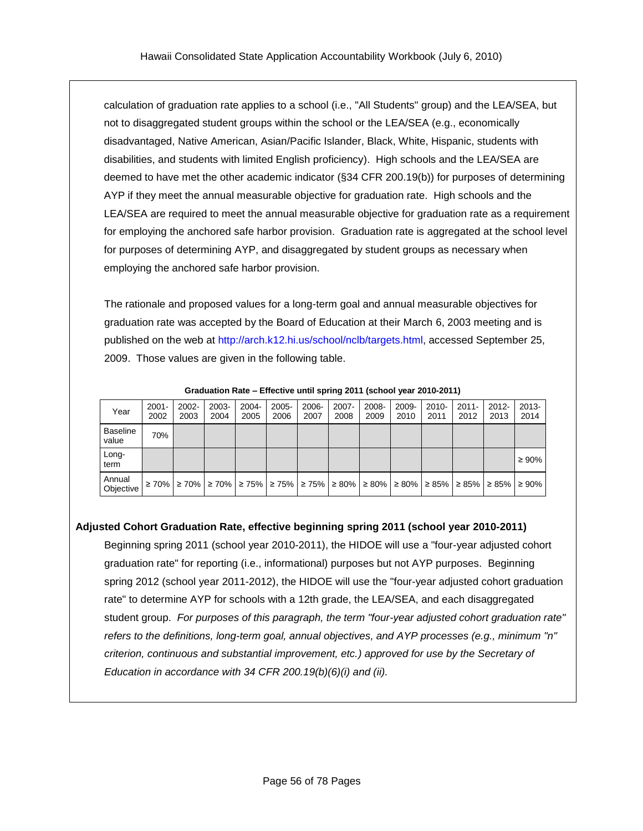calculation of graduation rate applies to a school (i.e., "All Students" group) and the LEA/SEA, but not to disaggregated student groups within the school or the LEA/SEA (e.g., economically disadvantaged, Native American, Asian/Pacific Islander, Black, White, Hispanic, students with disabilities, and students with limited English proficiency). High schools and the LEA/SEA are deemed to have met the other academic indicator (§34 CFR 200.19(b)) for purposes of determining AYP if they meet the annual measurable objective for graduation rate. High schools and the LEA/SEA are required to meet the annual measurable objective for graduation rate as a requirement for employing the anchored safe harbor provision. Graduation rate is aggregated at the school level for purposes of determining AYP, and disaggregated by student groups as necessary when employing the anchored safe harbor provision.

The rationale and proposed values for a long-term goal and annual measurable objectives for graduation rate was accepted by the Board of Education at their March 6, 2003 meeting and is published on the web at [http://arch.k12.hi.us/school/nclb/targets.html,](http://arch.k12.hi.us/school/nclb/targets.html) accessed September 25, 2009. Those values are given in the following table.

| Year                     | $2001 -$<br>2002 | 2002-<br>2003                                                                       | $2003 -$<br>2004 | $2004 -$<br>2005 | $2005 -$<br>2006 | 2006-<br>2007 | $2007 -$<br>2008 | 2008-<br>2009 | 2009-<br>2010 | $2010 -$<br>2011                        | $2011 -$<br>2012 | $2012 -$<br>2013 | $2013 -$<br>2014 |
|--------------------------|------------------|-------------------------------------------------------------------------------------|------------------|------------------|------------------|---------------|------------------|---------------|---------------|-----------------------------------------|------------------|------------------|------------------|
| <b>Baseline</b><br>value | 70%              |                                                                                     |                  |                  |                  |               |                  |               |               |                                         |                  |                  |                  |
| Long-<br>term            |                  |                                                                                     |                  |                  |                  |               |                  |               |               |                                         |                  |                  | $\geq 90\%$      |
| Annual<br>Objective      | $\geq 70\%$      | $\geq$ 70% $\geq$ 70% $\geq$ 75% $\geq$ 75% $\geq$ 75% $\geq$ 80% $\geq$ 80% $\geq$ |                  |                  |                  |               |                  |               |               | $\geq 80\%$   $\geq 85\%$   $\geq 85\%$ |                  | $\geq 85\%$      | ≥ 90%            |

**Graduation Rate – Effective until spring 2011 (school year 2010-2011)**

# **Adjusted Cohort Graduation Rate, effective beginning spring 2011 (school year 2010-2011)**

Beginning spring 2011 (school year 2010-2011), the HIDOE will use a "four-year adjusted cohort graduation rate" for reporting (i.e., informational) purposes but not AYP purposes. Beginning spring 2012 (school year 2011-2012), the HIDOE will use the "four-year adjusted cohort graduation rate" to determine AYP for schools with a 12th grade, the LEA/SEA, and each disaggregated student group. *For purposes of this paragraph, the term "four-year adjusted cohort graduation rate" refers to the definitions, long-term goal, annual objectives, and AYP processes (e.g., minimum "n" criterion, continuous and substantial improvement, etc.) approved for use by the Secretary of Education in accordance with 34 CFR 200.19(b)(6)(i) and (ii).*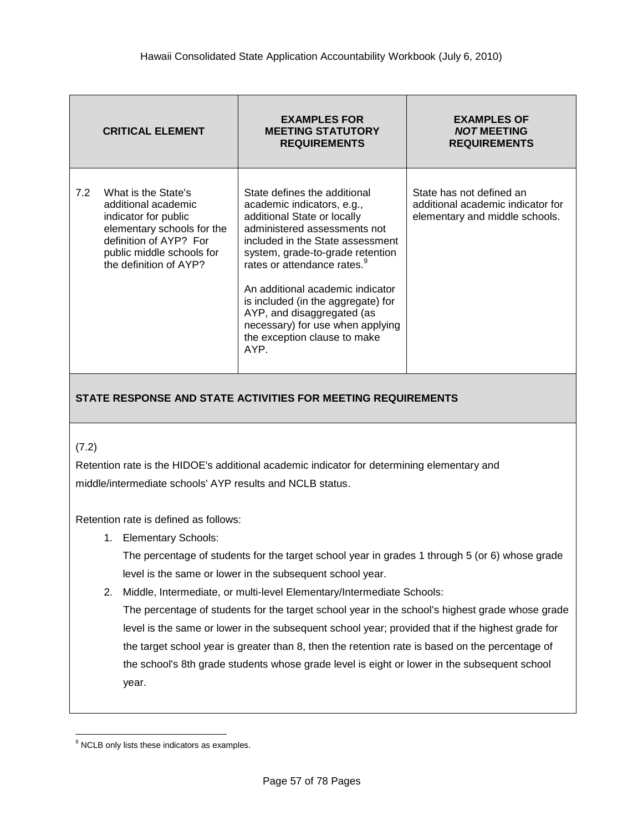|     | <b>CRITICAL ELEMENT</b>                                                                                                                                                           | <b>EXAMPLES FOR</b><br><b>MEETING STATUTORY</b><br><b>REQUIREMENTS</b>                                                                                                                                                                                                                                                                                                                                                           | <b>EXAMPLES OF</b><br><b>NOT MEETING</b><br><b>REQUIREMENTS</b>                                 |
|-----|-----------------------------------------------------------------------------------------------------------------------------------------------------------------------------------|----------------------------------------------------------------------------------------------------------------------------------------------------------------------------------------------------------------------------------------------------------------------------------------------------------------------------------------------------------------------------------------------------------------------------------|-------------------------------------------------------------------------------------------------|
| 7.2 | What is the State's<br>additional academic<br>indicator for public<br>elementary schools for the<br>definition of AYP? For<br>public middle schools for<br>the definition of AYP? | State defines the additional<br>academic indicators, e.g.,<br>additional State or locally<br>administered assessments not<br>included in the State assessment<br>system, grade-to-grade retention<br>rates or attendance rates. <sup>9</sup><br>An additional academic indicator<br>is included (in the aggregate) for<br>AYP, and disaggregated (as<br>necessary) for use when applying<br>the exception clause to make<br>AYP. | State has not defined an<br>additional academic indicator for<br>elementary and middle schools. |

## (7.2)

Retention rate is the HIDOE's additional academic indicator for determining elementary and middle/intermediate schools' AYP results and NCLB status.

Retention rate is defined as follows:

1. Elementary Schools:

The percentage of students for the target school year in grades 1 through 5 (or 6) whose grade level is the same or lower in the subsequent school year.

2. Middle, Intermediate, or multi-level Elementary/Intermediate Schools:

The percentage of students for the target school year in the school's highest grade whose grade level is the same or lower in the subsequent school year; provided that if the highest grade for the target school year is greater than 8, then the retention rate is based on the percentage of the school's 8th grade students whose grade level is eight or lower in the subsequent school year.

 $\overline{a}$ <sup>9</sup> NCLB only lists these indicators as examples.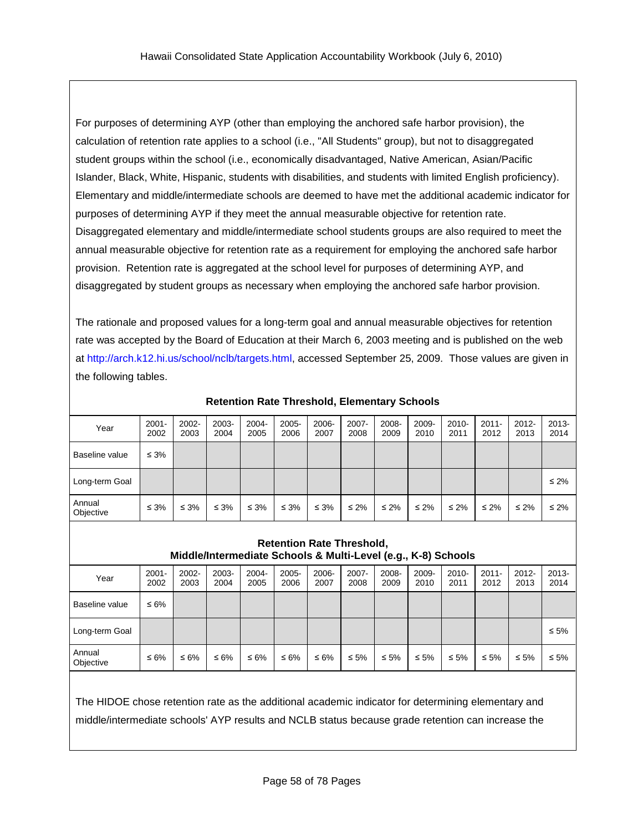For purposes of determining AYP (other than employing the anchored safe harbor provision), the calculation of retention rate applies to a school (i.e., "All Students" group), but not to disaggregated student groups within the school (i.e., economically disadvantaged, Native American, Asian/Pacific Islander, Black, White, Hispanic, students with disabilities, and students with limited English proficiency). Elementary and middle/intermediate schools are deemed to have met the additional academic indicator for purposes of determining AYP if they meet the annual measurable objective for retention rate. Disaggregated elementary and middle/intermediate school students groups are also required to meet the annual measurable objective for retention rate as a requirement for employing the anchored safe harbor provision. Retention rate is aggregated at the school level for purposes of determining AYP, and disaggregated by student groups as necessary when employing the anchored safe harbor provision.

The rationale and proposed values for a long-term goal and annual measurable objectives for retention rate was accepted by the Board of Education at their March 6, 2003 meeting and is published on the web at [http://arch.k12.hi.us/school/nclb/targets.html,](http://arch.k12.hi.us/school/nclb/targets.html) accessed September 25, 2009. Those values are given in the following tables.

| Year                | $2001 -$<br>2002 | $2002 -$<br>2003 | 2003-<br>2004 | $2004 -$<br>2005 | 2005-<br>2006 | 2006-<br>2007 | $2007 -$<br>2008 | 2008-<br>2009 | 2009-<br>2010 | $2010 -$<br>2011 | $2011 -$<br>2012 | $2012 -$<br>2013 | $2013 -$<br>2014 |
|---------------------|------------------|------------------|---------------|------------------|---------------|---------------|------------------|---------------|---------------|------------------|------------------|------------------|------------------|
| l Baseline value    | $\leq 3\%$       |                  |               |                  |               |               |                  |               |               |                  |                  |                  |                  |
| Long-term Goal      |                  |                  |               |                  |               |               |                  |               |               |                  |                  |                  | $\leq 2\%$       |
| Annual<br>Objective | $\leq 3\%$       | $\leq 3\%$       | $\leq 3\%$    | $\leq 3\%$       | $\leq 3\%$    | $\leq 3\%$    | $\leq 2\%$       | $\leq 2\%$    | $\leq 2\%$    | $\leq 2\%$       | $\leq 2\%$       | $\leq 2\%$       | $\leq 2\%$       |

**Retention Rate Threshold, Elementary Schools**

### **Retention Rate Threshold, Middle/Intermediate Schools & Multi-Level (e.g., K-8) Schools**

| Year                | $2001 -$<br>2002 | $2002 -$<br>2003 | 2003-<br>2004 | $2004 -$<br>2005 | $2005 -$<br>2006 | 2006-<br>2007 | $2007 -$<br>2008 | 2008-<br>2009 | 2009-<br>2010 | $2010 -$<br>2011 | $2011 -$<br>2012 | $2012 -$<br>2013 | $2013 -$<br>2014 |
|---------------------|------------------|------------------|---------------|------------------|------------------|---------------|------------------|---------------|---------------|------------------|------------------|------------------|------------------|
| Baseline value      | ≤ 6%             |                  |               |                  |                  |               |                  |               |               |                  |                  |                  |                  |
| Long-term Goal      |                  |                  |               |                  |                  |               |                  |               |               |                  |                  |                  | $\leq 5\%$       |
| Annual<br>Objective | ≤ 6%             | ≤ 6%             | ≤ 6%          | ≤ 6%             | ≤ 6%             | ≤ 6%          | $\leq 5\%$       | $\leq 5\%$    | $\leq 5\%$    | $\leq 5\%$       | ≤ 5%             | $\leq 5\%$       | $\leq 5\%$       |
|                     |                  |                  |               |                  |                  |               |                  |               |               |                  |                  |                  |                  |

The HIDOE chose retention rate as the additional academic indicator for determining elementary and middle/intermediate schools' AYP results and NCLB status because grade retention can increase the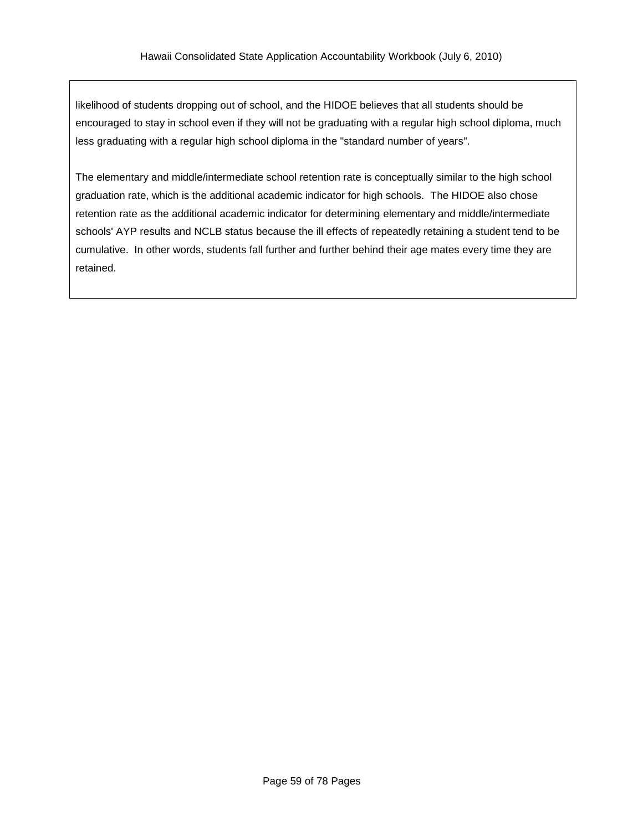likelihood of students dropping out of school, and the HIDOE believes that all students should be encouraged to stay in school even if they will not be graduating with a regular high school diploma, much less graduating with a regular high school diploma in the "standard number of years".

The elementary and middle/intermediate school retention rate is conceptually similar to the high school graduation rate, which is the additional academic indicator for high schools. The HIDOE also chose retention rate as the additional academic indicator for determining elementary and middle/intermediate schools' AYP results and NCLB status because the ill effects of repeatedly retaining a student tend to be cumulative. In other words, students fall further and further behind their age mates every time they are retained.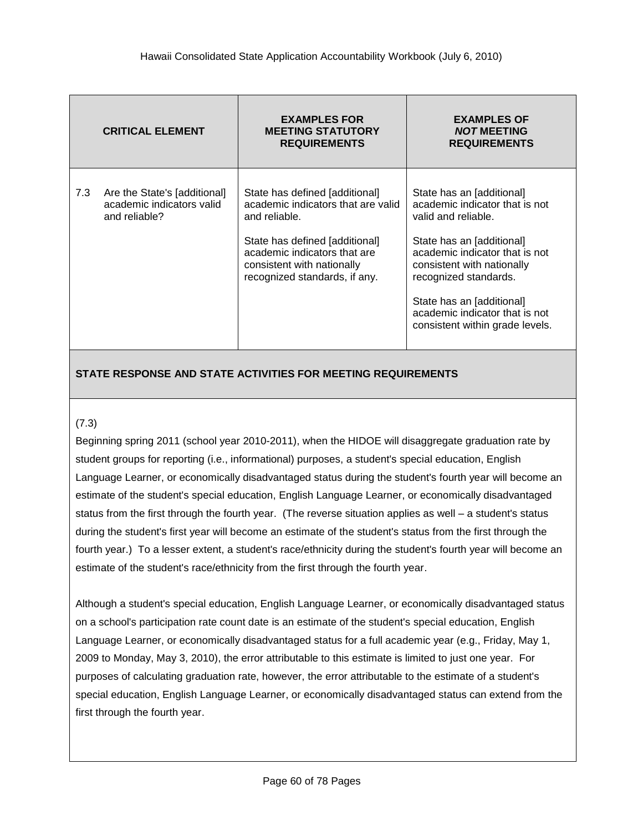|     | <b>CRITICAL ELEMENT</b>                                                    | <b>EXAMPLES FOR</b><br><b>MEETING STATUTORY</b><br><b>REQUIREMENTS</b>                                                                                                                                                 | <b>EXAMPLES OF</b><br><b>NOT MEETING</b><br><b>REQUIREMENTS</b>                                                                                                                                                                                                                                            |
|-----|----------------------------------------------------------------------------|------------------------------------------------------------------------------------------------------------------------------------------------------------------------------------------------------------------------|------------------------------------------------------------------------------------------------------------------------------------------------------------------------------------------------------------------------------------------------------------------------------------------------------------|
| 7.3 | Are the State's [additional]<br>academic indicators valid<br>and reliable? | State has defined [additional]<br>academic indicators that are valid<br>and reliable.<br>State has defined [additional]<br>academic indicators that are<br>consistent with nationally<br>recognized standards, if any. | State has an [additional]<br>academic indicator that is not<br>valid and reliable.<br>State has an [additional]<br>academic indicator that is not<br>consistent with nationally<br>recognized standards.<br>State has an [additional]<br>academic indicator that is not<br>consistent within grade levels. |

### (7.3)

Beginning spring 2011 (school year 2010-2011), when the HIDOE will disaggregate graduation rate by student groups for reporting (i.e., informational) purposes, a student's special education, English Language Learner, or economically disadvantaged status during the student's fourth year will become an estimate of the student's special education, English Language Learner, or economically disadvantaged status from the first through the fourth year. (The reverse situation applies as well – a student's status during the student's first year will become an estimate of the student's status from the first through the fourth year.) To a lesser extent, a student's race/ethnicity during the student's fourth year will become an estimate of the student's race/ethnicity from the first through the fourth year.

Although a student's special education, English Language Learner, or economically disadvantaged status on a school's participation rate count date is an estimate of the student's special education, English Language Learner, or economically disadvantaged status for a full academic year (e.g., Friday, May 1, 2009 to Monday, May 3, 2010), the error attributable to this estimate is limited to just one year. For purposes of calculating graduation rate, however, the error attributable to the estimate of a student's special education, English Language Learner, or economically disadvantaged status can extend from the first through the fourth year.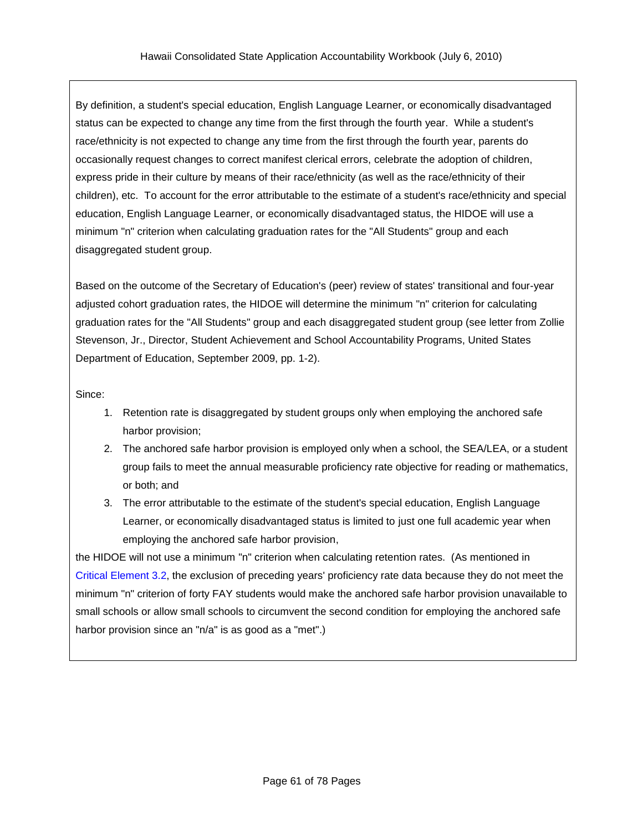By definition, a student's special education, English Language Learner, or economically disadvantaged status can be expected to change any time from the first through the fourth year. While a student's race/ethnicity is not expected to change any time from the first through the fourth year, parents do occasionally request changes to correct manifest clerical errors, celebrate the adoption of children, express pride in their culture by means of their race/ethnicity (as well as the race/ethnicity of their children), etc. To account for the error attributable to the estimate of a student's race/ethnicity and special education, English Language Learner, or economically disadvantaged status, the HIDOE will use a minimum "n" criterion when calculating graduation rates for the "All Students" group and each disaggregated student group.

Based on the outcome of the Secretary of Education's (peer) review of states' transitional and four-year adjusted cohort graduation rates, the HIDOE will determine the minimum "n" criterion for calculating graduation rates for the "All Students" group and each disaggregated student group (see letter from Zollie Stevenson, Jr., Director, Student Achievement and School Accountability Programs, United States Department of Education, September 2009, pp. 1-2).

Since:

- 1. Retention rate is disaggregated by student groups only when employing the anchored safe harbor provision;
- 2. The anchored safe harbor provision is employed only when a school, the SEA/LEA, or a student group fails to meet the annual measurable proficiency rate objective for reading or mathematics, or both; and
- 3. The error attributable to the estimate of the student's special education, English Language Learner, or economically disadvantaged status is limited to just one full academic year when employing the anchored safe harbor provision,

the HIDOE will not use a minimum "n" criterion when calculating retention rates. (As mentioned in Critical [Element](#page-22-0) 3.2, the exclusion of preceding years' proficiency rate data because they do not meet the minimum "n" criterion of forty FAY students would make the anchored safe harbor provision unavailable to small schools or allow small schools to circumvent the second condition for employing the anchored safe harbor provision since an "n/a" is as good as a "met".)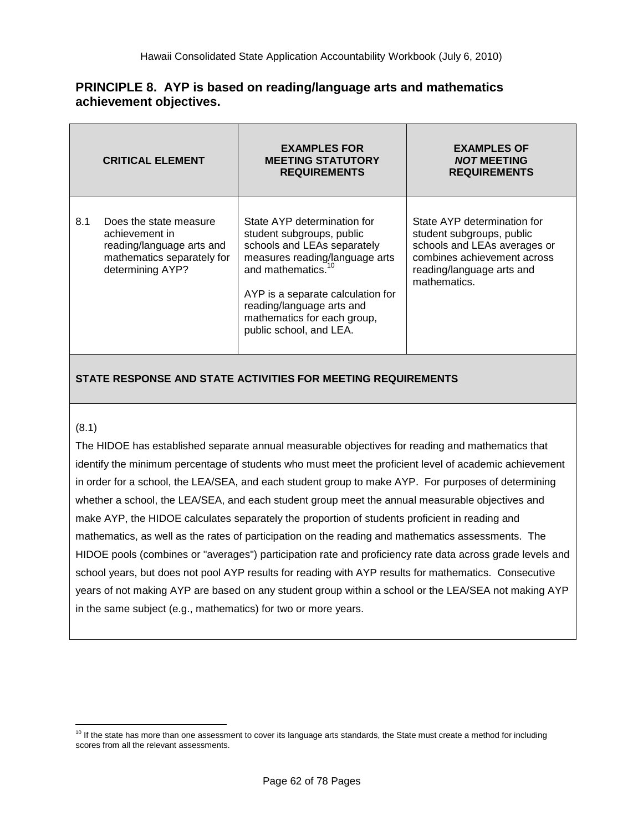## **PRINCIPLE 8. AYP is based on reading/language arts and mathematics achievement objectives.**

|     | <b>CRITICAL ELEMENT</b>                                                                                                 | <b>EXAMPLES FOR</b><br><b>MEETING STATUTORY</b><br><b>REQUIREMENTS</b>                                                                                                                                                                                                                  | <b>EXAMPLES OF</b><br><b>NOT MEETING</b><br><b>REQUIREMENTS</b>                                                                                                      |  |  |
|-----|-------------------------------------------------------------------------------------------------------------------------|-----------------------------------------------------------------------------------------------------------------------------------------------------------------------------------------------------------------------------------------------------------------------------------------|----------------------------------------------------------------------------------------------------------------------------------------------------------------------|--|--|
| 8.1 | Does the state measure<br>achievement in<br>reading/language arts and<br>mathematics separately for<br>determining AYP? | State AYP determination for<br>student subgroups, public<br>schools and LEAs separately<br>measures reading/language arts<br>and mathematics. <sup>10</sup><br>AYP is a separate calculation for<br>reading/language arts and<br>mathematics for each group,<br>public school, and LEA. | State AYP determination for<br>student subgroups, public<br>schools and LEAs averages or<br>combines achievement across<br>reading/language arts and<br>mathematics. |  |  |

## **STATE RESPONSE AND STATE ACTIVITIES FOR MEETING REQUIREMENTS**

### (8.1)

The HIDOE has established separate annual measurable objectives for reading and mathematics that identify the minimum percentage of students who must meet the proficient level of academic achievement in order for a school, the LEA/SEA, and each student group to make AYP. For purposes of determining whether a school, the LEA/SEA, and each student group meet the annual measurable objectives and make AYP, the HIDOE calculates separately the proportion of students proficient in reading and mathematics, as well as the rates of participation on the reading and mathematics assessments. The HIDOE pools (combines or "averages") participation rate and proficiency rate data across grade levels and school years, but does not pool AYP results for reading with AYP results for mathematics. Consecutive years of not making AYP are based on any student group within a school or the LEA/SEA not making AYP in the same subject (e.g., mathematics) for two or more years.

 $\overline{a}$  $10$  If the state has more than one assessment to cover its language arts standards, the State must create a method for including scores from all the relevant assessments.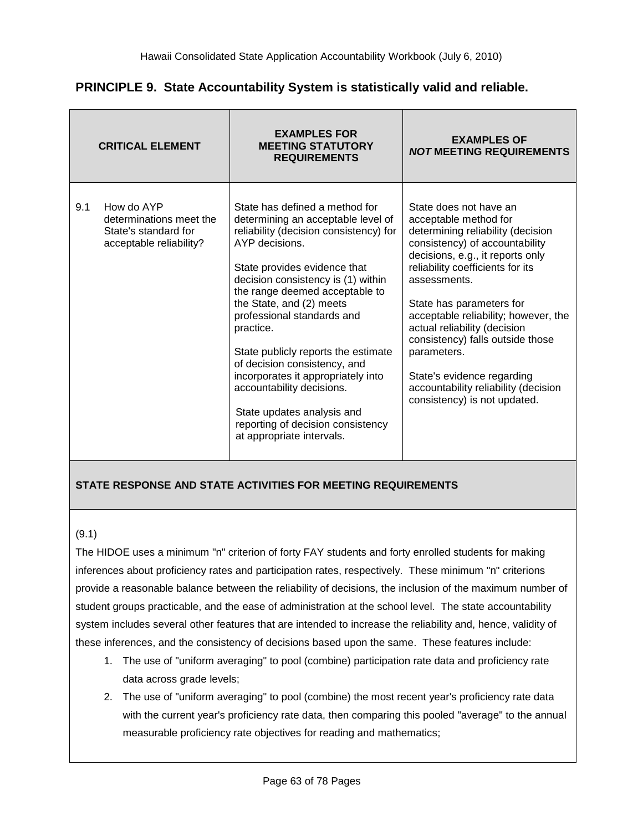| PRINCIPLE 9. State Accountability System is statistically valid and reliable. |  |  |  |  |  |  |
|-------------------------------------------------------------------------------|--|--|--|--|--|--|
|-------------------------------------------------------------------------------|--|--|--|--|--|--|

|     | <b>CRITICAL ELEMENT</b>                                                                  | <b>EXAMPLES FOR</b><br><b>MEETING STATUTORY</b><br><b>REQUIREMENTS</b>                                                                                                                                                                                                                                                                                                                                                                                                                                                                                    | <b>EXAMPLES OF</b><br><b>NOT MEETING REQUIREMENTS</b>                                                                                                                                                                                                                                                                                                                                                                                                                       |  |  |
|-----|------------------------------------------------------------------------------------------|-----------------------------------------------------------------------------------------------------------------------------------------------------------------------------------------------------------------------------------------------------------------------------------------------------------------------------------------------------------------------------------------------------------------------------------------------------------------------------------------------------------------------------------------------------------|-----------------------------------------------------------------------------------------------------------------------------------------------------------------------------------------------------------------------------------------------------------------------------------------------------------------------------------------------------------------------------------------------------------------------------------------------------------------------------|--|--|
| 9.1 | How do AYP<br>determinations meet the<br>State's standard for<br>acceptable reliability? | State has defined a method for<br>determining an acceptable level of<br>reliability (decision consistency) for<br>AYP decisions.<br>State provides evidence that<br>decision consistency is (1) within<br>the range deemed acceptable to<br>the State, and (2) meets<br>professional standards and<br>practice.<br>State publicly reports the estimate<br>of decision consistency, and<br>incorporates it appropriately into<br>accountability decisions.<br>State updates analysis and<br>reporting of decision consistency<br>at appropriate intervals. | State does not have an<br>acceptable method for<br>determining reliability (decision<br>consistency) of accountability<br>decisions, e.g., it reports only<br>reliability coefficients for its<br>assessments.<br>State has parameters for<br>acceptable reliability; however, the<br>actual reliability (decision<br>consistency) falls outside those<br>parameters.<br>State's evidence regarding<br>accountability reliability (decision<br>consistency) is not updated. |  |  |

### (9.1)

The HIDOE uses a minimum "n" criterion of forty FAY students and forty enrolled students for making inferences about proficiency rates and participation rates, respectively. These minimum "n" criterions provide a reasonable balance between the reliability of decisions, the inclusion of the maximum number of student groups practicable, and the ease of administration at the school level. The state accountability system includes several other features that are intended to increase the reliability and, hence, validity of these inferences, and the consistency of decisions based upon the same. These features include:

- 1. The use of "uniform averaging" to pool (combine) participation rate data and proficiency rate data across grade levels;
- 2. The use of "uniform averaging" to pool (combine) the most recent year's proficiency rate data with the current year's proficiency rate data, then comparing this pooled "average" to the annual measurable proficiency rate objectives for reading and mathematics;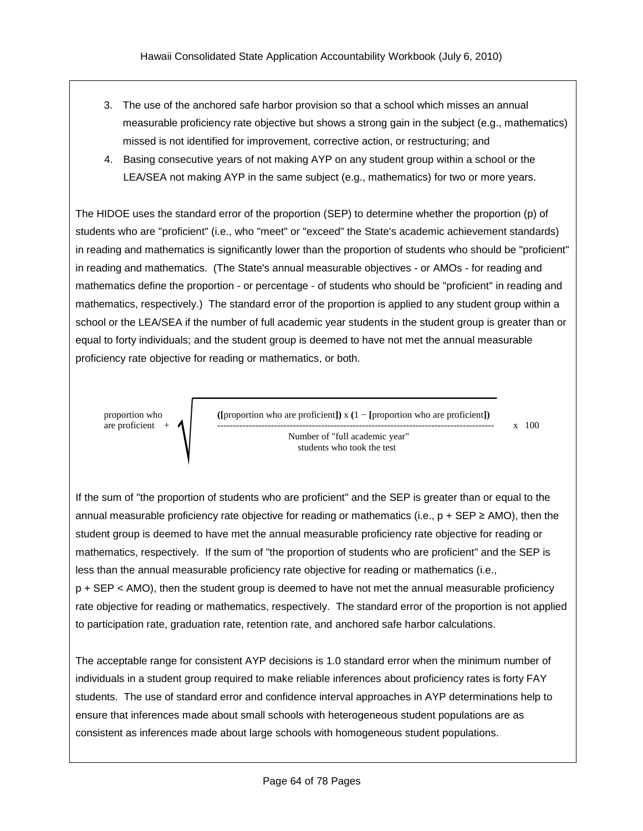- 3. The use of the anchored safe harbor provision so that a school which misses an annual measurable proficiency rate objective but shows a strong gain in the subject (e.g., mathematics) missed is not identified for improvement, corrective action, or restructuring; and
- 4. Basing consecutive years of not making AYP on any student group within a school or the LEA/SEA not making AYP in the same subject (e.g., mathematics) for two or more years.

The HIDOE uses the standard error of the proportion (SEP) to determine whether the proportion (p) of students who are "proficient" (i.e., who "meet" or "exceed" the State's academic achievement standards) in reading and mathematics is significantly lower than the proportion of students who should be "proficient" in reading and mathematics. (The State's annual measurable objectives - or AMOs - for reading and mathematics define the proportion - or percentage - of students who should be "proficient" in reading and mathematics, respectively.) The standard error of the proportion is applied to any student group within a school or the LEA/SEA if the number of full academic year students in the student group is greater than or equal to forty individuals; and the student group is deemed to have not met the annual measurable proficiency rate objective for reading or mathematics, or both.



If the sum of "the proportion of students who are proficient" and the SEP is greater than or equal to the annual measurable proficiency rate objective for reading or mathematics (i.e.,  $p + SEP \ge AMO$ ), then the student group is deemed to have met the annual measurable proficiency rate objective for reading or mathematics, respectively. If the sum of "the proportion of students who are proficient" and the SEP is less than the annual measurable proficiency rate objective for reading or mathematics (i.e., p + SEP < AMO), then the student group is deemed to have not met the annual measurable proficiency rate objective for reading or mathematics, respectively. The standard error of the proportion is not applied to participation rate, graduation rate, retention rate, and anchored safe harbor calculations.

The acceptable range for consistent AYP decisions is 1.0 standard error when the minimum number of individuals in a student group required to make reliable inferences about proficiency rates is forty FAY students. The use of standard error and confidence interval approaches in AYP determinations help to ensure that inferences made about small schools with heterogeneous student populations are as consistent as inferences made about large schools with homogeneous student populations.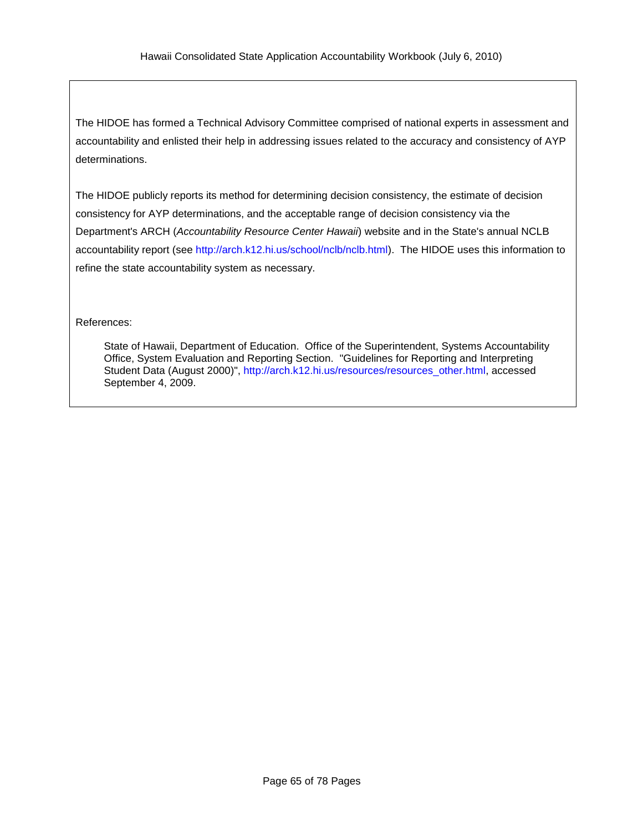The HIDOE has formed a Technical Advisory Committee comprised of national experts in assessment and accountability and enlisted their help in addressing issues related to the accuracy and consistency of AYP determinations.

The HIDOE publicly reports its method for determining decision consistency, the estimate of decision consistency for AYP determinations, and the acceptable range of decision consistency via the Department's ARCH (*Accountability Resource Center Hawaii*) website and in the State's annual NCLB accountability report (see [http://arch.k12.hi.us/school/nclb/nclb.html\)](http://arch.k12.hi.us/school/nclb/nclb.html). The HIDOE uses this information to refine the state accountability system as necessary.

#### References:

State of Hawaii, Department of Education. Office of the Superintendent, Systems Accountability Office, System Evaluation and Reporting Section. "Guidelines for Reporting and Interpreting Student Data (August 2000)", [http://arch.k12.hi.us/resources/resources\\_other.html,](http://arch.k12.hi.us/resources/resources_other.html) accessed September 4, 2009.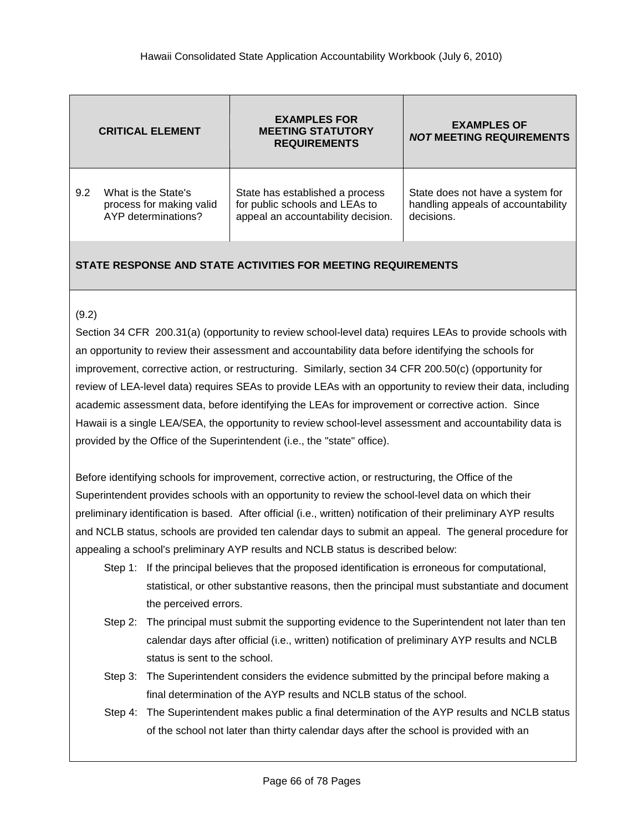|     | <b>CRITICAL ELEMENT</b>  | <b>EXAMPLES FOR</b><br><b>MEETING STATUTORY</b><br><b>REQUIREMENTS</b> | <b>EXAMPLES OF</b><br><b>NOT MEETING REQUIREMENTS</b> |  |  |
|-----|--------------------------|------------------------------------------------------------------------|-------------------------------------------------------|--|--|
| 9.2 | What is the State's      | State has established a process                                        | State does not have a system for                      |  |  |
|     | process for making valid | for public schools and LEAs to                                         | handling appeals of accountability                    |  |  |
|     | AYP determinations?      | appeal an accountability decision.                                     | decisions.                                            |  |  |

### (9.2)

Section 34 CFR 200.31(a) (opportunity to review school-level data) requires LEAs to provide schools with an opportunity to review their assessment and accountability data before identifying the schools for improvement, corrective action, or restructuring. Similarly, section 34 CFR 200.50(c) (opportunity for review of LEA-level data) requires SEAs to provide LEAs with an opportunity to review their data, including academic assessment data, before identifying the LEAs for improvement or corrective action. Since Hawaii is a single LEA/SEA, the opportunity to review school-level assessment and accountability data is provided by the Office of the Superintendent (i.e., the "state" office).

Before identifying schools for improvement, corrective action, or restructuring, the Office of the Superintendent provides schools with an opportunity to review the school-level data on which their preliminary identification is based. After official (i.e., written) notification of their preliminary AYP results and NCLB status, schools are provided ten calendar days to submit an appeal. The general procedure for appealing a school's preliminary AYP results and NCLB status is described below:

- Step 1: If the principal believes that the proposed identification is erroneous for computational, statistical, or other substantive reasons, then the principal must substantiate and document the perceived errors.
- Step 2: The principal must submit the supporting evidence to the Superintendent not later than ten calendar days after official (i.e., written) notification of preliminary AYP results and NCLB status is sent to the school.
- Step 3: The Superintendent considers the evidence submitted by the principal before making a final determination of the AYP results and NCLB status of the school.
- Step 4: The Superintendent makes public a final determination of the AYP results and NCLB status of the school not later than thirty calendar days after the school is provided with an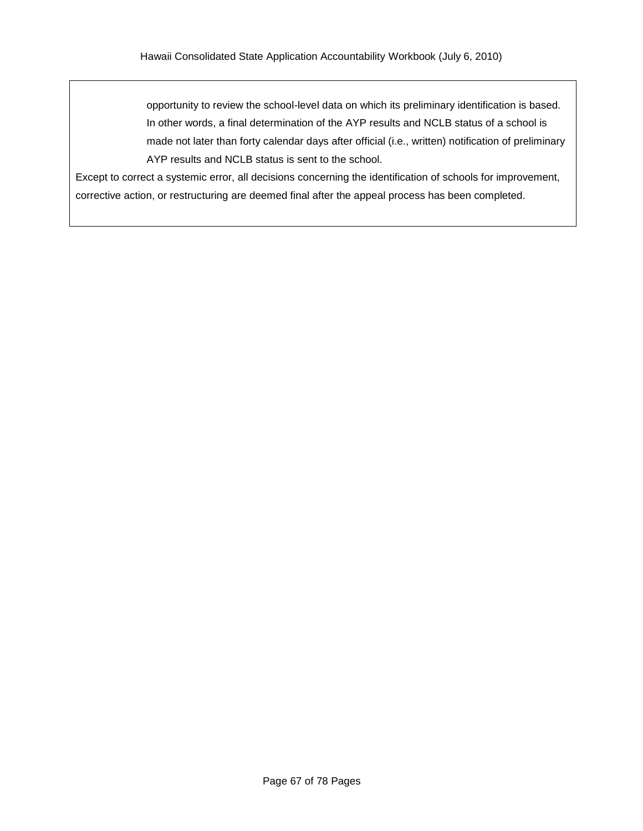opportunity to review the school-level data on which its preliminary identification is based. In other words, a final determination of the AYP results and NCLB status of a school is made not later than forty calendar days after official (i.e., written) notification of preliminary AYP results and NCLB status is sent to the school.

Except to correct a systemic error, all decisions concerning the identification of schools for improvement, corrective action, or restructuring are deemed final after the appeal process has been completed.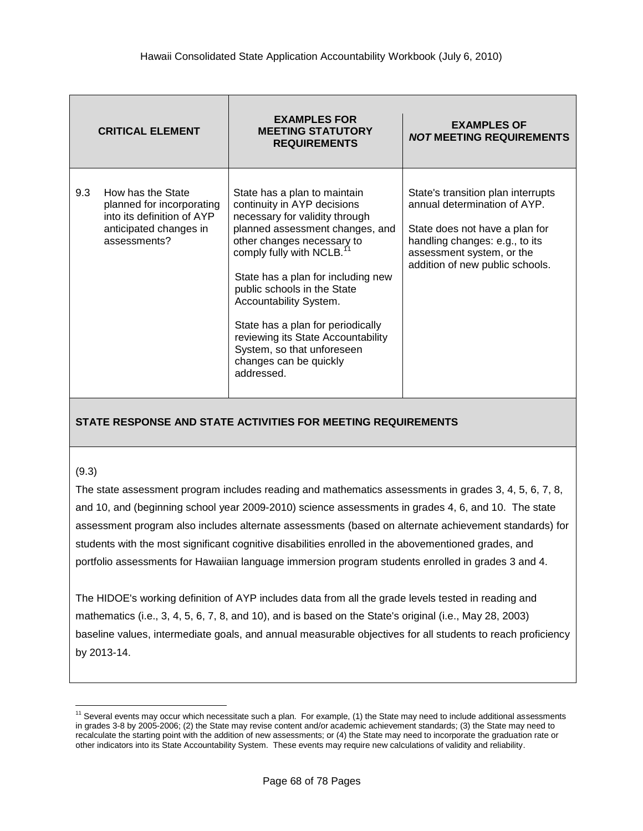|     | <b>CRITICAL ELEMENT</b>                                                                                                | <b>EXAMPLES FOR</b><br><b>MEETING STATUTORY</b><br><b>REQUIREMENTS</b>                                                                                                                                                                                                                                                                                                                                                                                  | <b>EXAMPLES OF</b><br><b>NOT MEETING REQUIREMENTS</b>                                                                                                                                                  |
|-----|------------------------------------------------------------------------------------------------------------------------|---------------------------------------------------------------------------------------------------------------------------------------------------------------------------------------------------------------------------------------------------------------------------------------------------------------------------------------------------------------------------------------------------------------------------------------------------------|--------------------------------------------------------------------------------------------------------------------------------------------------------------------------------------------------------|
| 9.3 | How has the State<br>planned for incorporating<br>into its definition of AYP<br>anticipated changes in<br>assessments? | State has a plan to maintain<br>continuity in AYP decisions<br>necessary for validity through<br>planned assessment changes, and<br>other changes necessary to<br>comply fully with NCLB. <sup>11</sup><br>State has a plan for including new<br>public schools in the State<br>Accountability System.<br>State has a plan for periodically<br>reviewing its State Accountability<br>System, so that unforeseen<br>changes can be quickly<br>addressed. | State's transition plan interrupts<br>annual determination of AYP.<br>State does not have a plan for<br>handling changes: e.g., to its<br>assessment system, or the<br>addition of new public schools. |

#### (9.3)

 $\overline{a}$ 

The state assessment program includes reading and mathematics assessments in grades 3, 4, 5, 6, 7, 8, and 10, and (beginning school year 2009-2010) science assessments in grades 4, 6, and 10. The state assessment program also includes alternate assessments (based on alternate achievement standards) for students with the most significant cognitive disabilities enrolled in the abovementioned grades, and portfolio assessments for Hawaiian language immersion program students enrolled in grades 3 and 4.

The HIDOE's working definition of AYP includes data from all the grade levels tested in reading and mathematics (i.e., 3, 4, 5, 6, 7, 8, and 10), and is based on the State's original (i.e., May 28, 2003) baseline values, intermediate goals, and annual measurable objectives for all students to reach proficiency by 2013-14.

 $11$  Several events may occur which necessitate such a plan. For example, (1) the State may need to include additional assessments in grades 3-8 by 2005-2006; (2) the State may revise content and/or academic achievement standards; (3) the State may need to recalculate the starting point with the addition of new assessments; or (4) the State may need to incorporate the graduation rate or other indicators into its State Accountability System. These events may require new calculations of validity and reliability.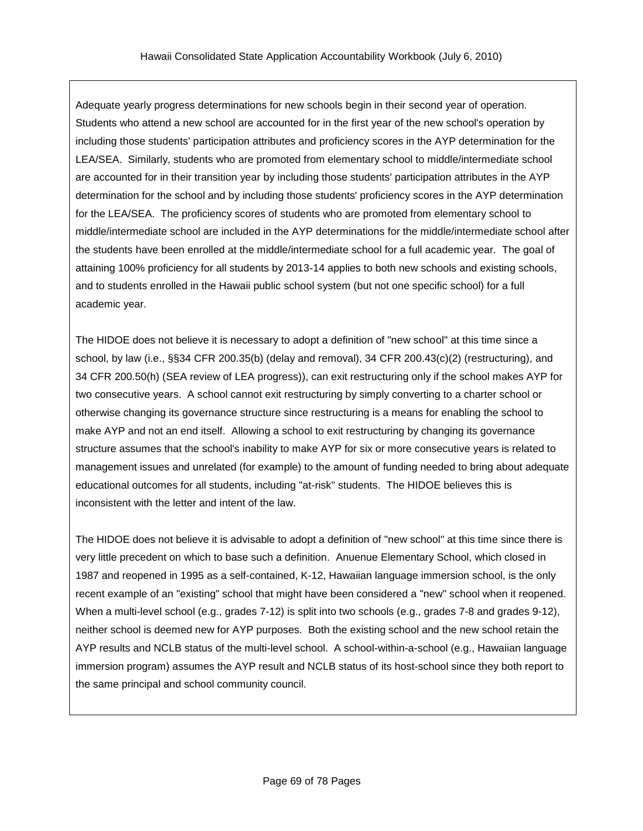Adequate yearly progress determinations for new schools begin in their second year of operation. Students who attend a new school are accounted for in the first year of the new school's operation by including those students' participation attributes and proficiency scores in the AYP determination for the LEA/SEA. Similarly, students who are promoted from elementary school to middle/intermediate school are accounted for in their transition year by including those students' participation attributes in the AYP determination for the school and by including those students' proficiency scores in the AYP determination for the LEA/SEA. The proficiency scores of students who are promoted from elementary school to middle/intermediate school are included in the AYP determinations for the middle/intermediate school after the students have been enrolled at the middle/intermediate school for a full academic year. The goal of attaining 100% proficiency for all students by 2013-14 applies to both new schools and existing schools, and to students enrolled in the Hawaii public school system (but not one specific school) for a full academic year.

The HIDOE does not believe it is necessary to adopt a definition of "new school" at this time since a school, by law (i.e., §§34 CFR 200.35(b) (delay and removal), 34 CFR 200.43(c)(2) (restructuring), and 34 CFR 200.50(h) (SEA review of LEA progress)), can exit restructuring only if the school makes AYP for two consecutive years. A school cannot exit restructuring by simply converting to a charter school or otherwise changing its governance structure since restructuring is a means for enabling the school to make AYP and not an end itself. Allowing a school to exit restructuring by changing its governance structure assumes that the school's inability to make AYP for six or more consecutive years is related to management issues and unrelated (for example) to the amount of funding needed to bring about adequate educational outcomes for all students, including "at-risk" students. The HIDOE believes this is inconsistent with the letter and intent of the law.

The HIDOE does not believe it is advisable to adopt a definition of "new school" at this time since there is very little precedent on which to base such a definition. Anuenue Elementary School, which closed in 1987 and reopened in 1995 as a self-contained, K-12, Hawaiian language immersion school, is the only recent example of an "existing" school that might have been considered a "new" school when it reopened. When a multi-level school (e.g., grades 7-12) is split into two schools (e.g., grades 7-8 and grades 9-12), neither school is deemed new for AYP purposes. Both the existing school and the new school retain the AYP results and NCLB status of the multi-level school. A school-within-a-school (e.g., Hawaiian language immersion program) assumes the AYP result and NCLB status of its host-school since they both report to the same principal and school community council.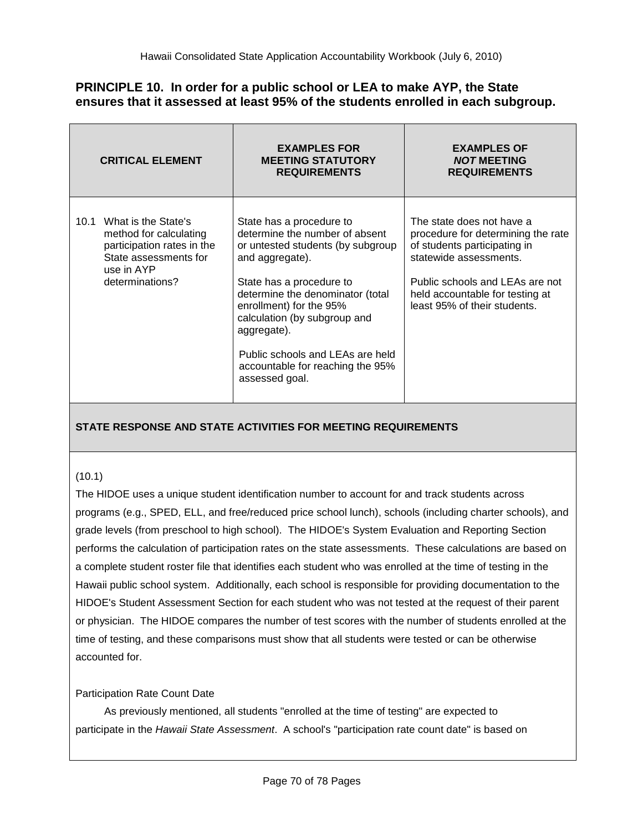## **PRINCIPLE 10. In order for a public school or LEA to make AYP, the State ensures that it assessed at least 95% of the students enrolled in each subgroup.**

|      | <b>CRITICAL ELEMENT</b>                                                                                                               | <b>EXAMPLES FOR</b><br><b>MEETING STATUTORY</b><br><b>REQUIREMENTS</b>                                                                                                                                                                                                                                                                                 | <b>EXAMPLES OF</b><br><b>NOT MEETING</b><br><b>REQUIREMENTS</b>                                                                                                                                                                 |
|------|---------------------------------------------------------------------------------------------------------------------------------------|--------------------------------------------------------------------------------------------------------------------------------------------------------------------------------------------------------------------------------------------------------------------------------------------------------------------------------------------------------|---------------------------------------------------------------------------------------------------------------------------------------------------------------------------------------------------------------------------------|
| 10.1 | What is the State's<br>method for calculating<br>participation rates in the<br>State assessments for<br>use in AYP<br>determinations? | State has a procedure to<br>determine the number of absent<br>or untested students (by subgroup<br>and aggregate).<br>State has a procedure to<br>determine the denominator (total<br>enrollment) for the 95%<br>calculation (by subgroup and<br>aggregate).<br>Public schools and LEAs are held<br>accountable for reaching the 95%<br>assessed goal. | The state does not have a<br>procedure for determining the rate<br>of students participating in<br>statewide assessments.<br>Public schools and LEAs are not<br>held accountable for testing at<br>least 95% of their students. |

## **STATE RESPONSE AND STATE ACTIVITIES FOR MEETING REQUIREMENTS**

## (10.1)

The HIDOE uses a unique student identification number to account for and track students across programs (e.g., SPED, ELL, and free/reduced price school lunch), schools (including charter schools), and grade levels (from preschool to high school). The HIDOE's System Evaluation and Reporting Section performs the calculation of participation rates on the state assessments. These calculations are based on a complete student roster file that identifies each student who was enrolled at the time of testing in the Hawaii public school system. Additionally, each school is responsible for providing documentation to the HIDOE's Student Assessment Section for each student who was not tested at the request of their parent or physician. The HIDOE compares the number of test scores with the number of students enrolled at the time of testing, and these comparisons must show that all students were tested or can be otherwise accounted for.

### Participation Rate Count Date

As previously mentioned, all students "enrolled at the time of testing" are expected to participate in the *Hawaii State Assessment*. A school's "participation rate count date" is based on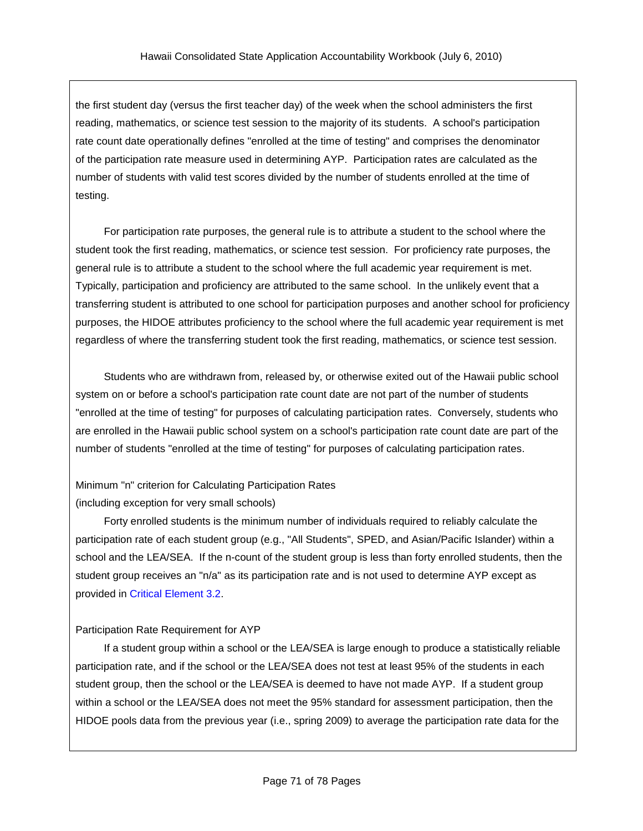the first student day (versus the first teacher day) of the week when the school administers the first reading, mathematics, or science test session to the majority of its students. A school's participation rate count date operationally defines "enrolled at the time of testing" and comprises the denominator of the participation rate measure used in determining AYP. Participation rates are calculated as the number of students with valid test scores divided by the number of students enrolled at the time of testing.

For participation rate purposes, the general rule is to attribute a student to the school where the student took the first reading, mathematics, or science test session. For proficiency rate purposes, the general rule is to attribute a student to the school where the full academic year requirement is met. Typically, participation and proficiency are attributed to the same school. In the unlikely event that a transferring student is attributed to one school for participation purposes and another school for proficiency purposes, the HIDOE attributes proficiency to the school where the full academic year requirement is met regardless of where the transferring student took the first reading, mathematics, or science test session.

Students who are withdrawn from, released by, or otherwise exited out of the Hawaii public school system on or before a school's participation rate count date are not part of the number of students "enrolled at the time of testing" for purposes of calculating participation rates. Conversely, students who are enrolled in the Hawaii public school system on a school's participation rate count date are part of the number of students "enrolled at the time of testing" for purposes of calculating participation rates.

Minimum "n" criterion for Calculating Participation Rates (including exception for very small schools)

Forty enrolled students is the minimum number of individuals required to reliably calculate the participation rate of each student group (e.g., "All Students", SPED, and Asian/Pacific Islander) within a school and the LEA/SEA. If the n-count of the student group is less than forty enrolled students, then the student group receives an "n/a" as its participation rate and is not used to determine AYP except as provided in Critical [Element](#page-22-0) 3.2.

## Participation Rate Requirement for AYP

If a student group within a school or the LEA/SEA is large enough to produce a statistically reliable participation rate, and if the school or the LEA/SEA does not test at least 95% of the students in each student group, then the school or the LEA/SEA is deemed to have not made AYP. If a student group within a school or the LEA/SEA does not meet the 95% standard for assessment participation, then the HIDOE pools data from the previous year (i.e., spring 2009) to average the participation rate data for the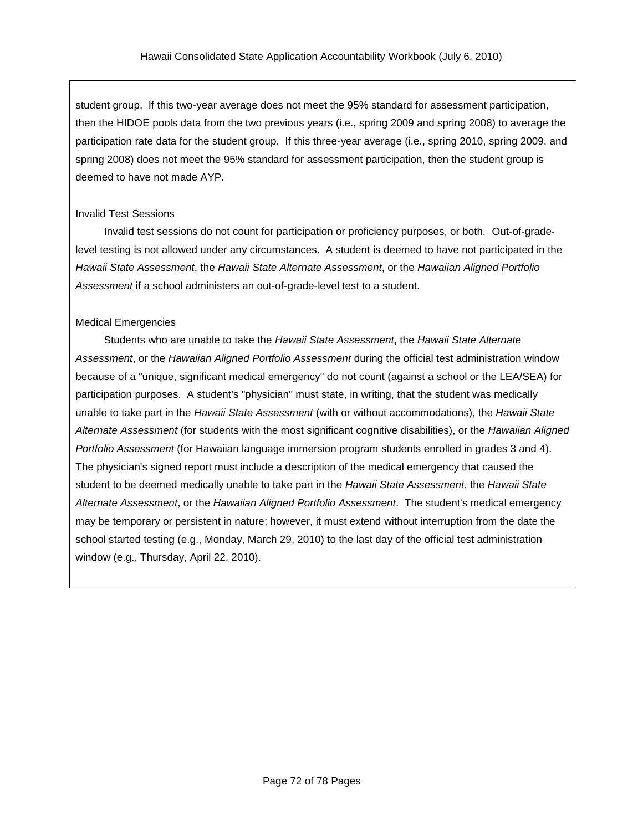student group. If this two-year average does not meet the 95% standard for assessment participation, then the HIDOE pools data from the two previous years (i.e., spring 2009 and spring 2008) to average the participation rate data for the student group. If this three-year average (i.e., spring 2010, spring 2009, and spring 2008) does not meet the 95% standard for assessment participation, then the student group is deemed to have not made AYP.

### Invalid Test Sessions

Invalid test sessions do not count for participation or proficiency purposes, or both. Out-of-gradelevel testing is not allowed under any circumstances. A student is deemed to have not participated in the *Hawaii State Assessment*, the *Hawaii State Alternate Assessment*, or the *Hawaiian Aligned Portfolio Assessment* if a school administers an out-of-grade-level test to a student.

### Medical Emergencies

Students who are unable to take the *Hawaii State Assessment*, the *Hawaii State Alternate Assessment*, or the *Hawaiian Aligned Portfolio Assessment* during the official test administration window because of a "unique, significant medical emergency" do not count (against a school or the LEA/SEA) for participation purposes. A student's "physician" must state, in writing, that the student was medically unable to take part in the *Hawaii State Assessment* (with or without accommodations), the *Hawaii State Alternate Assessment* (for students with the most significant cognitive disabilities), or the *Hawaiian Aligned Portfolio Assessment* (for Hawaiian language immersion program students enrolled in grades 3 and 4). The physician's signed report must include a description of the medical emergency that caused the student to be deemed medically unable to take part in the *Hawaii State Assessment*, the *Hawaii State Alternate Assessment*, or the *Hawaiian Aligned Portfolio Assessment*. The student's medical emergency may be temporary or persistent in nature; however, it must extend without interruption from the date the school started testing (e.g., Monday, March 29, 2010) to the last day of the official test administration window (e.g., Thursday, April 22, 2010).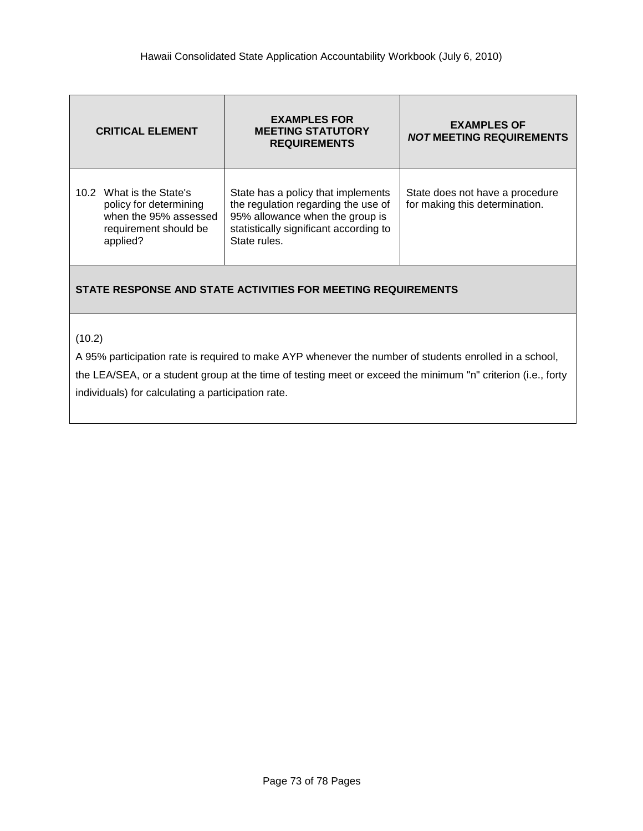| <b>CRITICAL ELEMENT</b>                                                                                          | <b>EXAMPLES FOR</b><br><b>MEETING STATUTORY</b><br><b>REQUIREMENTS</b>                                                                                                 | <b>EXAMPLES OF</b><br><b>NOT MEETING REQUIREMENTS</b>             |  |  |
|------------------------------------------------------------------------------------------------------------------|------------------------------------------------------------------------------------------------------------------------------------------------------------------------|-------------------------------------------------------------------|--|--|
| 10.2 What is the State's<br>policy for determining<br>when the 95% assessed<br>requirement should be<br>applied? | State has a policy that implements<br>the regulation regarding the use of<br>95% allowance when the group is<br>statistically significant according to<br>State rules. | State does not have a procedure<br>for making this determination. |  |  |

#### **STATE RESPONSE AND STATE ACTIVITIES FOR MEETING REQUIREMENTS**

(10.2)

A 95% participation rate is required to make AYP whenever the number of students enrolled in a school,

the LEA/SEA, or a student group at the time of testing meet or exceed the minimum "n" criterion (i.e., forty individuals) for calculating a participation rate.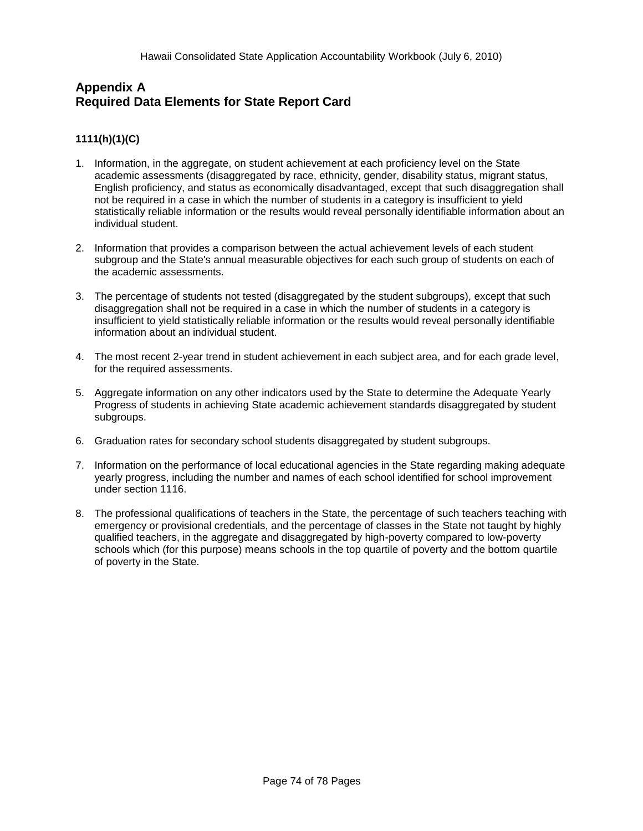## **Appendix A Required Data Elements for State Report Card**

#### **1111(h)(1)(C)**

- 1. Information, in the aggregate, on student achievement at each proficiency level on the State academic assessments (disaggregated by race, ethnicity, gender, disability status, migrant status, English proficiency, and status as economically disadvantaged, except that such disaggregation shall not be required in a case in which the number of students in a category is insufficient to yield statistically reliable information or the results would reveal personally identifiable information about an individual student.
- 2. Information that provides a comparison between the actual achievement levels of each student subgroup and the State's annual measurable objectives for each such group of students on each of the academic assessments.
- 3. The percentage of students not tested (disaggregated by the student subgroups), except that such disaggregation shall not be required in a case in which the number of students in a category is insufficient to yield statistically reliable information or the results would reveal personally identifiable information about an individual student.
- 4. The most recent 2-year trend in student achievement in each subject area, and for each grade level, for the required assessments.
- 5. Aggregate information on any other indicators used by the State to determine the Adequate Yearly Progress of students in achieving State academic achievement standards disaggregated by student subgroups.
- 6. Graduation rates for secondary school students disaggregated by student subgroups.
- 7. Information on the performance of local educational agencies in the State regarding making adequate yearly progress, including the number and names of each school identified for school improvement under section 1116.
- 8. The professional qualifications of teachers in the State, the percentage of such teachers teaching with emergency or provisional credentials, and the percentage of classes in the State not taught by highly qualified teachers, in the aggregate and disaggregated by high-poverty compared to low-poverty schools which (for this purpose) means schools in the top quartile of poverty and the bottom quartile of poverty in the State.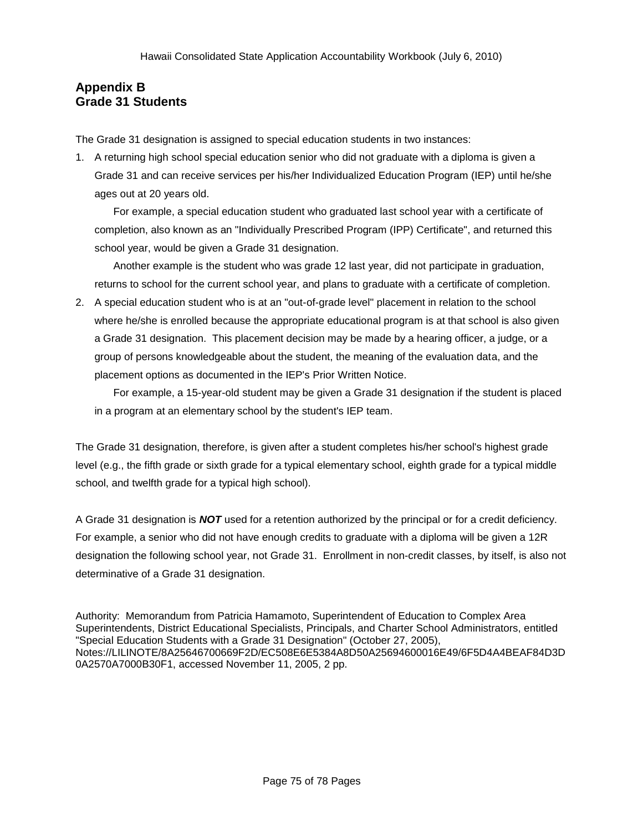# **Appendix B Grade 31 Students**

The Grade 31 designation is assigned to special education students in two instances:

1. A returning high school special education senior who did not graduate with a diploma is given a Grade 31 and can receive services per his/her Individualized Education Program (IEP) until he/she ages out at 20 years old.

For example, a special education student who graduated last school year with a certificate of completion, also known as an "Individually Prescribed Program (IPP) Certificate", and returned this school year, would be given a Grade 31 designation.

Another example is the student who was grade 12 last year, did not participate in graduation, returns to school for the current school year, and plans to graduate with a certificate of completion.

2. A special education student who is at an "out-of-grade level" placement in relation to the school where he/she is enrolled because the appropriate educational program is at that school is also given a Grade 31 designation. This placement decision may be made by a hearing officer, a judge, or a group of persons knowledgeable about the student, the meaning of the evaluation data, and the placement options as documented in the IEP's Prior Written Notice.

For example, a 15-year-old student may be given a Grade 31 designation if the student is placed in a program at an elementary school by the student's IEP team.

The Grade 31 designation, therefore, is given after a student completes his/her school's highest grade level (e.g., the fifth grade or sixth grade for a typical elementary school, eighth grade for a typical middle school, and twelfth grade for a typical high school).

A Grade 31 designation is *NOT* used for a retention authorized by the principal or for a credit deficiency. For example, a senior who did not have enough credits to graduate with a diploma will be given a 12R designation the following school year, not Grade 31. Enrollment in non-credit classes, by itself, is also not determinative of a Grade 31 designation.

Authority: Memorandum from Patricia Hamamoto, Superintendent of Education to Complex Area Superintendents, District Educational Specialists, Principals, and Charter School Administrators, entitled "Special Education Students with a Grade 31 Designation" (October 27, 2005), Notes://LILINOTE/8A25646700669F2D/EC508E6E5384A8D50A25694600016E49/6F5D4A4BEAF84D3D 0A2570A7000B30F1, accessed November 11, 2005, 2 pp.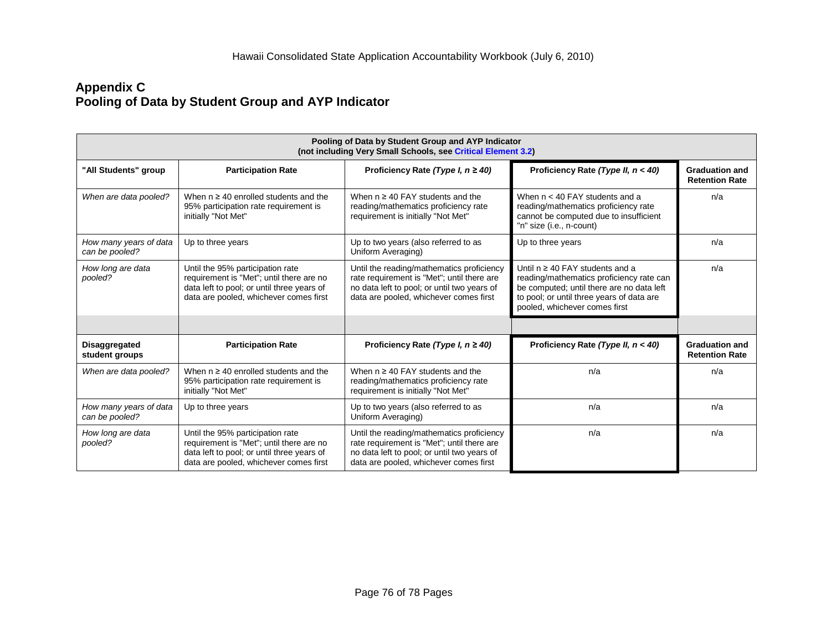### **Appendix C Pooling of Data by Student Group and AYP Indicator**

| Pooling of Data by Student Group and AYP Indicator<br>(not including Very Small Schools, see Critical Element 3.2) |                                                                                                                                                                      |                                                                                                                                                                                  |                                                                                                                                                                                                             |                                                |  |  |  |  |  |
|--------------------------------------------------------------------------------------------------------------------|----------------------------------------------------------------------------------------------------------------------------------------------------------------------|----------------------------------------------------------------------------------------------------------------------------------------------------------------------------------|-------------------------------------------------------------------------------------------------------------------------------------------------------------------------------------------------------------|------------------------------------------------|--|--|--|--|--|
| "All Students" group                                                                                               | <b>Participation Rate</b>                                                                                                                                            | Proficiency Rate (Type I, $n \ge 40$ )                                                                                                                                           | Proficiency Rate (Type II, $n < 40$ )                                                                                                                                                                       | <b>Graduation and</b><br><b>Retention Rate</b> |  |  |  |  |  |
| When are data pooled?                                                                                              | When $n \geq 40$ enrolled students and the<br>95% participation rate requirement is<br>initially "Not Met"                                                           | When $n \geq 40$ FAY students and the<br>reading/mathematics proficiency rate<br>requirement is initially "Not Met"                                                              | When $n < 40$ FAY students and a<br>reading/mathematics proficiency rate<br>cannot be computed due to insufficient<br>"n" size (i.e., n-count)                                                              | n/a                                            |  |  |  |  |  |
| How many years of data<br>can be pooled?                                                                           | Up to three years                                                                                                                                                    | Up to two years (also referred to as<br>Uniform Averaging)                                                                                                                       | Up to three years                                                                                                                                                                                           | n/a                                            |  |  |  |  |  |
| How long are data<br>pooled?                                                                                       | Until the 95% participation rate<br>requirement is "Met"; until there are no<br>data left to pool; or until three years of<br>data are pooled, whichever comes first | Until the reading/mathematics proficiency<br>rate requirement is "Met"; until there are<br>no data left to pool; or until two years of<br>data are pooled, whichever comes first | Until $n \geq 40$ FAY students and a<br>reading/mathematics proficiency rate can<br>be computed; until there are no data left<br>to pool; or until three years of data are<br>pooled, whichever comes first |                                                |  |  |  |  |  |
|                                                                                                                    |                                                                                                                                                                      |                                                                                                                                                                                  |                                                                                                                                                                                                             |                                                |  |  |  |  |  |
| <b>Disaggregated</b><br>student groups                                                                             | <b>Participation Rate</b>                                                                                                                                            | Proficiency Rate (Type I, $n \ge 40$ )                                                                                                                                           | Proficiency Rate (Type II, $n < 40$ )                                                                                                                                                                       | <b>Graduation and</b><br><b>Retention Rate</b> |  |  |  |  |  |
| When are data pooled?                                                                                              | When $n \geq 40$ enrolled students and the<br>95% participation rate requirement is<br>initially "Not Met"                                                           | When $n \geq 40$ FAY students and the<br>reading/mathematics proficiency rate<br>requirement is initially "Not Met"                                                              | n/a                                                                                                                                                                                                         | n/a                                            |  |  |  |  |  |
| How many years of data<br>can be pooled?                                                                           | Up to three years                                                                                                                                                    | Up to two years (also referred to as<br>Uniform Averaging)                                                                                                                       | n/a                                                                                                                                                                                                         | n/a                                            |  |  |  |  |  |
| How long are data<br>pooled?                                                                                       | Until the 95% participation rate<br>requirement is "Met"; until there are no<br>data left to pool; or until three years of<br>data are pooled, whichever comes first | Until the reading/mathematics proficiency<br>rate requirement is "Met"; until there are<br>no data left to pool; or until two years of<br>data are pooled, whichever comes first | n/a                                                                                                                                                                                                         | n/a                                            |  |  |  |  |  |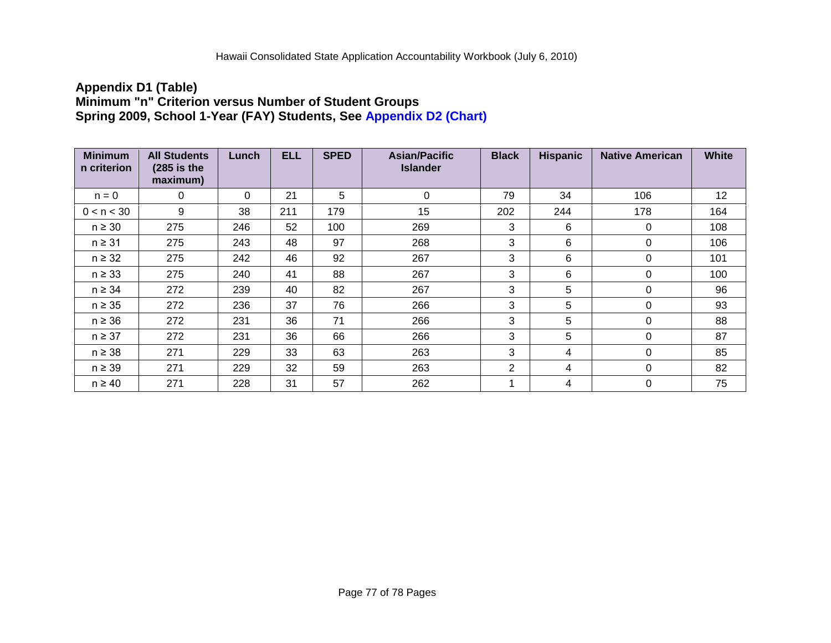### <span id="page-76-0"></span>**Appendix D1 (Table) Minimum "n" Criterion versus Number of Student Groups Spring 2009, School 1-Year (FAY) Students, See Appendix [D2 \(Chart\)](#page-77-0)**

| <b>Minimum</b><br>n criterion | <b>All Students</b><br>$(285$ is the<br>maximum) | Lunch    | <b>ELL</b> | <b>SPED</b> | <b>Asian/Pacific</b><br><b>Islander</b> | <b>Black</b> | <b>Hispanic</b> | <b>Native American</b> | <b>White</b> |
|-------------------------------|--------------------------------------------------|----------|------------|-------------|-----------------------------------------|--------------|-----------------|------------------------|--------------|
| $n = 0$                       | 0                                                | $\Omega$ | 21         | 5           | $\Omega$                                | 79           | 34              | 106                    | 12           |
| 0 < n < 30                    | 9                                                | 38       | 211        | 179         | 15                                      | 202          | 244             | 178                    | 164          |
| $n \geq 30$                   | 275                                              | 246      | 52         | 100         | 269                                     | 3            | 6               | $\Omega$               | 108          |
| $n \geq 31$                   | 275                                              | 243      | 48         | 97          | 268                                     | 3            | 6               | 0                      | 106          |
| $n \geq 32$                   | 275                                              | 242      | 46         | 92          | 267                                     | 3            | 6               | $\mathbf 0$            | 101          |
| $n \geq 33$                   | 275                                              | 240      | 41         | 88          | 267                                     | 3            | 6               | $\Omega$               | 100          |
| $n \geq 34$                   | 272                                              | 239      | 40         | 82          | 267                                     | 3            | 5               | 0                      | 96           |
| $n \geq 35$                   | 272                                              | 236      | 37         | 76          | 266                                     | 3            | 5               | $\Omega$               | 93           |
| $n \geq 36$                   | 272                                              | 231      | 36         | 71          | 266                                     | 3            | 5               | $\Omega$               | 88           |
| $n \geq 37$                   | 272                                              | 231      | 36         | 66          | 266                                     | 3            | 5               | 0                      | 87           |
| $n \geq 38$                   | 271                                              | 229      | 33         | 63          | 263                                     | 3            | 4               | $\Omega$               | 85           |
| $n \geq 39$                   | 271                                              | 229      | 32         | 59          | 263                                     | 2            | 4               | 0                      | 82           |
| $n \geq 40$                   | 271                                              | 228      | 31         | 57          | 262                                     | -4           | 4               | 0                      | 75           |